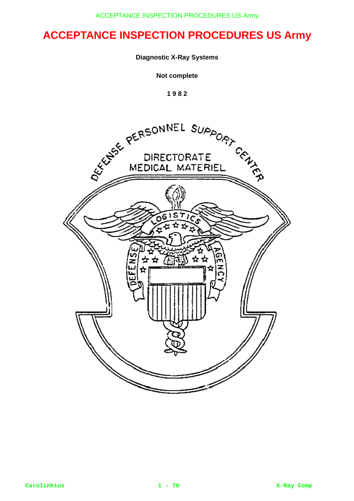## **Diagnostic X-Ray Systems**

**Not complete**

**1 9 8 2**

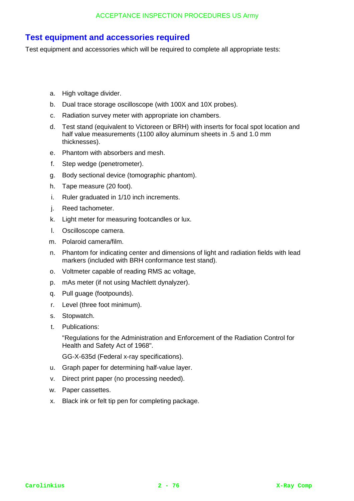## **Test equipment and accessories required**

Test equipment and accessories which will be required to complete all appropriate tests:

- a. High voltage divider.
- b. Dual trace storage oscilloscope (with 100X and 10X probes).
- c. Radiation survey meter with appropriate ion chambers.
- d. Test stand (equivalent to Victoreen or BRH) with inserts for focal spot location and half value measurements (1100 alloy aluminum sheets in .5 and 1.0 mm thicknesses).
- e. Phantom with absorbers and mesh.
- f. Step wedge (penetrometer).
- g. Body sectional device (tomographic phantom).
- h. Tape measure (20 foot).
- i. Ruler graduated in 1/10 inch increments.
- j. Reed tachometer.
- k. Light meter for measuring footcandles or lux.
- l. Oscilloscope camera.
- m. Polaroid camera/film.
- n. Phantom for indicating center and dimensions of light and radiation fields with lead markers (included with BRH conformance test stand).
- o. Voltmeter capable of reading RMS ac voltage,
- p. mAs meter (if not using Machlett dynalyzer).
- q. Pull guage (footpounds).
- r. Level (three foot minimum).
- s. Stopwatch.
- t. Publications:

"Regulations for the Administration and Enforcement of the Radiation Control for Health and Safety Act of 1968".

GG-X-635d (Federal x-ray specifications).

- u. Graph paper for determining half-value layer.
- v. Direct print paper (no processing needed).
- w. Paper cassettes.
- x. Black ink or felt tip pen for completing package.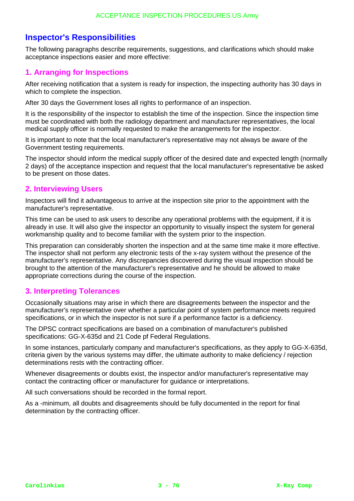# **Inspector's Responsibilities**

The following paragraphs describe requirements, suggestions, and clarifications which should make acceptance inspections easier and more effective:

## **1. Arranging for Inspections**

After receiving notification that a system is ready for inspection, the inspecting authority has 30 days in which to complete the inspection.

After 30 days the Government loses all rights to performance of an inspection.

It is the responsibility of the inspector to establish the time of the inspection. Since the inspection time must be coordinated with both the radiology department and manufacturer representatives, the local medical supply officer is normally requested to make the arrangements for the inspector.

It is important to note that the local manufacturer's representative may not always be aware of the Government testing requirements.

The inspector should inform the medical supply officer of the desired date and expected length (normally 2 days) of the acceptance inspection and request that the local manufacturer's representative be asked to be present on those dates.

## **2. Interviewing Users**

Inspectors will find it advantageous to arrive at the inspection site prior to the appointment with the manufacturer's representative.

This time can be used to ask users to describe any operational problems with the equipment, if it is already in use. It will also give the inspector an opportunity to visually inspect the system for general workmanship quality and to become familiar with the system prior to the inspection.

This preparation can considerably shorten the inspection and at the same time make it more effective. The inspector shall not perform any electronic tests of the x-ray system without the presence of the manufacturer's representative. Any discrepancies discovered during the visual inspection should be brought to the attention of the manufacturer's representative and he should be allowed to make appropriate corrections during the course of the inspection.

## **3. Interpreting Tolerances**

Occasionally situations may arise in which there are disagreements between the inspector and the manufacturer's representative over whether a particular point of system performance meets required specifications, or in which the inspector is not sure if a performance factor is a deficiency.

The DPSC contract specifications are based on a combination of manufacturer's published specifications: GG-X-635d and 21 Code pf Federal Regulations.

In some instances, particularly company and manufacturer's specifications, as they apply to GG-X-635d, criteria given by the various systems may differ, the ultimate authority to make deficiency / rejection determinations rests with the contracting officer.

Whenever disagreements or doubts exist, the inspector and/or manufacturer's representative may contact the contracting officer or manufacturer for guidance or interpretations.

All such conversations should be recorded in the formal report.

As a -minimum, all doubts and disagreements should be fully documented in the report for final determination by the contracting officer.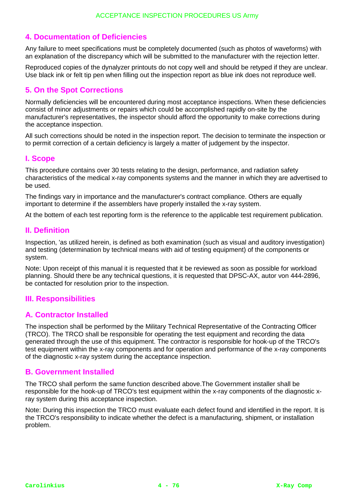## **4. Documentation of Deficiencies**

Any failure to meet specifications must be completely documented (such as photos of waveforms) with an explanation of the discrepancy which will be submitted to the manufacturer with the rejection letter.

Reproduced copies of the dynalyzer printouts do not copy well and should be retyped if they are unclear. Use black ink or felt tip pen when filling out the inspection report as blue ink does not reproduce well.

## **5. On the Spot Corrections**

Normally deficiencies will be encountered during most acceptance inspections. When these deficiencies consist of minor adjustments or repairs which could be accomplished rapidly on-site by the manufacturer's representatives, the inspector should afford the opportunity to make corrections during the acceptance inspection.

All such corrections should be noted in the inspection report. The decision to terminate the inspection or to permit correction of a certain deficiency is largely a matter of judgement by the inspector.

## **I. Scope**

This procedure contains over 30 tests relating to the design, performance, and radiation safety characteristics of the medical x-ray components systems and the manner in which they are advertised to be used.

The findings vary in importance and the manufacturer's contract compliance. Others are equally important to determine if the assemblers have properly installed the x-ray system.

At the bottem of each test reporting form is the reference to the applicable test requirement publication.

## **II. Definition**

Inspection, 'as utilized herein, is defined as both examination (such as visual and auditory investigation) and testing (determination by technical means with aid of testing equipment) of the components or system.

Note: Upon receipt of this manual it is requested that it be reviewed as soon as possible for workload planning. Should there be any technical questions, it is requested that DPSC-AX, autor von 444-2896, be contacted for resolution prior to the inspection.

## **III. Responsibilities**

## **A. Contractor Installed**

The inspection shall be performed by the Military Technical Representative of the Contracting Officer (TRCO). The TRCO shall be responsible for operating the test equipment and recording the data generated through the use of this equipment. The contractor is responsible for hook-up of the TRCO's test equipment within the x-ray components and for operation and performance of the x-ray components of the diagnostic x-ray system during the acceptance inspection.

### **B. Government Installed**

The TRCO shall perform the same function described above.The Government installer shall be responsible for the hook-up of TRCO's test equipment within the x-ray components of the diagnostic xray system during this acceptance inspection.

Note: During this inspection the TRCO must evaluate each defect found and identified in the report. It is the TRCO's responsibility to indicate whether the defect is a manufacturing, shipment, or installation problem.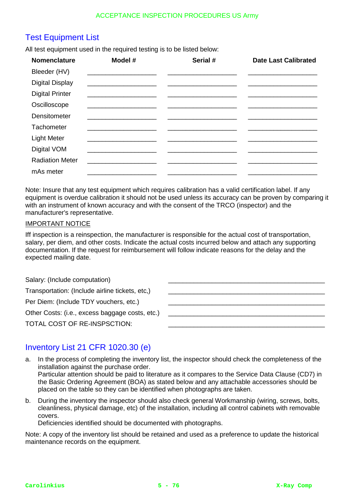# Test Equipment List

All test equipment used in the required testing is to be listed below:

| <b>Nomenclature</b>    | Model #                                                                                   | Serial # | <b>Date Last Calibrated</b> |
|------------------------|-------------------------------------------------------------------------------------------|----------|-----------------------------|
| Bleeder (HV)           |                                                                                           |          |                             |
| <b>Digital Display</b> |                                                                                           |          |                             |
| <b>Digital Printer</b> |                                                                                           |          |                             |
| Oscilloscope           |                                                                                           |          |                             |
| Densitometer           | <u> 1980 - Johann Barn, mars an t-Amerikaansk politiker (</u>                             |          |                             |
| Tachometer             |                                                                                           |          |                             |
| <b>Light Meter</b>     |                                                                                           |          |                             |
| Digital VOM            |                                                                                           |          |                             |
| <b>Radiation Meter</b> | the control of the control of the control of the control of the control of the control of |          |                             |
| mAs meter              |                                                                                           |          |                             |

Note: Insure that any test equipment which requires calibration has a valid certification label. If any equipment is overdue calibration it should not be used unless its accuracy can be proven by comparing it with an instrument of known accuracy and with the consent of the TRCO (inspector) and the manufacturer's representative.

### IMPORTANT NOTICE

Iff inspection is a reinspection, the manufacturer is responsible for the actual cost of transportation, salary, per diem, and other costs. Indicate the actual costs incurred below and attach any supporting documentation. If the request for reimbursement will follow indicate reasons for the delay and the expected mailing date.

| Salary: (Include computation)                   |  |
|-------------------------------------------------|--|
| Transportation: (Include airline tickets, etc.) |  |
| Per Diem: (Include TDY vouchers, etc.)          |  |
| Other Costs: (i.e., excess baggage costs, etc.) |  |
| TOTAL COST OF RE-INSPSCTION:                    |  |
|                                                 |  |

# Inventory List 21 CFR 1020.30 (e)

- a. In the process of completing the inventory list, the inspector should check the completeness of the installation against the purchase order. Particular attention should be paid to literature as it compares to the Service Data Clause (CD7) in the Basic Ordering Agreement (BOA) as stated below and any attachable accessories should be placed on the table so they can be identified when photographs are taken.
- b. During the inventory the inspector should also check general Workmanship (wiring, screws, bolts, cleanliness, physical damage, etc) of the installation, including all control cabinets with removable covers.

Deficiencies identified should be documented with photographs.

Note: A copy of the inventory list should be retained and used as a preference to update the historical maintenance records on the equipment.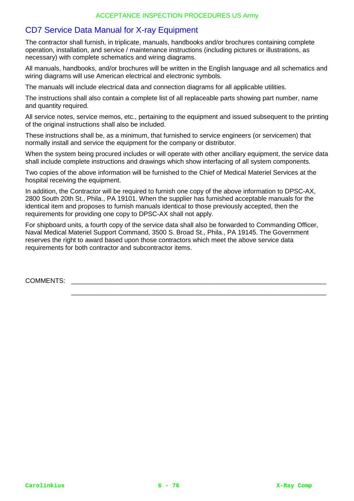# CD7 Service Data Manual for X-ray Equipment

The contractor shall furnish, in triplicate, manuals, handbooks and/or brochures containing complete operation, installation, and service / maintenance instructions (including pictures or illustrations, as necessary) with complete schematics and wiring diagrams.

All manuals, handbooks, and/or brochures will be written in the English language and all schematics and wiring diagrams will use American electrical and electronic symbols.

The manuals will include electrical data and connection diagrams for all applicable utilities.

The instructions shall also contain a complete list of all replaceable parts showing part number, name and quantity required.

All service notes, service memos, etc., pertaining to the equipment and issued subsequent to the printing of the original instructions shall also be included.

These instructions shall be, as a minimum, that furnished to service engineers (or servicemen) that normally install and service the equipment for the company or distributor.

When the system being procured includes or will operate with other ancillary equipment, the service data shall include complete instructions and drawings which show interfacing of all system components.

Two copies of the above information will be furnished to the Chief of Medical Materiel Services at the hospital receiving the equipment.

In addition, the Contractor will be required to furnish one copy of the above information to DPSC-AX, 2800 South 20th St., Phila., PA 19101. When the supplier has furnished acceptable manuals for the identical item and proposes to furnish manuals identical to those previously accepted, then the requirements for providing one copy to DPSC-AX shall not apply.

For shipboard units, a fourth copy of the service data shall also be forwarded to Commanding Officer, Naval Medical Materiel Support Command, 3500 S. Broad St., Phila., PA 19145. The Government reserves the right to award based upon those contractors which meet the above service data requirements for both contractor and subcontractor items.

\_\_\_\_\_\_\_\_\_\_\_\_\_\_\_\_\_\_\_\_\_\_\_\_\_\_\_\_\_\_\_\_\_\_\_\_\_\_\_\_\_\_\_\_\_\_\_\_\_\_\_\_\_\_\_\_\_\_\_\_\_\_\_\_\_\_\_\_\_\_

COMMENTS: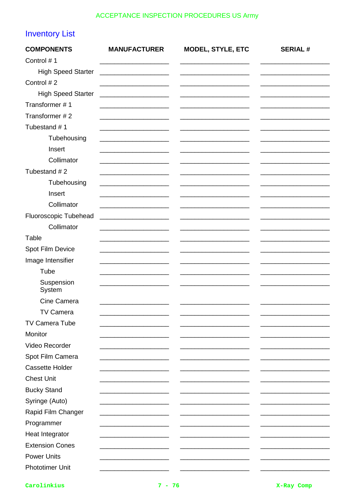# **Inventory List**

| <b>COMPONENTS</b>         | <b>MANUFACTURER</b> | MODEL, STYLE, ETC | <b>SERIAL#</b> |
|---------------------------|---------------------|-------------------|----------------|
| Control #1                |                     |                   |                |
| <b>High Speed Starter</b> |                     |                   |                |
| Control #2                |                     |                   |                |
| <b>High Speed Starter</b> |                     |                   |                |
| Transformer #1            |                     |                   |                |
| Transformer #2            |                     |                   |                |
| Tubestand #1              |                     |                   |                |
| Tubehousing               |                     |                   |                |
| Insert                    |                     |                   |                |
| Collimator                |                     |                   |                |
| Tubestand #2              |                     |                   |                |
| Tubehousing               |                     |                   |                |
| Insert                    |                     |                   |                |
| Collimator                |                     |                   |                |
| Fluoroscopic Tubehead     |                     |                   |                |
| Collimator                |                     |                   |                |
| Table                     |                     |                   |                |
| Spot Film Device          |                     |                   |                |
| Image Intensifier         |                     |                   |                |
| Tube                      |                     |                   |                |
| Suspension<br>System      |                     |                   |                |
| Cine Camera               |                     |                   |                |
| TV Camera                 |                     |                   |                |
| TV Camera Tube            |                     |                   |                |
| Monitor                   |                     |                   |                |
| Video Recorder            |                     |                   |                |
| Spot Film Camera          |                     |                   |                |
| <b>Cassette Holder</b>    |                     |                   |                |
| <b>Chest Unit</b>         |                     |                   |                |
| <b>Bucky Stand</b>        |                     |                   |                |
| Syringe (Auto)            |                     |                   |                |
| Rapid Film Changer        |                     |                   |                |
| Programmer                |                     |                   |                |
| Heat Integrator           |                     |                   |                |
| <b>Extension Cones</b>    |                     |                   |                |
| <b>Power Units</b>        |                     |                   |                |
| <b>Phototimer Unit</b>    |                     |                   |                |

Carolinkius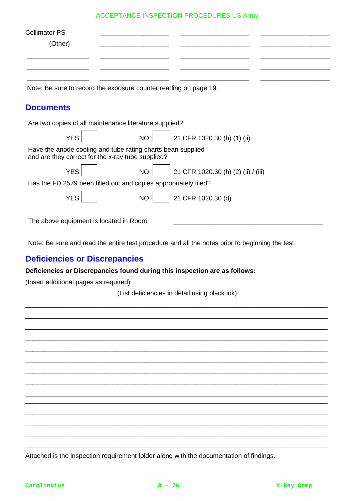| <b>Collimator PS</b><br>(Other)                                                                                  |           |                                     |
|------------------------------------------------------------------------------------------------------------------|-----------|-------------------------------------|
| Note: Be sure to record the exposure counter reading on page 19.                                                 |           |                                     |
| <b>Documents</b>                                                                                                 |           |                                     |
| Are two copies of all maintenance literature supplied?                                                           |           |                                     |
| <b>YES</b>                                                                                                       | <b>NO</b> | 21 CFR 1020.30 (h) (1) (ii)         |
| Have the anode cooling and tube rating charts bean supplied<br>and are they correct for the x-ray tube supplied? |           |                                     |
| <b>YES</b>                                                                                                       | <b>NO</b> | 21 CFR 1020.30 (h) (2) (ii) / (iii) |
| Has the FD 2579 been filled out and copies appropriately filed?                                                  |           |                                     |
| <b>YES</b>                                                                                                       | <b>NO</b> | 21 CFR 1020.30 (d)                  |
| The above equipment is located in Room:                                                                          |           |                                     |

Note: Be sure and read the entire test procedure and all the notes prior to beginning the test.

# **Deficiencies or Discrepancies**

**Deficiencies or Discrepancies found during this inspection are as follows:**

(Insert additional pages as required)

(List deficiencies in detail using black ink) \_\_\_\_\_\_\_\_\_\_\_\_\_\_\_\_\_\_\_\_\_\_\_\_\_\_\_\_\_\_\_\_\_\_\_\_\_\_\_\_\_\_\_\_\_\_\_\_\_\_\_\_\_\_\_\_\_\_\_\_\_\_\_\_\_\_\_\_\_\_\_\_\_\_\_\_\_\_\_\_\_\_\_

\_\_\_\_\_\_\_\_\_\_\_\_\_\_\_\_\_\_\_\_\_\_\_\_\_\_\_\_\_\_\_\_\_\_\_\_\_\_\_\_\_\_\_\_\_\_\_\_\_\_\_\_\_\_\_\_\_\_\_\_\_\_\_\_\_\_\_\_\_\_\_\_\_\_\_\_\_\_\_\_\_\_\_ \_\_\_\_\_\_\_\_\_\_\_\_\_\_\_\_\_\_\_\_\_\_\_\_\_\_\_\_\_\_\_\_\_\_\_\_\_\_\_\_\_\_\_\_\_\_\_\_\_\_\_\_\_\_\_\_\_\_\_\_\_\_\_\_\_\_\_\_\_\_\_\_\_\_\_\_\_\_\_\_\_\_\_ \_\_\_\_\_\_\_\_\_\_\_\_\_\_\_\_\_\_\_\_\_\_\_\_\_\_\_\_\_\_\_\_\_\_\_\_\_\_\_\_\_\_\_\_\_\_\_\_\_\_\_\_\_\_\_\_\_\_\_\_\_\_\_\_\_\_\_\_\_\_\_\_\_\_\_\_\_\_\_\_\_\_\_ \_\_\_\_\_\_\_\_\_\_\_\_\_\_\_\_\_\_\_\_\_\_\_\_\_\_\_\_\_\_\_\_\_\_\_\_\_\_\_\_\_\_\_\_\_\_\_\_\_\_\_\_\_\_\_\_\_\_\_\_\_\_\_\_\_\_\_\_\_\_\_\_\_\_\_\_\_\_\_\_\_\_\_ \_\_\_\_\_\_\_\_\_\_\_\_\_\_\_\_\_\_\_\_\_\_\_\_\_\_\_\_\_\_\_\_\_\_\_\_\_\_\_\_\_\_\_\_\_\_\_\_\_\_\_\_\_\_\_\_\_\_\_\_\_\_\_\_\_\_\_\_\_\_\_\_\_\_\_\_\_\_\_\_\_\_\_ \_\_\_\_\_\_\_\_\_\_\_\_\_\_\_\_\_\_\_\_\_\_\_\_\_\_\_\_\_\_\_\_\_\_\_\_\_\_\_\_\_\_\_\_\_\_\_\_\_\_\_\_\_\_\_\_\_\_\_\_\_\_\_\_\_\_\_\_\_\_\_\_\_\_\_\_\_\_\_\_\_\_\_ \_\_\_\_\_\_\_\_\_\_\_\_\_\_\_\_\_\_\_\_\_\_\_\_\_\_\_\_\_\_\_\_\_\_\_\_\_\_\_\_\_\_\_\_\_\_\_\_\_\_\_\_\_\_\_\_\_\_\_\_\_\_\_\_\_\_\_\_\_\_\_\_\_\_\_\_\_\_\_\_\_\_\_ \_\_\_\_\_\_\_\_\_\_\_\_\_\_\_\_\_\_\_\_\_\_\_\_\_\_\_\_\_\_\_\_\_\_\_\_\_\_\_\_\_\_\_\_\_\_\_\_\_\_\_\_\_\_\_\_\_\_\_\_\_\_\_\_\_\_\_\_\_\_\_\_\_\_\_\_\_\_\_\_\_\_\_ \_\_\_\_\_\_\_\_\_\_\_\_\_\_\_\_\_\_\_\_\_\_\_\_\_\_\_\_\_\_\_\_\_\_\_\_\_\_\_\_\_\_\_\_\_\_\_\_\_\_\_\_\_\_\_\_\_\_\_\_\_\_\_\_\_\_\_\_\_\_\_\_\_\_\_\_\_\_\_\_\_\_\_ \_\_\_\_\_\_\_\_\_\_\_\_\_\_\_\_\_\_\_\_\_\_\_\_\_\_\_\_\_\_\_\_\_\_\_\_\_\_\_\_\_\_\_\_\_\_\_\_\_\_\_\_\_\_\_\_\_\_\_\_\_\_\_\_\_\_\_\_\_\_\_\_\_\_\_\_\_\_\_\_\_\_\_ \_\_\_\_\_\_\_\_\_\_\_\_\_\_\_\_\_\_\_\_\_\_\_\_\_\_\_\_\_\_\_\_\_\_\_\_\_\_\_\_\_\_\_\_\_\_\_\_\_\_\_\_\_\_\_\_\_\_\_\_\_\_\_\_\_\_\_\_\_\_\_\_\_\_\_\_\_\_\_\_\_\_\_ \_\_\_\_\_\_\_\_\_\_\_\_\_\_\_\_\_\_\_\_\_\_\_\_\_\_\_\_\_\_\_\_\_\_\_\_\_\_\_\_\_\_\_\_\_\_\_\_\_\_\_\_\_\_\_\_\_\_\_\_\_\_\_\_\_\_\_\_\_\_\_\_\_\_\_\_\_\_\_\_\_\_\_ \_\_\_\_\_\_\_\_\_\_\_\_\_\_\_\_\_\_\_\_\_\_\_\_\_\_\_\_\_\_\_\_\_\_\_\_\_\_\_\_\_\_\_\_\_\_\_\_\_\_\_\_\_\_\_\_\_\_\_\_\_\_\_\_\_\_\_\_\_\_\_\_\_\_\_\_\_\_\_\_\_\_\_

Attached is the inspection requirement folder along with the documentation of findings.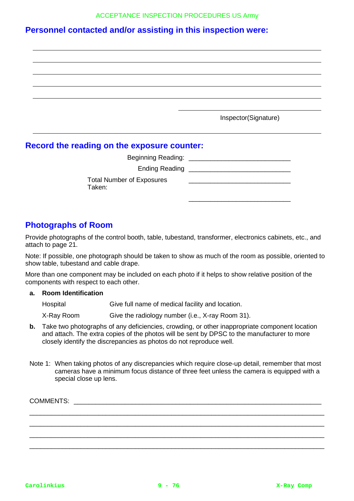# **Personnel contacted and/or assisting in this inspection were:**

| Inspector(Signature) |  |
|----------------------|--|

## **Record the reading on the exposure counter:**

| Beginning Reading: ______                  |  |
|--------------------------------------------|--|
| Ending Reading ________                    |  |
| <b>Total Number of Exposures</b><br>Taken: |  |

# **Photographs of Room**

Provide photographs of the control booth, table, tubestand, transformer, electronics cabinets, etc., and attach to page 21.

Note: If possible, one photograph should be taken to show as much of the room as possible, oriented to show table, tubestand and cable drape.

More than one component may be included on each photo if it helps to show relative position of the components with respect to each other.

### **a. Room Identification**

| Hospital   | Give full name of medical facility and location. |
|------------|--------------------------------------------------|
| X-Ray Room | Give the radiology number (i.e., X-ray Room 31). |

- **b.** Take two photographs of any deficiencies, crowding, or other inappropriate component location and attach. The extra copies of the photos will be sent by DPSC to the manufacturer to more closely identify the discrepancies as photos do not reproduce well.
- Note 1: When taking photos of any discrepancies which require close-up detail, remember that most cameras have a minimum focus distance of three feet unless the camera is equipped with a special close up lens.

\_\_\_\_\_\_\_\_\_\_\_\_\_\_\_\_\_\_\_\_\_\_\_\_\_\_\_\_\_\_\_\_\_\_\_\_\_\_\_\_\_\_\_\_\_\_\_\_\_\_\_\_\_\_\_\_\_\_\_\_\_\_\_\_\_\_\_\_\_\_\_\_\_\_\_\_\_\_\_\_\_ \_\_\_\_\_\_\_\_\_\_\_\_\_\_\_\_\_\_\_\_\_\_\_\_\_\_\_\_\_\_\_\_\_\_\_\_\_\_\_\_\_\_\_\_\_\_\_\_\_\_\_\_\_\_\_\_\_\_\_\_\_\_\_\_\_\_\_\_\_\_\_\_\_\_\_\_\_\_\_\_\_ \_\_\_\_\_\_\_\_\_\_\_\_\_\_\_\_\_\_\_\_\_\_\_\_\_\_\_\_\_\_\_\_\_\_\_\_\_\_\_\_\_\_\_\_\_\_\_\_\_\_\_\_\_\_\_\_\_\_\_\_\_\_\_\_\_\_\_\_\_\_\_\_\_\_\_\_\_\_\_\_\_ \_\_\_\_\_\_\_\_\_\_\_\_\_\_\_\_\_\_\_\_\_\_\_\_\_\_\_\_\_\_\_\_\_\_\_\_\_\_\_\_\_\_\_\_\_\_\_\_\_\_\_\_\_\_\_\_\_\_\_\_\_\_\_\_\_\_\_\_\_\_\_\_\_\_\_\_\_\_\_\_\_

COMMENTS: \_\_\_\_\_\_\_\_\_\_\_\_\_\_\_\_\_\_\_\_\_\_\_\_\_\_\_\_\_\_\_\_\_\_\_\_\_\_\_\_\_\_\_\_\_\_\_\_\_\_\_\_\_\_\_\_\_\_\_\_\_\_\_\_\_\_\_\_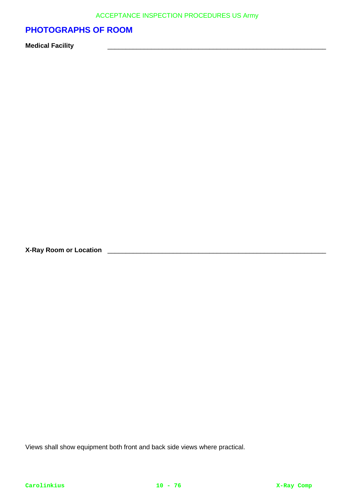# **PHOTOGRAPHS OF ROOM**

**Medical Facility** \_\_\_\_\_\_\_\_\_\_\_\_\_\_\_\_\_\_\_\_\_\_\_\_\_\_\_\_\_\_\_\_\_\_\_\_\_\_\_\_\_\_\_\_\_\_\_\_\_\_\_\_\_\_\_\_\_\_\_\_

**X-Ray Room or Location** \_\_\_\_\_\_\_\_\_\_\_\_\_\_\_\_\_\_\_\_\_\_\_\_\_\_\_\_\_\_\_\_\_\_\_\_\_\_\_\_\_\_\_\_\_\_\_\_\_\_\_\_\_\_\_\_\_\_\_\_

Views shall show equipment both front and back side views where practical.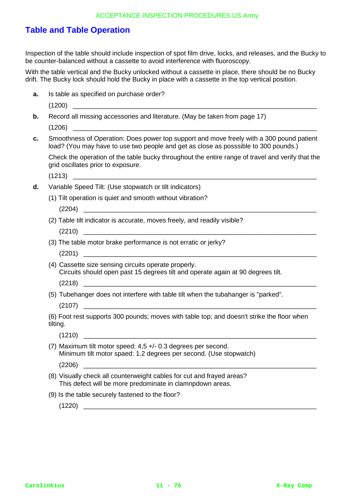# **Table and Table Operation**

Inspection of the table should include inspection of spot film drive, locks, and releases, and the Bucky to be counter-balanced without a cassette to avoid interference with fluoroscopy.

With the table vertical and the Bucky unlocked without a cassette in place, there should be no Bucky drift. The Bucky lock should hold the Bucky in place with a cassette in the top vertical position.

- **a.** Is table as specified on purchase order?
	- $(1200)$
- **b.** Record all missing accessories and literature. (May be taken from page 17) (1206) \_\_\_\_\_\_\_\_\_\_\_\_\_\_\_\_\_\_\_\_\_\_\_\_\_\_\_\_\_\_\_\_\_\_\_\_\_\_\_\_\_\_\_\_\_\_\_\_\_\_\_\_\_\_\_\_\_\_\_\_\_\_\_\_\_\_\_

**c.** Smoothness of Operation: Does power top support and move freely with a 300 pound patient load? (You may have to use two people and get as close as posssible to 300 pounds.)

Check the operation of the table bucky throughout the entire range of travel and verify that the grid oscillates prior to exposure.

 $(1213)$ 

- **d.** Variable Speed Tilt: (Use stopwatch or tilt indicators)
	- (1) Tilt operation is quiet and smooth without vibration?

 $(2204)$ 

(2) Table tilt indicator is accurate, moves freely, and readily visible?

 $(2210)$ 

(3) The table motor brake performance is not erratic or jerky?

 $(2201)$ 

(4) Cassette size sensing circuits operate properly. Circuits should open past 15 degrees tilt and operate again at 90 degrees tilt.

 $(2218)$ 

(5) Tubehanger does not interfere with table tilt when the tubahanger is "parked".

 $(2107)$ 

(6) Foot rest supports 300 pounds; moves with table top; and doesn't strike the floor when tilting.

(7) Maximum tilt motor speed: 4,5 +/- 0.3 degrees per second. Minimum tilt motor spaed: 1.2 degrees per second. (Use stopwatch)

(2206) \_\_\_\_\_\_\_\_\_\_\_\_\_\_\_\_\_\_\_\_\_\_\_\_\_\_\_\_\_\_\_\_\_\_\_\_\_\_\_\_\_\_\_\_\_\_\_\_\_\_\_\_\_\_\_\_\_\_\_\_\_\_\_\_

- (8) Visually check all counterweight cables for cut and frayed areas? This defect will be more predominate in clamnpdown areas.
- (9) Is the table securely fastened to the floor?

 $(1220)$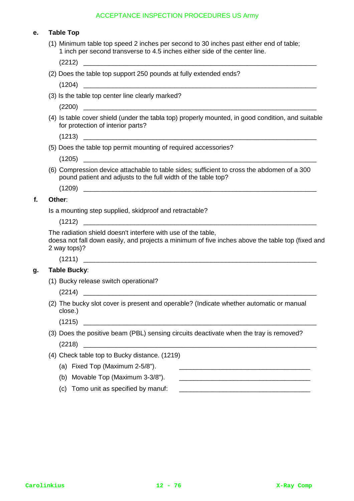| е. | <b>Table Top</b>                                                                                                                                                                  |  |  |  |  |  |
|----|-----------------------------------------------------------------------------------------------------------------------------------------------------------------------------------|--|--|--|--|--|
|    | (1) Minimum table top speed 2 inches per second to 30 inches past either end of table;<br>1 inch per second transverse to 4.5 inches either side of the center line.              |  |  |  |  |  |
|    |                                                                                                                                                                                   |  |  |  |  |  |
|    | (2) Does the table top support 250 pounds at fully extended ends?                                                                                                                 |  |  |  |  |  |
|    |                                                                                                                                                                                   |  |  |  |  |  |
|    | (3) Is the table top center line clearly marked?                                                                                                                                  |  |  |  |  |  |
|    |                                                                                                                                                                                   |  |  |  |  |  |
|    | (4) Is table cover shield (under the tabla top) properly mounted, in good condition, and suitable<br>for protection of interior parts?                                            |  |  |  |  |  |
|    |                                                                                                                                                                                   |  |  |  |  |  |
|    | (5) Does the table top permit mounting of required accessories?                                                                                                                   |  |  |  |  |  |
|    |                                                                                                                                                                                   |  |  |  |  |  |
|    | (6) Compression device attachable to table sides; sufficient to cross the abdomen of a 300<br>pound patient and adjusts to the full width of the table top?                       |  |  |  |  |  |
|    |                                                                                                                                                                                   |  |  |  |  |  |
| f. | Other:                                                                                                                                                                            |  |  |  |  |  |
|    | Is a mounting step supplied, skidproof and retractable?                                                                                                                           |  |  |  |  |  |
|    |                                                                                                                                                                                   |  |  |  |  |  |
|    | The radiation shield doesn't interfere with use of the table,<br>doesa not fall down easily, and projects a minimum of five inches above the table top (fixed and<br>2 way tops)? |  |  |  |  |  |
|    |                                                                                                                                                                                   |  |  |  |  |  |
| g. | <b>Table Bucky:</b>                                                                                                                                                               |  |  |  |  |  |
|    | (1) Bucky release switch operational?                                                                                                                                             |  |  |  |  |  |
|    | (2214)                                                                                                                                                                            |  |  |  |  |  |
|    | (2) The bucky slot cover is present and operable? (Indicate whether automatic or manual<br>close.)                                                                                |  |  |  |  |  |
|    | (1215)<br><u> 1988 - Johann John Stein, marwolaethau (b. 1988)</u>                                                                                                                |  |  |  |  |  |
|    | (3) Does the positive beam (PBL) sensing circuits deactivate when the tray is removed?                                                                                            |  |  |  |  |  |
|    |                                                                                                                                                                                   |  |  |  |  |  |
|    | (4) Check table top to Bucky distance. (1219)                                                                                                                                     |  |  |  |  |  |
|    | (a) Fixed Top (Maximum 2-5/8").                                                                                                                                                   |  |  |  |  |  |
|    | (b) Movable Top (Maximum 3-3/8").                                                                                                                                                 |  |  |  |  |  |
|    |                                                                                                                                                                                   |  |  |  |  |  |

(c) Tomo unit as specified by manuf: \_\_\_\_\_\_\_\_\_\_\_\_\_\_\_\_\_\_\_\_\_\_\_\_\_\_\_\_\_\_\_\_\_\_\_\_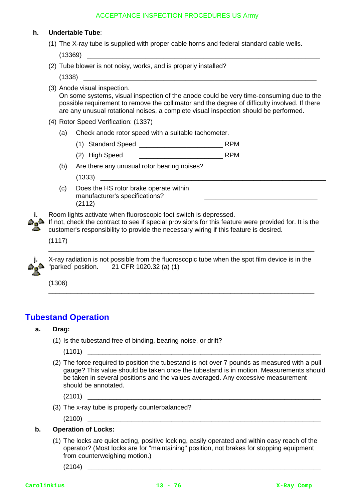### **h. Undertable Tube**:

(1) The X-ray tube is supplied with proper cable horns and federal standard cable wells.

 $(13369)$ 

- (2) Tube blower is not noisy, works, and is properly installed?
	- (1338) \_\_\_\_\_\_\_\_\_\_\_\_\_\_\_\_\_\_\_\_\_\_\_\_\_\_\_\_\_\_\_\_\_\_\_\_\_\_\_\_\_\_\_\_\_\_\_\_\_\_\_\_\_\_\_\_\_\_\_\_\_\_\_\_
- (3) Anode visual inspection. On some systems, visual inspection of the anode could be very time-consuming due to the possible requirement to remove the collimator and the degree of difficulty involved. If there are any unusual rotational noises, a complete visual inspection should be performed.
- (4) Rotor Speed Verification: (1337)
	- (a) Check anode rotor speed with a suitable tachometer.
		- (1) Standard Speed \_\_\_\_\_\_\_\_\_\_\_\_\_\_\_\_\_\_\_\_\_\_\_ RPM
		- (2) High Speed \_\_\_\_\_\_\_\_\_\_\_\_\_\_\_\_\_\_\_\_\_\_\_ RPM
	- (b) Are there any unusual rotor bearing noises?
		- $(1333)$
	- (c) Does the HS rotor brake operate within manufacturer's specifications? (2112)
- **i.** Room lights activate when fluoroscopic foot switch is depressed.
	- $\triangle$  If not, check the contract to see if special provisions for this feature were provided for. It is the customer's responsibility to provide the necessary wiring if this feature is desired.

\_\_\_\_\_\_\_\_\_\_\_\_\_\_\_\_\_\_\_\_\_\_\_\_\_\_\_\_\_\_\_

(1117)



**j.** X-ray radiation is not possible from the fluoroscopic tube when the spot film device is in the "parked" position. 21 CFR 1020.32 (a) (1)

\_\_\_\_\_\_\_\_\_\_\_\_\_\_\_\_\_\_\_\_\_\_\_\_\_\_\_\_\_\_\_\_\_\_\_\_\_\_\_\_\_\_\_\_\_\_\_\_\_\_\_\_\_\_\_\_\_\_\_\_\_\_\_\_\_\_\_\_\_\_\_\_\_

\_\_\_\_\_\_\_\_\_\_\_\_\_\_\_\_\_\_\_\_\_\_\_\_\_\_\_\_\_\_\_\_\_\_\_\_\_\_\_\_\_\_\_\_\_\_\_\_\_\_\_\_\_\_\_\_\_\_\_\_\_\_\_\_\_\_\_\_\_\_\_\_\_

(1306)

# **Tubestand Operation**

### **a. Drag:**

(1) Is the tubestand free of binding, bearing noise, or drift?

 $(1101)$ 

(2) The force required to position the tubestand is not over 7 pounds as measured with a pull gauge? This value should be taken once the tubestand is in motion. Measurements should be taken in several positions and the values averaged. Any excessive measurement should be annotated.

 $(2101)$ 

- (3) The x-ray tube is properly counterbalanced?
	- $(2100)$

### **b. Operation of Locks:**

(1) The locks are quiet acting, positive locking, easily operated and within easy reach of the operator? (Most locks are for "maintaining" position, not brakes for stopping equipment from counterweighing motion.)

 $(2104)$   $\_\_$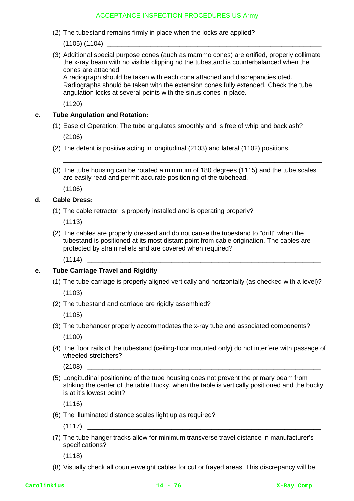(2) The tubestand remains firmly in place when the locks are applied?

 $(1105)$   $(1104)$ 

(3) Additional special purpose cones (auch as mammo cones) are ertified, properly collimate the x-ray beam with no visible clipping nd the tubestand is counterbalanced when the cones are attached.

A radiograph should be taken with each cona attached and discrepancies oted. Radiographs should be taken with the extension cones fully extended. Check the tube angulation locks at several points with the sinus cones in place.

(1120) \_\_\_\_\_\_\_\_\_\_\_\_\_\_\_\_\_\_\_\_\_\_\_\_\_\_\_\_\_\_\_\_\_\_\_\_\_\_\_\_\_\_\_\_\_\_\_\_\_\_\_\_\_\_\_\_\_\_\_\_\_\_\_\_

### **c. Tube Angulation and Rotation:**

- (1) Ease of Operation: The tube angulates smoothly and is free of whip and backlash?  $(2106)$
- (2) The detent is positive acting in longitudinal (2103) and lateral (1102) positions.

(1106) \_\_\_\_\_\_\_\_\_\_\_\_\_\_\_\_\_\_\_\_\_\_\_\_\_\_\_\_\_\_\_\_\_\_\_\_\_\_\_\_\_\_\_\_\_\_\_\_\_\_\_\_\_\_\_\_\_\_\_\_\_\_\_\_

(3) The tube housing can be rotated a minimum of 180 degrees (1115) and the tube scales are easily read and permit accurate positioning of the tubehead.

\_\_\_\_\_\_\_\_\_\_\_\_\_\_\_\_\_\_\_\_\_\_\_\_\_\_\_\_\_\_\_\_\_\_\_\_\_\_\_\_\_\_\_\_\_\_\_\_\_\_\_\_\_\_\_\_\_\_\_\_\_\_\_\_\_\_\_\_\_\_\_

### **d. Cable Dress:**

- (1) The cable retractor is properly installed and is operating properly?
	- (1113) \_\_\_\_\_\_\_\_\_\_\_\_\_\_\_\_\_\_\_\_\_\_\_\_\_\_\_\_\_\_\_\_\_\_\_\_\_\_\_\_\_\_\_\_\_\_\_\_\_\_\_\_\_\_\_\_\_\_\_\_\_\_\_\_
- (2) The cables are properly dressed and do not cause the tubestand to "drift" when the tubestand is positioned at its most distant point from cable origination. The cables are protected by strain reliefs and are covered when required?

(1114) \_\_\_\_\_\_\_\_\_\_\_\_\_\_\_\_\_\_\_\_\_\_\_\_\_\_\_\_\_\_\_\_\_\_\_\_\_\_\_\_\_\_\_\_\_\_\_\_\_\_\_\_\_\_\_\_\_\_\_\_\_\_\_\_

### **e. Tube Carriage Travel and Rigidity**

- (1) The tube carriage is properly aligned vertically and horizontally (as checked with a level)?  $(1103)$
- (2) The tubestand and carriage are rigidly assembled?

(1105) \_\_\_\_\_\_\_\_\_\_\_\_\_\_\_\_\_\_\_\_\_\_\_\_\_\_\_\_\_\_\_\_\_\_\_\_\_\_\_\_\_\_\_\_\_\_\_\_\_\_\_\_\_\_\_\_\_\_\_\_\_\_\_\_

- (3) The tubehanger properly accommodates the x-ray tube and associated components?  $(1100)$
- (4) The floor rails of the tubestand (ceiling-floor mounted only) do not interfere with passage of wheeled stretchers?

(2108) \_\_\_\_\_\_\_\_\_\_\_\_\_\_\_\_\_\_\_\_\_\_\_\_\_\_\_\_\_\_\_\_\_\_\_\_\_\_\_\_\_\_\_\_\_\_\_\_\_\_\_\_\_\_\_\_\_\_\_\_\_\_\_\_

(5) Longitudinal positioning of the tube housing does not prevent the primary beam from striking the center of the table Bucky, when the table is vertically positioned and the bucky is at it's lowest point?

 $(1116)$ 

(6) The illuminated distance scales light up as required?

(1117) \_\_\_\_\_\_\_\_\_\_\_\_\_\_\_\_\_\_\_\_\_\_\_\_\_\_\_\_\_\_\_\_\_\_\_\_\_\_\_\_\_\_\_\_\_\_\_\_\_\_\_\_\_\_\_\_\_\_\_\_\_\_\_\_

- (7) The tube hanger tracks allow for minimum transverse travel distance in manufacturer's specifications?
	- $(1118)$
- (8) Visually check all counterweight cables for cut or frayed areas. This discrepancy will be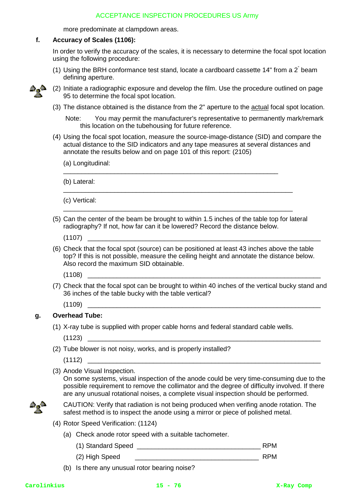more predominate at clampdown areas.

### **f. Accuracy of Scales (1106):**

In order to verify the accuracy of the scales, it is necessary to determine the focal spot location using the following procedure:

(1) Using the BRH conformance test stand, locate a cardboard cassette 14" from a  $2^{n}$  beam defining aperture.



(2) Initiate a radiographic exposure and develop the film. Use the procedure outlined on page 95 to determine the focal spot location.

(3) The distance obtained is the distance from the 2" aperture to the actual focal spot location.

Note: You may permit the manufacturer's representative to permanently mark/remark this location on the tubehousing for future reference.

(4) Using the focal spot location, measure the source-image-distance (SID) and compare the actual distance to the SID indicators and any tape measures at several distances and annotate the results below and on page 101 of this report: (2105)

(a) Longitudinal:

(b) Lateral:

(c) Vertical:

(5) Can the center of the beam be brought to within 1.5 inches of the table top for lateral radiography? If not, how far can it be lowered? Record the distance below.

\_\_\_\_\_\_\_\_\_\_\_\_\_\_\_\_\_\_\_\_\_\_\_\_\_\_\_\_\_\_\_\_\_\_\_\_\_\_\_\_\_\_\_\_\_\_\_\_\_\_\_\_\_\_\_\_\_\_\_\_\_\_\_

\_\_\_\_\_\_\_\_\_\_\_\_\_\_\_\_\_\_\_\_\_\_\_\_\_\_\_\_\_\_\_\_\_\_\_\_\_\_\_\_\_\_\_\_\_\_\_\_\_\_\_\_\_\_\_\_\_\_\_\_\_\_\_

\_\_\_\_\_\_\_\_\_\_\_\_\_\_\_\_\_\_\_\_\_\_\_\_\_\_\_\_\_\_\_\_\_\_\_\_\_\_\_\_\_\_\_\_\_\_\_\_\_\_\_\_\_\_\_\_\_\_\_

(1107) \_\_\_\_\_\_\_\_\_\_\_\_\_\_\_\_\_\_\_\_\_\_\_\_\_\_\_\_\_\_\_\_\_\_\_\_\_\_\_\_\_\_\_\_\_\_\_\_\_\_\_\_\_\_\_\_\_\_\_\_\_\_\_\_

(6) Check that the focal spot (source) can be positioned at least 43 inches above the table top? If this is not possible, measure the ceiling height and annotate the distance below. Also record the maximum SID obtainable.

(1108) \_\_\_\_\_\_\_\_\_\_\_\_\_\_\_\_\_\_\_\_\_\_\_\_\_\_\_\_\_\_\_\_\_\_\_\_\_\_\_\_\_\_\_\_\_\_\_\_\_\_\_\_\_\_\_\_\_\_\_\_\_\_\_\_

(7) Check that the focal spot can be brought to within 40 inches of the vertical bucky stand and 36 inches of the table bucky with the table vertical?

(1109) \_\_\_\_\_\_\_\_\_\_\_\_\_\_\_\_\_\_\_\_\_\_\_\_\_\_\_\_\_\_\_\_\_\_\_\_\_\_\_\_\_\_\_\_\_\_\_\_\_\_\_\_\_\_\_\_\_\_\_\_\_\_\_\_

### **g. Overhead Tube:**

(1) X-ray tube is supplied with proper cable horns and federal standard cable wells.

 $(1123)$ 

(2) Tube blower is not noisy, works, and is properly installed?

 $(1112)$ 

(3) Anode Visual Inspection.

On some systems, visual inspection of the anode could be very time-consuming due to the possible requirement to remove the collimator and the degree of difficulty involved. If there are any unusual rotational noises, a complete visual inspection should be performed.



CAUTION: Verify that radiation is not being produced when verifing anode rotation. The safest method is to inspect the anode using a mirror or piece of polished metal.

- (4) Rotor Speed Verification: (1124)
	- (a) Check anode rotor speed with a suitable tachometer.
		- (1) Standard Speed \_\_\_\_\_\_\_\_\_\_\_\_\_\_\_\_\_\_\_\_\_\_\_\_\_\_\_\_\_\_\_\_\_\_ RPM
		- (2) High Speed **RPM**
	- (b) Is there any unusual rotor bearing noise?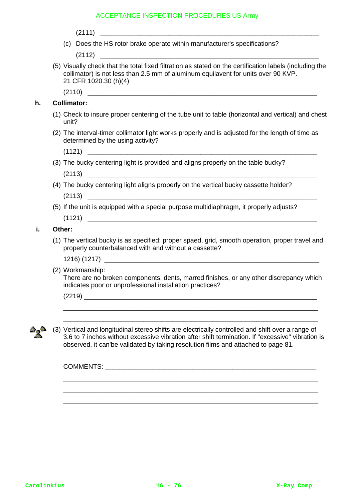(c) Does the HS rotor brake operate within manufacturer's specifications?

 $(2112)$ 

(5) Visually check that the total fixed filtration as stated on the certification labels (including the collimator) is not less than 2.5 mm of aluminum equilavent for units over 90 KVP. 21 CFR 1020.30 (h)(4)

 $(2110)$ 

### **h. Collimator:**

- (1) Check to insure proper centering of the tube unit to table (horizontal and vertical) and chest unit?
- (2) The interval-timer collimator light works properly and is adjusted for the length of time as determined by the using activity?
	- $(1121)$
- (3) The bucky centering light is provided and aligns properly on the table bucky?  $(2113)$
- (4) The bucky centering light aligns properly on the vertical bucky cassette holder?  $(2113)$
- (5) If the unit is equipped with a special purpose multidiaphragm, it properly adjusts?

 $(1121)$ 

### **i. Other:**

(1) The vertical bucky is as specified: proper spaed, grid, smooth operation, proper travel and properly counterbalanced with and without a cassette?

1216) (1217) \_\_\_\_\_\_\_\_\_\_\_\_\_\_\_\_\_\_\_\_\_\_\_\_\_\_\_\_\_\_\_\_\_\_\_\_\_\_\_\_\_\_\_\_\_\_\_\_\_\_\_\_\_\_\_\_\_\_\_

(2) Workmanship:

There are no broken components, dents, marred finishes, or any other discrepancy which indicates poor or unprofessional installation practices?

\_\_\_\_\_\_\_\_\_\_\_\_\_\_\_\_\_\_\_\_\_\_\_\_\_\_\_\_\_\_\_\_\_\_\_\_\_\_\_\_\_\_\_\_\_\_\_\_\_\_\_\_\_\_\_\_\_\_\_\_\_\_\_\_\_\_\_\_\_\_ \_\_\_\_\_\_\_\_\_\_\_\_\_\_\_\_\_\_\_\_\_\_\_\_\_\_\_\_\_\_\_\_\_\_\_\_\_\_\_\_\_\_\_\_\_\_\_\_\_\_\_\_\_\_\_\_\_\_\_\_\_\_\_\_\_\_\_\_\_\_

 $(2219)$ 



(3) Vertical and longitudinal stereo shifts are electrically controlled and shift over a range of 3.6 to 7 inches without excessive vibration after shift termination. If "excessive" vibration is observed, it can'be validated by taking resolution films and attached to page 81.

\_\_\_\_\_\_\_\_\_\_\_\_\_\_\_\_\_\_\_\_\_\_\_\_\_\_\_\_\_\_\_\_\_\_\_\_\_\_\_\_\_\_\_\_\_\_\_\_\_\_\_\_\_\_\_\_\_\_\_\_\_\_\_\_\_\_\_\_\_\_ \_\_\_\_\_\_\_\_\_\_\_\_\_\_\_\_\_\_\_\_\_\_\_\_\_\_\_\_\_\_\_\_\_\_\_\_\_\_\_\_\_\_\_\_\_\_\_\_\_\_\_\_\_\_\_\_\_\_\_\_\_\_\_\_\_\_\_\_\_\_ \_\_\_\_\_\_\_\_\_\_\_\_\_\_\_\_\_\_\_\_\_\_\_\_\_\_\_\_\_\_\_\_\_\_\_\_\_\_\_\_\_\_\_\_\_\_\_\_\_\_\_\_\_\_\_\_\_\_\_\_\_\_\_\_\_\_\_\_\_\_

COMMENTS: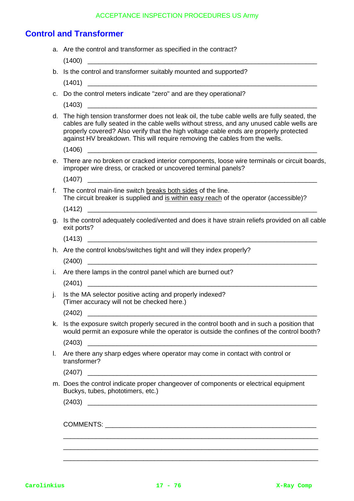# **Control and Transformer**

|    | a. Are the control and transformer as specified in the contract?                                                                                                                                                                                                                                                                                                   |
|----|--------------------------------------------------------------------------------------------------------------------------------------------------------------------------------------------------------------------------------------------------------------------------------------------------------------------------------------------------------------------|
|    |                                                                                                                                                                                                                                                                                                                                                                    |
|    | b. Is the control and transformer suitably mounted and supported?                                                                                                                                                                                                                                                                                                  |
|    |                                                                                                                                                                                                                                                                                                                                                                    |
|    | c. Do the control meters indicate "zero" and are they operational?                                                                                                                                                                                                                                                                                                 |
|    |                                                                                                                                                                                                                                                                                                                                                                    |
|    | d. The high tension transformer does not leak oil, the tube cable wells are fully seated, the<br>cables are fully seated in the cable wells without stress, and any unused cable wells are<br>properly covered? Also verify that the high voltage cable ends are properly protected<br>against HV breakdown. This will require removing the cables from the wells. |
|    |                                                                                                                                                                                                                                                                                                                                                                    |
|    | e. There are no broken or cracked interior components, loose wire terminals or circuit boards,<br>improper wire dress, or cracked or uncovered terminal panels?                                                                                                                                                                                                    |
|    |                                                                                                                                                                                                                                                                                                                                                                    |
| f. | The control main-line switch breaks both sides of the line.<br>The circuit breaker is supplied and is within easy reach of the operator (accessible)?                                                                                                                                                                                                              |
|    | (1412)                                                                                                                                                                                                                                                                                                                                                             |
| q. | Is the control adequately cooled/vented and does it have strain reliefs provided on all cable<br>exit ports?                                                                                                                                                                                                                                                       |
|    |                                                                                                                                                                                                                                                                                                                                                                    |
|    | h. Are the control knobs/switches tight and will they index properly?                                                                                                                                                                                                                                                                                              |
|    |                                                                                                                                                                                                                                                                                                                                                                    |
|    | i. Are there lamps in the control panel which are burned out?                                                                                                                                                                                                                                                                                                      |
|    |                                                                                                                                                                                                                                                                                                                                                                    |
| j. | Is the MA selector positive acting and properly indexed?<br>(Timer accuracy will not be checked here.)                                                                                                                                                                                                                                                             |
|    |                                                                                                                                                                                                                                                                                                                                                                    |
| k. | Is the exposure switch properly secured in the control booth and in such a position that<br>would permit an exposure while the operator is outside the confines of the control booth?                                                                                                                                                                              |
|    |                                                                                                                                                                                                                                                                                                                                                                    |
| L. | Are there any sharp edges where operator may come in contact with control or<br>transformer?                                                                                                                                                                                                                                                                       |
|    |                                                                                                                                                                                                                                                                                                                                                                    |
|    | m. Does the control indicate proper changeover of components or electrical equipment<br>Buckys, tubes, phototimers, etc.)                                                                                                                                                                                                                                          |
|    | (2403)                                                                                                                                                                                                                                                                                                                                                             |
|    |                                                                                                                                                                                                                                                                                                                                                                    |
|    |                                                                                                                                                                                                                                                                                                                                                                    |
|    |                                                                                                                                                                                                                                                                                                                                                                    |
|    |                                                                                                                                                                                                                                                                                                                                                                    |
|    |                                                                                                                                                                                                                                                                                                                                                                    |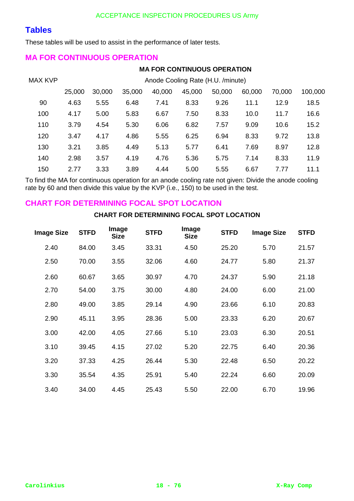# **Tables**

These tables will be used to assist in the performance of later tests.

## **MA FOR CONTINUOUS OPERATION**

### **MA FOR CONTINUOUS OPERATION**

| <b>MAX KVP</b> | Anode Cooling Rate (H.U. /minute) |        |        |        |        |        |        |        |         |
|----------------|-----------------------------------|--------|--------|--------|--------|--------|--------|--------|---------|
|                | 25,000                            | 30,000 | 35,000 | 40,000 | 45,000 | 50,000 | 60,000 | 70,000 | 100,000 |
| 90             | 4.63                              | 5.55   | 6.48   | 7.41   | 8.33   | 9.26   | 11.1   | 12.9   | 18.5    |
| 100            | 4.17                              | 5.00   | 5.83   | 6.67   | 7.50   | 8.33   | 10.0   | 11.7   | 16.6    |
| 110            | 3.79                              | 4.54   | 5.30   | 6.06   | 6.82   | 7.57   | 9.09   | 10.6   | 15.2    |
| 120            | 3.47                              | 4.17   | 4.86   | 5.55   | 6.25   | 6.94   | 8.33   | 9.72   | 13.8    |
| 130            | 3.21                              | 3.85   | 4.49   | 5.13   | 5.77   | 6.41   | 7.69   | 8.97   | 12.8    |
| 140            | 2.98                              | 3.57   | 4.19   | 4.76   | 5.36   | 5.75   | 7.14   | 8.33   | 11.9    |
| 150            | 2.77                              | 3.33   | 3.89   | 4.44   | 5.00   | 5.55   | 6.67   | 7.77   | 11.1    |

To find the MA for continuous operation for an anode cooling rate not given: Divide the anode cooling rate by 60 and then divide this value by the KVP (i.e., 150) to be used in the test.

## **CHART FOR DETERMINING FOCAL SPOT LOCATION**

### **CHART FOR DETERMINING FOCAL SPOT LOCATION**

| <b>Image Size</b> | <b>STFD</b> | Image<br><b>Size</b> | <b>STFD</b> | Image<br><b>Size</b> | <b>STFD</b> | <b>Image Size</b> | <b>STFD</b> |
|-------------------|-------------|----------------------|-------------|----------------------|-------------|-------------------|-------------|
| 2.40              | 84.00       | 3.45                 | 33.31       | 4.50                 | 25.20       | 5.70              | 21.57       |
| 2.50              | 70.00       | 3.55                 | 32.06       | 4.60                 | 24.77       | 5.80              | 21.37       |
| 2.60              | 60.67       | 3.65                 | 30.97       | 4.70                 | 24.37       | 5.90              | 21.18       |
| 2.70              | 54.00       | 3.75                 | 30.00       | 4.80                 | 24.00       | 6.00              | 21.00       |
| 2.80              | 49.00       | 3.85                 | 29.14       | 4.90                 | 23.66       | 6.10              | 20.83       |
| 2.90              | 45.11       | 3.95                 | 28.36       | 5.00                 | 23.33       | 6.20              | 20.67       |
| 3.00              | 42.00       | 4.05                 | 27.66       | 5.10                 | 23.03       | 6.30              | 20.51       |
| 3.10              | 39.45       | 4.15                 | 27.02       | 5.20                 | 22.75       | 6.40              | 20.36       |
| 3.20              | 37.33       | 4.25                 | 26.44       | 5.30                 | 22.48       | 6.50              | 20.22       |
| 3.30              | 35.54       | 4.35                 | 25.91       | 5.40                 | 22.24       | 6.60              | 20.09       |
| 3.40              | 34.00       | 4.45                 | 25.43       | 5.50                 | 22.00       | 6.70              | 19.96       |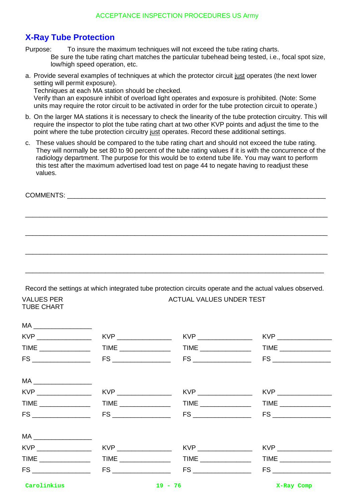# **X-Ray Tube Protection**

Purpose: To insure the maximum techniques will not exceed the tube rating charts. Be sure the tube rating chart matches the particular tubehead being tested, i.e., focal spot size, low/high speed operation, etc.

a. Provide several examples of techniques at which the protector circuit just operates (the next lower setting will permit exposure). Techniques at each MA station should be checked.

Verify than an exposure inhibit of overload light operates and exposure is prohibited. (Note: Some units may require the rotor circuit to be activated in order for the tube protection circuit to operate.)

- b. On the larger MA stations it is necessary to check the linearity of the tube protection circuitry. This will require the inspector to plot the tube rating chart at two other KVP points and adjust the time to the point where the tube protection circuitry just operates. Record these additional settings.
- c. These values should be compared to the tube rating chart and should not exceed the tube rating. They will normally be set 80 to 90 percent of the tube rating values if it is with the concurrence of the radiology department. The purpose for this would be to extend tube life. You may want to perform this test after the maximum advertised load test on page 44 to negate having to readjust these values.

\_\_\_\_\_\_\_\_\_\_\_\_\_\_\_\_\_\_\_\_\_\_\_\_\_\_\_\_\_\_\_\_\_\_\_\_\_\_\_\_\_\_\_\_\_\_\_\_\_\_\_\_\_\_\_\_\_\_\_\_\_\_\_\_\_\_\_\_\_\_\_\_\_\_\_\_\_\_\_\_\_\_\_

\_\_\_\_\_\_\_\_\_\_\_\_\_\_\_\_\_\_\_\_\_\_\_\_\_\_\_\_\_\_\_\_\_\_\_\_\_\_\_\_\_\_\_\_\_\_\_\_\_\_\_\_\_\_\_\_\_\_\_\_\_\_\_\_\_\_\_\_\_\_\_\_\_\_\_\_\_\_\_\_\_\_\_

\_\_\_\_\_\_\_\_\_\_\_\_\_\_\_\_\_\_\_\_\_\_\_\_\_\_\_\_\_\_\_\_\_\_\_\_\_\_\_\_\_\_\_\_\_\_\_\_\_\_\_\_\_\_\_\_\_\_\_\_\_\_\_\_\_\_\_\_\_\_\_\_\_\_\_\_\_\_\_\_\_\_\_

COMMENTS: \_\_\_\_\_\_\_\_\_\_\_\_\_\_\_\_\_\_\_\_\_\_\_\_\_\_\_\_\_\_\_\_\_\_\_\_\_\_\_\_\_\_\_\_\_\_\_\_\_\_\_\_\_\_\_\_\_\_\_\_\_\_\_\_\_\_\_\_\_\_\_

VALUES PER

Record the settings at which integrated tube protection circuits operate and the actual values observed.

ACTUAL VALUES UNDER TEST

\_\_\_\_\_\_\_\_\_\_\_\_\_\_\_\_\_\_\_\_\_\_\_\_\_\_\_\_\_\_\_\_\_\_\_\_\_\_\_\_\_\_\_\_\_\_\_\_\_\_\_\_\_\_\_\_\_\_\_\_\_\_\_\_\_\_\_\_\_\_\_\_\_\_\_\_\_\_\_\_\_\_

| TUBE CHART                                                                                                                                                                                                                                                                                                                                                                                                                                                                                                          |  |                      |
|---------------------------------------------------------------------------------------------------------------------------------------------------------------------------------------------------------------------------------------------------------------------------------------------------------------------------------------------------------------------------------------------------------------------------------------------------------------------------------------------------------------------|--|----------------------|
| $\begin{picture}(180,10) \put(0,0){\line(1,0){10}} \put(15,0){\line(1,0){10}} \put(15,0){\line(1,0){10}} \put(15,0){\line(1,0){10}} \put(15,0){\line(1,0){10}} \put(15,0){\line(1,0){10}} \put(15,0){\line(1,0){10}} \put(15,0){\line(1,0){10}} \put(15,0){\line(1,0){10}} \put(15,0){\line(1,0){10}} \put(15,0){\line(1,0){10}} \put(15,0){\line($                                                                                                                                                                 |  |                      |
|                                                                                                                                                                                                                                                                                                                                                                                                                                                                                                                     |  |                      |
|                                                                                                                                                                                                                                                                                                                                                                                                                                                                                                                     |  |                      |
|                                                                                                                                                                                                                                                                                                                                                                                                                                                                                                                     |  |                      |
| $MA \begin{tabular}{c} \multicolumn{2}{c} {\textbf{MA}} \\ \multicolumn{2}{c} {\textbf{MA}} \\ \multicolumn{2}{c} {\textbf{MA}} \\ \multicolumn{2}{c} {\textbf{MA}} \\ \multicolumn{2}{c} {\textbf{MA}} \\ \multicolumn{2}{c} {\textbf{MA}} \\ \multicolumn{2}{c} {\textbf{MA}} \\ \multicolumn{2}{c} {\textbf{MA}} \\ \multicolumn{2}{c} {\textbf{MA}} \\ \multicolumn{2}{c} {\textbf{MA}} \\ \multicolumn{2}{c} {\textbf{MA}} \\ \multicolumn{2}{c} {\textbf{MA}} \\ \multicolumn{2}{c} {\textbf{MA}} \\ \multic$ |  |                      |
|                                                                                                                                                                                                                                                                                                                                                                                                                                                                                                                     |  |                      |
|                                                                                                                                                                                                                                                                                                                                                                                                                                                                                                                     |  |                      |
|                                                                                                                                                                                                                                                                                                                                                                                                                                                                                                                     |  |                      |
| $\begin{picture}(180,10) \put(0,0){\line(1,0){100}} \put(15,0){\line(1,0){100}} \put(15,0){\line(1,0){100}} \put(15,0){\line(1,0){100}} \put(15,0){\line(1,0){100}} \put(15,0){\line(1,0){100}} \put(15,0){\line(1,0){100}} \put(15,0){\line(1,0){100}} \put(15,0){\line(1,0){100}} \put(15,0){\line(1,0){100}} \put(15,0){\line(1,0){100}}$                                                                                                                                                                        |  |                      |
|                                                                                                                                                                                                                                                                                                                                                                                                                                                                                                                     |  |                      |
|                                                                                                                                                                                                                                                                                                                                                                                                                                                                                                                     |  |                      |
|                                                                                                                                                                                                                                                                                                                                                                                                                                                                                                                     |  |                      |
| Carolinkius                                                                                                                                                                                                                                                                                                                                                                                                                                                                                                         |  | $19 - 76$ X-Ray Comp |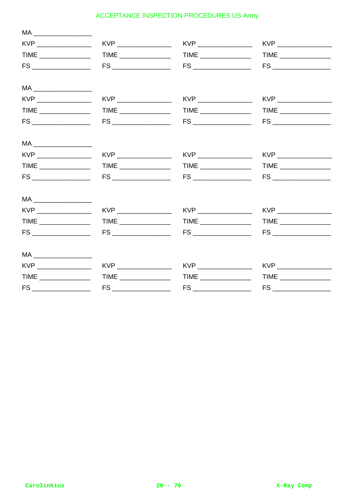| $MA \begin{tabular}{c} \multicolumn{2}{c} {\textbf{MA}} \\ \multicolumn{2}{c} {\textbf{MA}} \\ \multicolumn{2}{c} {\textbf{MA}} \\ \multicolumn{2}{c} {\textbf{MA}} \\ \multicolumn{2}{c} {\textbf{MA}} \\ \multicolumn{2}{c} {\textbf{MA}} \\ \multicolumn{2}{c} {\textbf{MA}} \\ \multicolumn{2}{c} {\textbf{MA}} \\ \multicolumn{2}{c} {\textbf{MA}} \\ \multicolumn{2}{c} {\textbf{MA}} \\ \multicolumn{2}{c} {\textbf{MA}} \\ \multicolumn{2}{c} {\textbf{MA}} \\ \multicolumn{2}{c} {\textbf{MA}} \\ \multic$ |  |  |
|---------------------------------------------------------------------------------------------------------------------------------------------------------------------------------------------------------------------------------------------------------------------------------------------------------------------------------------------------------------------------------------------------------------------------------------------------------------------------------------------------------------------|--|--|
|                                                                                                                                                                                                                                                                                                                                                                                                                                                                                                                     |  |  |
|                                                                                                                                                                                                                                                                                                                                                                                                                                                                                                                     |  |  |
|                                                                                                                                                                                                                                                                                                                                                                                                                                                                                                                     |  |  |
| $\begin{picture}(20,10) \put(0,0){\dashbox{0.5}(5,0){ }} \put(15,0){\dashbox{0.5}(5,0){ }} \put(15,0){\dashbox{0.5}(5,0){ }} \put(15,0){\dashbox{0.5}(5,0){ }} \put(15,0){\dashbox{0.5}(5,0){ }} \put(15,0){\dashbox{0.5}(5,0){ }} \put(15,0){\dashbox{0.5}(5,0){ }} \put(15,0){\dashbox{0.5}(5,0){ }} \put(15,0){\dashbox{0.5}(5,0){ }} \put(15,0){\dashbox{0.5}(5,0){ }}$                                                                                                                                         |  |  |
|                                                                                                                                                                                                                                                                                                                                                                                                                                                                                                                     |  |  |
|                                                                                                                                                                                                                                                                                                                                                                                                                                                                                                                     |  |  |
|                                                                                                                                                                                                                                                                                                                                                                                                                                                                                                                     |  |  |
| $MA \begin{tabular}{c} \multicolumn{2}{c} {\textbf{MA}} \\ \multicolumn{2}{c} {\textbf{MA}} \\ \multicolumn{2}{c} {\textbf{MA}} \\ \multicolumn{2}{c} {\textbf{MA}} \\ \multicolumn{2}{c} {\textbf{MA}} \\ \multicolumn{2}{c} {\textbf{MA}} \\ \multicolumn{2}{c} {\textbf{MA}} \\ \multicolumn{2}{c} {\textbf{MA}} \\ \multicolumn{2}{c} {\textbf{MA}} \\ \multicolumn{2}{c} {\textbf{MA}} \\ \multicolumn{2}{c} {\textbf{MA}} \\ \multicolumn{2}{c} {\textbf{MA}} \\ \multicolumn{2}{c} {\textbf{MA}} \\ \multic$ |  |  |
|                                                                                                                                                                                                                                                                                                                                                                                                                                                                                                                     |  |  |
|                                                                                                                                                                                                                                                                                                                                                                                                                                                                                                                     |  |  |
|                                                                                                                                                                                                                                                                                                                                                                                                                                                                                                                     |  |  |
| $\begin{picture}(20,20) \put(0,0){\dashbox{0.5}(5,0){ }} \put(15,0){\dashbox{0.5}(5,0){ }} \put(15,0){\dashbox{0.5}(5,0){ }} \put(15,0){\dashbox{0.5}(5,0){ }} \put(15,0){\dashbox{0.5}(5,0){ }} \put(15,0){\dashbox{0.5}(5,0){ }} \put(15,0){\dashbox{0.5}(5,0){ }} \put(15,0){\dashbox{0.5}(5,0){ }} \put(15,0){\dashbox{0.5}(5,0){ }} \put(15,0){\dashbox{0.5}(5,0){ }}$                                                                                                                                         |  |  |
|                                                                                                                                                                                                                                                                                                                                                                                                                                                                                                                     |  |  |
|                                                                                                                                                                                                                                                                                                                                                                                                                                                                                                                     |  |  |
|                                                                                                                                                                                                                                                                                                                                                                                                                                                                                                                     |  |  |
| $\begin{picture}(20,20) \put(0,0){\dashbox{0.5}(5,0){ }} \put(15,0){\dashbox{0.5}(5,0){ }} \put(15,0){\dashbox{0.5}(5,0){ }} \put(15,0){\dashbox{0.5}(5,0){ }} \put(15,0){\dashbox{0.5}(5,0){ }} \put(15,0){\dashbox{0.5}(5,0){ }} \put(15,0){\dashbox{0.5}(5,0){ }} \put(15,0){\dashbox{0.5}(5,0){ }} \put(15,0){\dashbox{0.5}(5,0){ }} \put(15,0){\dashbox{0.5}(5,0){ }}$                                                                                                                                         |  |  |
|                                                                                                                                                                                                                                                                                                                                                                                                                                                                                                                     |  |  |
|                                                                                                                                                                                                                                                                                                                                                                                                                                                                                                                     |  |  |
|                                                                                                                                                                                                                                                                                                                                                                                                                                                                                                                     |  |  |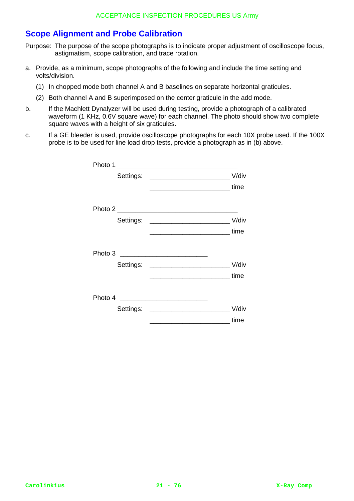# **Scope Alignment and Probe Calibration**

Purpose: The purpose of the scope photographs is to indicate proper adjustment of oscilloscope focus, astigmatism, scope calibration, and trace rotation.

- a. Provide, as a minimum, scope photographs of the following and include the time setting and volts/division.
	- (1) In chopped mode both channel A and B baselines on separate horizontal graticules.
	- (2) Both channel A and B superimposed on the center graticule in the add mode.
- b. If the Machlett Dynalyzer will be used during testing, provide a photograph of a calibrated waveform (1 KHz, 0.6V square wave) for each channel. The photo should show two complete square waves with a height of six graticules.
- c. If a GE bleeder is used, provide oscilloscope photographs for each 10X probe used. If the 100X probe is to be used for line load drop tests, provide a photograph as in (b) above.

| Photo 1<br><u> 1988 - Johann Stoff, deutscher Stoffen und der Stoffen und der Stoffen und der Stoffen und der Stoffen und der</u> |                                      |
|-----------------------------------------------------------------------------------------------------------------------------------|--------------------------------------|
| Settings: _____________________________                                                                                           | V/div                                |
|                                                                                                                                   | ________________________________time |
|                                                                                                                                   |                                      |
|                                                                                                                                   |                                      |
|                                                                                                                                   | _____________________________time    |
|                                                                                                                                   |                                      |
| Settings:                                                                                                                         | V/div                                |
|                                                                                                                                   | time                                 |
|                                                                                                                                   |                                      |
| Settings: _________________________                                                                                               | V/div                                |
|                                                                                                                                   | time                                 |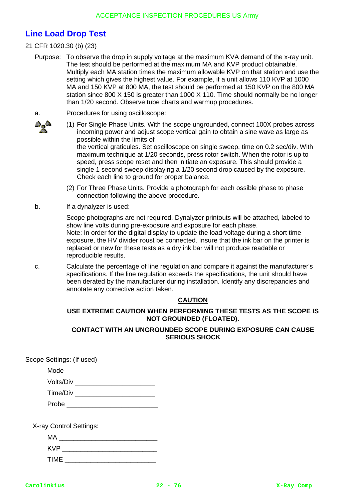# **Line Load Drop Test**

## 21 CFR 1020.30 (b) (23)

- Purpose: To observe the drop in supply voltage at the maximum KVA demand of the x-ray unit. The test should be performed at the maximum MA and KVP product obtainable. Multiply each MA station times the maximum allowable KVP on that station and use the setting which gives the highest value. For example, if a unit allows 110 KVP at 1000 MA and 150 KVP at 800 MA, the test should be performed at 150 KVP on the 800 MA station since 800 X 150 is greater than 1000 X 110. Time should normally be no longer than 1/20 second. Observe tube charts and warmup procedures.
- a. Procedures for using oscilloscope:
- 96
- (1) For Single Phase Units. With the scope ungrounded, connect 100X probes across incoming power and adjust scope vertical gain to obtain a sine wave as large as possible within the limits of the vertical graticules. Set oscilloscope on single sweep, time on 0.2 sec/div. With maximum technique at 1/20 seconds, press rotor switch. When the rotor is up to speed, press scope reset and then initiate an exposure. This should provide a single 1 second sweep displaying a 1/20 second drop caused by the exposure.
- (2) For Three Phase Units. Provide a photograph for each ossible phase to phase connection following the above procedure.

Check each line to ground for proper balance.

b. If a dynalyzer is used:

Scope photographs are not required. Dynalyzer printouts will be attached, labeled to show line volts during pre-exposure and exposure for each phase. Note: In order for the digital display to update the load voltage during a short time exposure, the HV divider roust be connected. Insure that the ink bar on the printer is replaced or new for these tests as a dry ink bar will not produce readable or reproducible results.

c. Calculate the percentage of line regulation and compare it against the manufacturer's specifications. If the line regulation exceeds the specifications, the unit should have been derated by the manufacturer during installation. Identify any discrepancies and annotate any corrective action taken.

### **CAUTION**

### **USE EXTREME CAUTION WHEN PERFORMING THESE TESTS AS THE SCOPE IS NOT GROUNDED (FLOATED).**

### **CONTACT WITH AN UNGROUNDED SCOPE DURING EXPOSURE CAN CAUSE SERIOUS SHOCK**

Scope Settings: (If used)

Mode

| Volts/Div |  |  |  |
|-----------|--|--|--|
|           |  |  |  |

| Time/Div |  |  |
|----------|--|--|
| Probe    |  |  |

X-ray Control Settings:

| МA   |  |
|------|--|
| KVP  |  |
| TIME |  |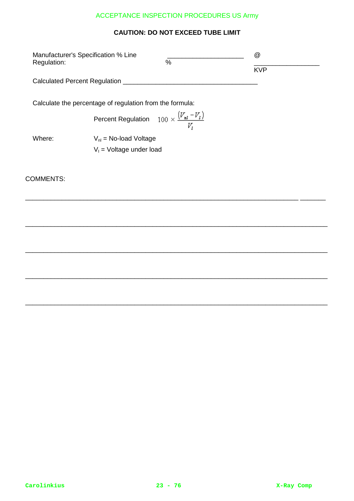## **CAUTION: DO NOT EXCEED TUBE LIMIT**

| Manufacturer's Specification % Line<br>Regulation:       | % | @          |
|----------------------------------------------------------|---|------------|
|                                                          |   | <b>KVP</b> |
| Calculated Percent Regulation                            |   |            |
| Calculate the percentage of regulation from the formula: |   |            |
| Percent Regulation $100 \times \frac{(V_{nl} - V_l)}{N}$ |   |            |

\_\_\_\_\_\_\_\_\_\_\_\_\_\_\_\_\_\_\_\_\_\_\_\_\_\_\_\_\_\_\_\_\_\_\_\_\_\_\_\_\_\_\_\_\_\_\_\_\_\_\_\_\_\_\_\_\_\_\_\_\_\_\_\_\_\_\_\_\_\_\_\_\_\_\_ \_\_\_\_\_\_\_

\_\_\_\_\_\_\_\_\_\_\_\_\_\_\_\_\_\_\_\_\_\_\_\_\_\_\_\_\_\_\_\_\_\_\_\_\_\_\_\_\_\_\_\_\_\_\_\_\_\_\_\_\_\_\_\_\_\_\_\_\_\_\_\_\_\_\_\_\_\_\_\_\_\_\_\_\_\_\_\_\_\_\_

\_\_\_\_\_\_\_\_\_\_\_\_\_\_\_\_\_\_\_\_\_\_\_\_\_\_\_\_\_\_\_\_\_\_\_\_\_\_\_\_\_\_\_\_\_\_\_\_\_\_\_\_\_\_\_\_\_\_\_\_\_\_\_\_\_\_\_\_\_\_\_\_\_\_\_\_\_\_\_\_\_\_\_

\_\_\_\_\_\_\_\_\_\_\_\_\_\_\_\_\_\_\_\_\_\_\_\_\_\_\_\_\_\_\_\_\_\_\_\_\_\_\_\_\_\_\_\_\_\_\_\_\_\_\_\_\_\_\_\_\_\_\_\_\_\_\_\_\_\_\_\_\_\_\_\_\_\_\_\_\_\_\_\_\_\_\_

\_\_\_\_\_\_\_\_\_\_\_\_\_\_\_\_\_\_\_\_\_\_\_\_\_\_\_\_\_\_\_\_\_\_\_\_\_\_\_\_\_\_\_\_\_\_\_\_\_\_\_\_\_\_\_\_\_\_\_\_\_\_\_\_\_\_\_\_\_\_\_\_\_\_\_\_\_\_\_\_\_\_\_

 $\overline{V_l}$ 

Where:  $V_{nl} = No$ -load Voltage

 $V_1$  = Voltage under load

### COMMENTS: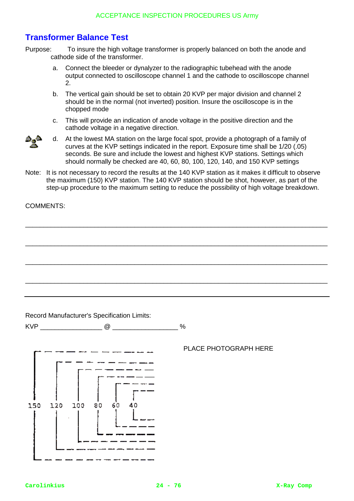# **Transformer Balance Test**

Purpose: To insure the high voltage transformer is properly balanced on both the anode and cathode side of the transformer.

- a. Connect the bleeder or dynalyzer to the radiographic tubehead with the anode output connected to oscilloscope channel 1 and the cathode to oscilloscope channel 2.
- b. The vertical gain should be set to obtain 20 KVP per major division and channel 2 should be in the normal (not inverted) position. Insure the oscilloscope is in the chopped mode
- c. This will provide an indication of anode voltage in the positive direction and the cathode voltage in a negative direction.



d. At the lowest MA station on the large focal spot, provide a photograph of a family of curves at the KVP settings indicated in the report. Exposure time shall be 1/20 (.05) seconds. Be sure and include the lowest and highest KVP stations. Settings which should normally be checked are 40, 60, 80, 100, 120, 140, and 150 KVP settings

Note: It is not necessary to record the results at the 140 KVP station as it makes it difficult to observe the maximum (150) KVP station. The 140 KVP station should be shot, however, as part of the step-up procedure to the maximum setting to reduce the possibility of high voltage breakdown.

\_\_\_\_\_\_\_\_\_\_\_\_\_\_\_\_\_\_\_\_\_\_\_\_\_\_\_\_\_\_\_\_\_\_\_\_\_\_\_\_\_\_\_\_\_\_\_\_\_\_\_\_\_\_\_\_\_\_\_\_\_\_\_\_\_\_\_\_\_\_\_\_\_\_\_\_\_\_\_\_\_\_\_

\_\_\_\_\_\_\_\_\_\_\_\_\_\_\_\_\_\_\_\_\_\_\_\_\_\_\_\_\_\_\_\_\_\_\_\_\_\_\_\_\_\_\_\_\_\_\_\_\_\_\_\_\_\_\_\_\_\_\_\_\_\_\_\_\_\_\_\_\_\_\_\_\_\_\_\_\_\_\_\_\_\_\_

\_\_\_\_\_\_\_\_\_\_\_\_\_\_\_\_\_\_\_\_\_\_\_\_\_\_\_\_\_\_\_\_\_\_\_\_\_\_\_\_\_\_\_\_\_\_\_\_\_\_\_\_\_\_\_\_\_\_\_\_\_\_\_\_\_\_\_\_\_\_\_\_\_\_\_\_\_\_\_\_\_\_\_

\_\_\_\_\_\_\_\_\_\_\_\_\_\_\_\_\_\_\_\_\_\_\_\_\_\_\_\_\_\_\_\_\_\_\_\_\_\_\_\_\_\_\_\_\_\_\_\_\_\_\_\_\_\_\_\_\_\_\_\_\_\_\_\_\_\_\_\_\_\_\_\_\_\_\_\_\_\_\_\_\_\_\_

COMMENTS:

Record Manufacturer's Specification Limits:

KVP  $\qquad \qquad \textcircled{2} \qquad \qquad \textcircled{4}$ 



### PLACE PHOTOGRAPH HERE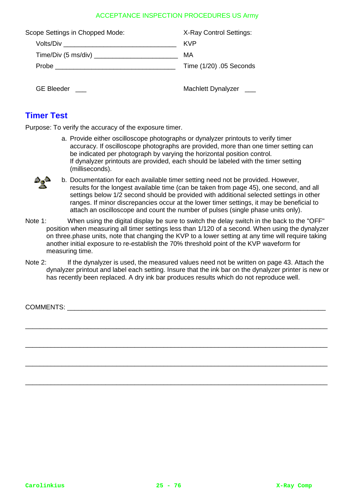| Scope Settings in Chopped Mode: | X-Ray Control Settings: |
|---------------------------------|-------------------------|
| Volts/Div                       | <b>KVP</b>              |
|                                 | MA                      |
|                                 | Time (1/20) .05 Seconds |
| GE Bleeder $\vert$              | Machlett Dynalyzer  __  |

## **Timer Test**

Purpose: To verify the accuracy of the exposure timer.

a. Provide either oscilloscope photographs or dynalyzer printouts to verify timer accuracy. If oscilloscope photographs are provided, more than one timer setting can be indicated per photograph by varying the horizontal position control. If dynalyzer printouts are provided, each should be labeled with the timer setting (milliseconds).



- b. Documentation for each available timer setting need not be provided. However, results for the longest available time (can be taken from page 45), one second, and all settings below 1/2 second should be provided with additional selected settings in other ranges. If minor discrepancies occur at the lower timer settings, it may be beneficial to attach an oscilloscope and count the number of pulses (single phase units only).
- Note 1: When using the digital display be sure to switch the delay switch in the back to the "OFF" position when measuring all timer settings less than 1/120 of a second. When using the dynalyzer on three.phase units, note that changing the KVP to a lower setting at any time will require taking another initial exposure to re-establish the 70% threshold point of the KVP waveform for measuring time.
- Note 2: If the dynalyzer is used, the measured values need not be written on page 43. Attach the dynalyzer printout and label each setting. Insure that the ink bar on the dynalyzer printer is new or has recently been replaced. A dry ink bar produces results which do not reproduce well.

\_\_\_\_\_\_\_\_\_\_\_\_\_\_\_\_\_\_\_\_\_\_\_\_\_\_\_\_\_\_\_\_\_\_\_\_\_\_\_\_\_\_\_\_\_\_\_\_\_\_\_\_\_\_\_\_\_\_\_\_\_\_\_\_\_\_\_\_\_\_\_\_\_\_\_\_\_\_\_\_\_\_\_

\_\_\_\_\_\_\_\_\_\_\_\_\_\_\_\_\_\_\_\_\_\_\_\_\_\_\_\_\_\_\_\_\_\_\_\_\_\_\_\_\_\_\_\_\_\_\_\_\_\_\_\_\_\_\_\_\_\_\_\_\_\_\_\_\_\_\_\_\_\_\_\_\_\_\_\_\_\_\_\_\_\_\_

\_\_\_\_\_\_\_\_\_\_\_\_\_\_\_\_\_\_\_\_\_\_\_\_\_\_\_\_\_\_\_\_\_\_\_\_\_\_\_\_\_\_\_\_\_\_\_\_\_\_\_\_\_\_\_\_\_\_\_\_\_\_\_\_\_\_\_\_\_\_\_\_\_\_\_\_\_\_\_\_\_\_\_

\_\_\_\_\_\_\_\_\_\_\_\_\_\_\_\_\_\_\_\_\_\_\_\_\_\_\_\_\_\_\_\_\_\_\_\_\_\_\_\_\_\_\_\_\_\_\_\_\_\_\_\_\_\_\_\_\_\_\_\_\_\_\_\_\_\_\_\_\_\_\_\_\_\_\_\_\_\_\_\_\_\_\_

COMMENTS: The community of the community of the community of the community of the community of the community of the community of the community of the community of the community of the community of the community of the comm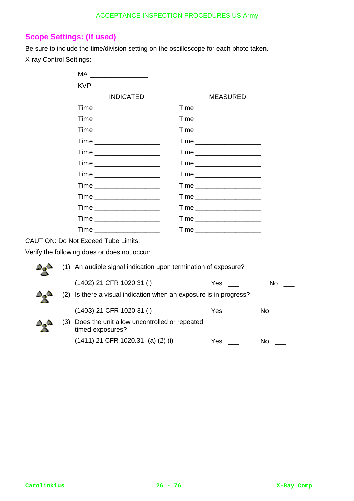# **Scope Settings: (If used)**

Be sure to include the time/division setting on the oscilloscope for each photo taken. X-ray Control Settings:

|             | MA <b>Martin</b>                                                                                                                                                                                                               |                                |                 |
|-------------|--------------------------------------------------------------------------------------------------------------------------------------------------------------------------------------------------------------------------------|--------------------------------|-----------------|
|             |                                                                                                                                                                                                                                |                                |                 |
|             | <b>INDICATED</b>                                                                                                                                                                                                               | <b>MEASURED</b>                |                 |
|             |                                                                                                                                                                                                                                | Time _____________________     |                 |
|             |                                                                                                                                                                                                                                | Time ______________________    |                 |
|             |                                                                                                                                                                                                                                | Time ______________________    |                 |
|             |                                                                                                                                                                                                                                | Time ____________________      |                 |
|             | Time ____________________                                                                                                                                                                                                      | Time ____________________      |                 |
|             |                                                                                                                                                                                                                                | Time _____________________     |                 |
|             | Time _____________________                                                                                                                                                                                                     | Time ________________________  |                 |
|             |                                                                                                                                                                                                                                | Time _____________________     |                 |
|             | Time ____________________                                                                                                                                                                                                      | Time _______________________   |                 |
|             |                                                                                                                                                                                                                                | Time _______________________   |                 |
|             | Time ______________________                                                                                                                                                                                                    | Time ________________________  |                 |
|             | Time the contract of the contract of the contract of the contract of the contract of the contract of the contract of the contract of the contract of the contract of the contract of the contract of the contract of the contr | Time _________________________ |                 |
|             | <b>CAUTION: Do Not Exceed Tube Limits.</b>                                                                                                                                                                                     |                                |                 |
|             | Verify the following does or does not.occur:                                                                                                                                                                                   |                                |                 |
| دي جا<br>л  | (1) An audible signal indication upon termination of exposure?                                                                                                                                                                 |                                |                 |
|             | (1402) 21 CFR 1020.31 (i)                                                                                                                                                                                                      | Yes $\vert$ $\vert$            | $\mathsf{No}$   |
| (2)<br>دہ م | Is there a visual indication when an exposure is in progress?                                                                                                                                                                  |                                |                 |
|             | (1403) 21 CFR 1020.31 (i)                                                                                                                                                                                                      | $Yes \mid \cdot \cdot \mid$    | $\mathsf{No}$   |
| (3)         | Does the unit allow uncontrolled or repeated<br>timed exposures?                                                                                                                                                               |                                |                 |
|             | (1411) 21 CFR 1020.31- (a) (2) (i)                                                                                                                                                                                             | $Yes \mid \cdot \cdot \mid$    | No <sub>1</sub> |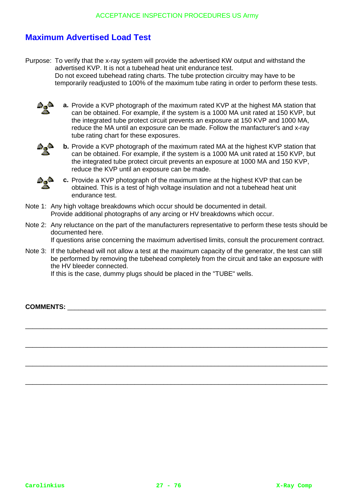# **Maximum Advertised Load Test**

Purpose: To verify that the x-ray system will provide the advertised KW output and withstand the advertised KVP. It is not a tubehead heat unit endurance test. Do not exceed tubehead rating charts. The tube protection circuitry may have to be temporarily readjusted to 100% of the maximum tube rating in order to perform these tests.

a,a

**a.** Provide a KVP photograph of the maximum rated KVP at the highest MA station that can be obtained. For example, if the system is a 1000 MA unit rated at 150 KVP, but the integrated tube protect circuit prevents an exposure at 150 KVP and 1000 MA, reduce the MA until an exposure can be made. Follow the manfacturer's and x-ray tube rating chart for these exposures.



**b.** Provide a KVP photograph of the maximum rated MA at the highest KVP station that can be obtained. For example, if the system is a 1000 MA unit rated at 150 KVP, but the integrated tube protect circuit prevents an exposure at 1000 MA and 150 KVP, reduce the KVP until an exposure can be made.



**c.** Provide a KVP photograph of the maximum time at the highest KVP that can be obtained. This is a test of high voltage insulation and not a tubehead heat unit endurance test.

- Note 1: Any high voltage breakdowns which occur should be documented in detail. Provide additional photographs of any arcing or HV breakdowns which occur.
- Note 2: Any reluctance on the part of the manufacturers representative to perform these tests should be documented here. If questions arise concerning the maximum advertised limits, consult the procurement contract.

Note 3: If the tubehead will not allow a test at the maximum capacity of the generator, the test can still

be performed by removing the tubehead completely from the circuit and take an exposure with the HV bleeder connected.

\_\_\_\_\_\_\_\_\_\_\_\_\_\_\_\_\_\_\_\_\_\_\_\_\_\_\_\_\_\_\_\_\_\_\_\_\_\_\_\_\_\_\_\_\_\_\_\_\_\_\_\_\_\_\_\_\_\_\_\_\_\_\_\_\_\_\_\_\_\_\_\_\_\_\_\_\_\_\_\_\_\_\_

\_\_\_\_\_\_\_\_\_\_\_\_\_\_\_\_\_\_\_\_\_\_\_\_\_\_\_\_\_\_\_\_\_\_\_\_\_\_\_\_\_\_\_\_\_\_\_\_\_\_\_\_\_\_\_\_\_\_\_\_\_\_\_\_\_\_\_\_\_\_\_\_\_\_\_\_\_\_\_\_\_\_\_

\_\_\_\_\_\_\_\_\_\_\_\_\_\_\_\_\_\_\_\_\_\_\_\_\_\_\_\_\_\_\_\_\_\_\_\_\_\_\_\_\_\_\_\_\_\_\_\_\_\_\_\_\_\_\_\_\_\_\_\_\_\_\_\_\_\_\_\_\_\_\_\_\_\_\_\_\_\_\_\_\_\_\_

\_\_\_\_\_\_\_\_\_\_\_\_\_\_\_\_\_\_\_\_\_\_\_\_\_\_\_\_\_\_\_\_\_\_\_\_\_\_\_\_\_\_\_\_\_\_\_\_\_\_\_\_\_\_\_\_\_\_\_\_\_\_\_\_\_\_\_\_\_\_\_\_\_\_\_\_\_\_\_\_\_\_\_

If this is the case, dummy plugs should be placed in the "TUBE" wells.

**COMMENTS:**  $\blacksquare$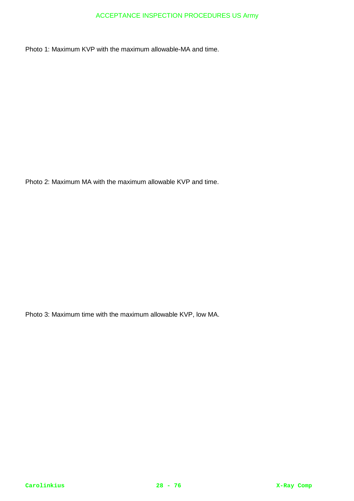Photo 1: Maximum KVP with the maximum allowable-MA and time.

Photo 2: Maximum MA with the maximum allowable KVP and time.

Photo 3: Maximum time with the maximum allowable KVP, low MA.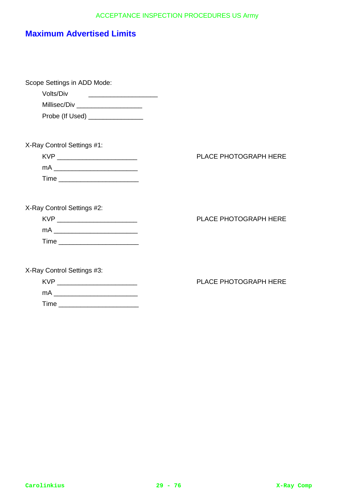# **Maximum Advertised Limits**

Time \_\_\_\_\_\_\_\_\_\_\_\_\_\_\_\_\_\_\_\_\_\_

| Scope Settings in ADD Mode:<br>Volts/Div<br>Millisec/Div _____________________<br>Probe (If Used) _______________ |                              |
|-------------------------------------------------------------------------------------------------------------------|------------------------------|
| X-Ray Control Settings #1:<br>KVP ____________________________<br>Time ___________________________                | <b>PLACE PHOTOGRAPH HERE</b> |
| X-Ray Control Settings #2:<br>KVP ____________________________<br>Time ___________________________                | PLACE PHOTOGRAPH HERE        |
| X-Ray Control Settings #3:<br>KVP ___________________________<br>mA                                               | PLACE PHOTOGRAPH HERE        |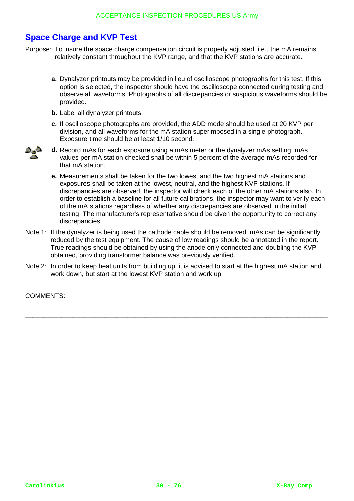# **Space Charge and KVP Test**

- Purpose: To insure the space charge compensation circuit is properly adjusted, i.e., the mA remains relatively constant throughout the KVP range, and that the KVP stations are accurate.
	- **a.** Dynalyzer printouts may be provided in lieu of oscilloscope photographs for this test. If this option is selected, the inspector should have the oscilloscope connected during testing and observe all waveforms. Photographs of all discrepancies or suspicious waveforms should be provided.
	- **b.** Label all dynalyzer printouts.
	- **c.** If oscilloscope photographs are provided, the ADD mode should be used at 20 KVP per division, and all waveforms for the mA station superimposed in a single photograph. Exposure time should be at least 1/10 second.



- **d.** Record mAs for each exposure using a mAs meter or the dynalyzer mAs setting. mAs values per mA station checked shall be within 5 percent of the average mAs recorded for that mA station.
	- **e.** Measurements shall be taken for the two lowest and the two highest mA stations and exposures shall be taken at the lowest, neutral, and the highest KVP stations. If discrepancies are observed, the inspector will check each of the other mA stations also. In order to establish a baseline for all future calibrations, the inspector may want to verify each of the mA stations regardless of whether any discrepancies are observed in the initial testing. The manufacturer's representative should be given the opportunity to correct any discrepancies.
- Note 1: If the dynalyzer is being used the cathode cable should be removed. mAs can be significantly reduced by the test equipment. The cause of low readings should be annotated in the report. True readings should be obtained by using the anode only connected and doubling the KVP obtained, providing transformer balance was previously verified.
- Note 2: In order to keep heat units from building up, it is advised to start at the highest mA station and work down, but start at the lowest KVP station and work up.

\_\_\_\_\_\_\_\_\_\_\_\_\_\_\_\_\_\_\_\_\_\_\_\_\_\_\_\_\_\_\_\_\_\_\_\_\_\_\_\_\_\_\_\_\_\_\_\_\_\_\_\_\_\_\_\_\_\_\_\_\_\_\_\_\_\_\_\_\_\_\_\_\_\_\_\_\_\_\_\_\_\_\_

COMMENTS: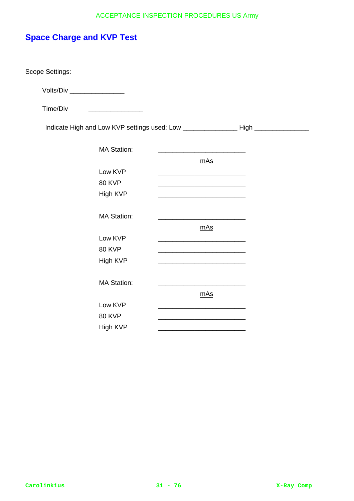# **Space Charge and KVP Test**

Scope Settings:

Volts/Div \_\_\_\_\_\_\_\_\_\_\_\_\_\_\_

Time/Div \_\_\_\_\_\_\_\_\_\_\_\_\_\_\_

Indicate High and Low KVP settings used: Low \_\_\_\_\_\_\_\_\_\_\_\_\_\_\_\_\_\_\_\_High \_\_\_\_\_\_\_\_\_\_\_

| <b>MA Station:</b> |     |
|--------------------|-----|
|                    | mAs |
| Low KVP            |     |
| <b>80 KVP</b>      |     |
| High KVP           |     |
|                    |     |
| <b>MA Station:</b> |     |
|                    | mAs |
| Low KVP            |     |
| <b>80 KVP</b>      |     |
| High KVP           |     |
|                    |     |
| <b>MA Station:</b> |     |
|                    | mAs |
| Low KVP            |     |
| <b>80 KVP</b>      |     |
| High KVP           |     |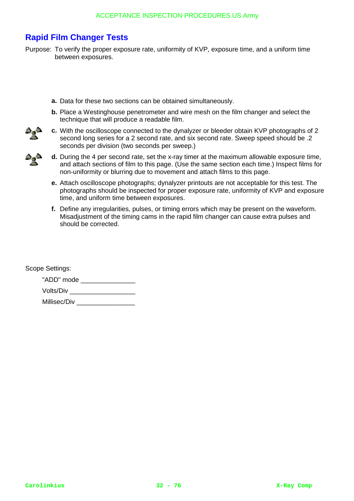# **Rapid Film Changer Tests**

- Purpose: To verify the proper exposure rate, uniformity of KVP, exposure time, and a uniform time between exposures.
	- **a.** Data for these two sections can be obtained simultaneously.
	- **b.** Place a Westinghouse penetrometer and wire mesh on the film changer and select the technique that will produce a readable film.
	- **c.** With the oscilloscope connected to the dynalyzer or bleeder obtain KVP photographs of 2 second long series for a 2 second rate, and six second rate. Sweep speed should be .2 seconds per division (two seconds per sweep.)
		- **d.** During the 4 per second rate, set the x-ray timer at the maximum allowable exposure time, and attach sections of film to this page. (Use the same section each time.) Inspect films for non-uniformity or blurring due to movement and attach films to this page.
			- **e.** Attach oscilloscope photographs; dynalyzer printouts are not acceptable for this test. The photographs should be inspected for proper exposure rate, uniformity of KVP and exposure time, and uniform time between exposures.
			- **f.** Define any irregularities, pulses, or timing errors which may be present on the waveform. Misadjustment of the timing cams in the rapid film changer can cause extra pulses and should be corrected.

Scope Settings:

"ADD" mode \_\_\_\_\_\_\_\_\_\_\_\_\_\_\_\_\_\_ Volts/Div \_\_\_\_\_\_\_\_\_\_\_\_\_\_\_\_\_\_

Millisec/Div \_\_\_\_\_\_\_\_\_\_\_\_\_\_\_\_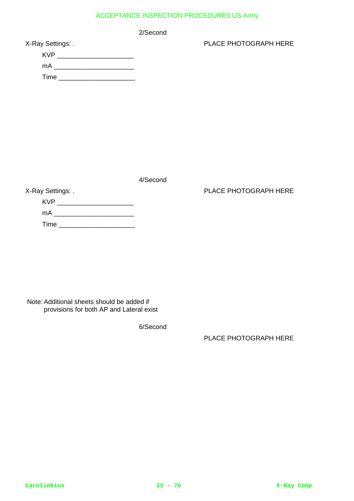2/Second

| X-Ray Settings: . |  |
|-------------------|--|
|-------------------|--|

| <b>KVP</b> |  |
|------------|--|
| mA         |  |
| Time       |  |

PLACE PHOTOGRAPH HERE

4/Second

### PLACE PHOTOGRAPH HERE

X-Ray Settings: . KVP \_\_\_\_\_\_\_\_\_\_\_\_\_\_\_\_\_\_\_\_\_ mA \_\_\_\_\_\_\_\_\_\_\_\_\_\_\_\_\_\_\_\_\_\_ Time \_\_\_\_\_\_\_\_\_\_\_\_\_\_\_\_\_\_\_\_\_

Note: Additional sheets should be added if provisions for both AP and Lateral exist

6/Second

PLACE PHOTOGRAPH HERE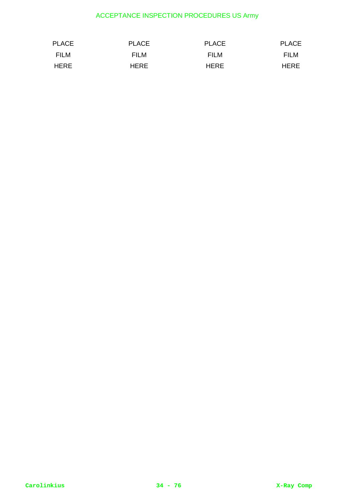| PLACE       | <b>PLACE</b> | PLACE       | <b>PLACE</b> |
|-------------|--------------|-------------|--------------|
| FILM        | FILM         | FILM        | FILM         |
| <b>HERE</b> | <b>HERE</b>  | <b>HERE</b> | HERE         |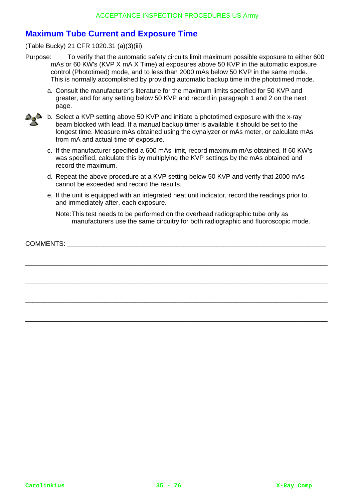# **Maximum Tube Current and Exposure Time**

(Table Bucky) 21 CFR 1020.31 (a)(3)(iii)

- Purpose: To verify that the automatic safety circuits limit maximum possible exposure to either 600 mAs or 60 KW's (KVP X mA X Time) at exposures above 50 KVP in the automatic exposure control (Phototimed) mode, and to less than 2000 mAs below 50 KVP in the same mode. This is normally accomplished by providing automatic backup time in the phototimed mode.
	- a. Consult the manufacturer's literature for the maximum limits specified for 50 KVP and greater, and for any setting below 50 KVP and record in paragraph 1 and 2 on the next page.
	- **b.** Select a KVP setting above 50 KVP and initiate a phototimed exposure with the x-ray beam blocked with lead. If a manual backup timer is available it should be set to the longest time. Measure mAs obtained using the dynalyzer or mAs meter, or calculate mAs from mA and actual time of exposure.
		- c. If the manufacturer specified a 600 mAs limit, record maximum mAs obtained. If 60 KW's was specified, calculate this by multiplying the KVP settings by the mAs obtained and record the maximum.
		- d. Repeat the above procedure at a KVP setting below 50 KVP and verify that 2000 mAs cannot be exceeded and record the results.
		- e. If the unit is equipped with an integrated heat unit indicator, record the readings prior to, and immediately after, each exposure.

Note:This test needs to be performed on the overhead radiographic tube only as manufacturers use the same circuitry for both radiographic and fluoroscopic mode.

COMMENTS:

\_\_\_\_\_\_\_\_\_\_\_\_\_\_\_\_\_\_\_\_\_\_\_\_\_\_\_\_\_\_\_\_\_\_\_\_\_\_\_\_\_\_\_\_\_\_\_\_\_\_\_\_\_\_\_\_\_\_\_\_\_\_\_\_\_\_\_\_\_\_\_\_\_\_\_\_\_\_\_\_\_\_\_

\_\_\_\_\_\_\_\_\_\_\_\_\_\_\_\_\_\_\_\_\_\_\_\_\_\_\_\_\_\_\_\_\_\_\_\_\_\_\_\_\_\_\_\_\_\_\_\_\_\_\_\_\_\_\_\_\_\_\_\_\_\_\_\_\_\_\_\_\_\_\_\_\_\_\_\_\_\_\_\_\_\_\_

\_\_\_\_\_\_\_\_\_\_\_\_\_\_\_\_\_\_\_\_\_\_\_\_\_\_\_\_\_\_\_\_\_\_\_\_\_\_\_\_\_\_\_\_\_\_\_\_\_\_\_\_\_\_\_\_\_\_\_\_\_\_\_\_\_\_\_\_\_\_\_\_\_\_\_\_\_\_\_\_\_\_\_

\_\_\_\_\_\_\_\_\_\_\_\_\_\_\_\_\_\_\_\_\_\_\_\_\_\_\_\_\_\_\_\_\_\_\_\_\_\_\_\_\_\_\_\_\_\_\_\_\_\_\_\_\_\_\_\_\_\_\_\_\_\_\_\_\_\_\_\_\_\_\_\_\_\_\_\_\_\_\_\_\_\_\_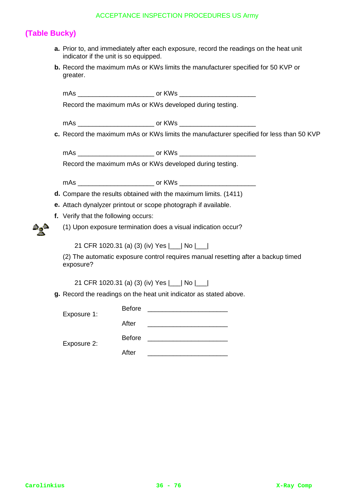# **(Table Bucky)**

- **a.** Prior to, and immediately after each exposure, record the readings on the heat unit indicator if the unit is so equipped.
- **b.** Record the maximum mAs or KWs limits the manufacturer specified for 50 KVP or greater.

mAs \_\_\_\_\_\_\_\_\_\_\_\_\_\_\_\_\_\_\_\_\_ or KWs \_\_\_\_\_\_\_\_\_\_\_\_\_\_\_\_\_\_\_\_\_

Record the maximum mAs or KWs developed during testing.

mAs \_\_\_\_\_\_\_\_\_\_\_\_\_\_\_\_\_\_\_\_\_ or KWs \_\_\_\_\_\_\_\_\_\_\_\_\_\_\_\_\_\_\_\_\_

**c.** Record the maximum mAs or KWs limits the manufacturer specified for less than 50 KVP

mAs \_\_\_\_\_\_\_\_\_\_\_\_\_\_\_\_\_\_\_\_\_ or KWs \_\_\_\_\_\_\_\_\_\_\_\_\_\_\_\_\_\_\_\_\_

Record the maximum mAs or KWs developed during testing.

mAs \_\_\_\_\_\_\_\_\_\_\_\_\_\_\_\_\_\_\_\_\_ or KWs \_\_\_\_\_\_\_\_\_\_\_\_\_\_\_\_\_\_\_\_\_

- **d.** Compare the results obtained with the maximum limits. (1411)
- **e.** Attach dynalyzer printout or scope photograph if available.
- **f.** Verify that the following occurs:
	- (1) Upon exposure termination does a visual indication occur?

21 CFR 1020.31 (a) (3) (iv) Yes |\_\_\_| No |\_\_\_|

(2) The automatic exposure control requires manual resetting after a backup timed exposure?

21 CFR 1020.31 (a) (3) (iv) Yes |\_\_\_| No |\_\_\_|

Before \_\_\_\_\_\_\_\_\_\_\_\_\_\_\_\_\_\_\_\_\_\_

**g.** Record the readings on the heat unit indicator as stated above.

Expo

| Exposure 1: |               |  |
|-------------|---------------|--|
|             | After         |  |
| Exposure 2: | <b>Before</b> |  |
|             | After         |  |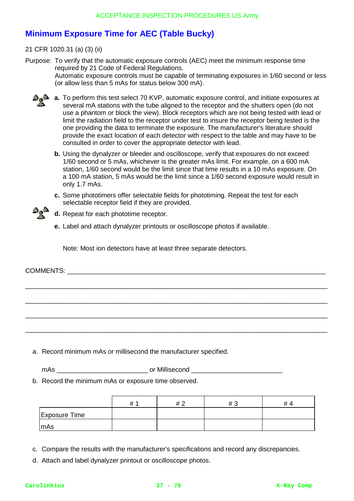# **Minimum Exposure Time for AEC (Table Bucky)**

21 CFR 1020.31 (a) (3) (ii)

Purpose: To verify that the automatic exposure controls (AEC) meet the minimum response time required by 21 Code of Federal Regulations. Automatic exposure controls must be capable of terminating exposures in 1/60 second or less (or allow less than 5 mAs for status below 300 mA).

- **a. a.** To perform this test select 70 KVP, automatic exposure control, and initiate exposures at several mA stations with the tube aligned to the receptor and the shutters open (do not use a phantom or block the view). Block receptors which are not being tested with lead or limit the radiation field to the receptor under test to insure the receptor being tested is the one providing the data to terminate the exposure. The manufacturer's literature should provide the exact location of each detector with respect to the table and may have to be consulted in order to cover the appropriate detector with lead.
	- **b.** Using the dynalyzer or bleeder and oscilloscope, verify that exposures do not exceed 1/60 second or 5 mAs, whichever is the greater mAs limit. For example, on a 600 mA station, 1/60 second would be the limit since that time results in a 10 mAs exposure. On a 100 mA station, 5 mAs would be the limit since a 1/60 second exposure would result in only 1.7 mAs.
	- **c.** Some phototimers offer selectable fields for phototiming. Repeat the test for each selectable receptor field if they are provided.

\_\_\_\_\_\_\_\_\_\_\_\_\_\_\_\_\_\_\_\_\_\_\_\_\_\_\_\_\_\_\_\_\_\_\_\_\_\_\_\_\_\_\_\_\_\_\_\_\_\_\_\_\_\_\_\_\_\_\_\_\_\_\_\_\_\_\_\_\_\_\_\_\_\_\_\_\_\_\_\_\_\_\_

\_\_\_\_\_\_\_\_\_\_\_\_\_\_\_\_\_\_\_\_\_\_\_\_\_\_\_\_\_\_\_\_\_\_\_\_\_\_\_\_\_\_\_\_\_\_\_\_\_\_\_\_\_\_\_\_\_\_\_\_\_\_\_\_\_\_\_\_\_\_\_\_\_\_\_\_\_\_\_\_\_\_\_

\_\_\_\_\_\_\_\_\_\_\_\_\_\_\_\_\_\_\_\_\_\_\_\_\_\_\_\_\_\_\_\_\_\_\_\_\_\_\_\_\_\_\_\_\_\_\_\_\_\_\_\_\_\_\_\_\_\_\_\_\_\_\_\_\_\_\_\_\_\_\_\_\_\_\_\_\_\_\_\_\_\_\_

\_\_\_\_\_\_\_\_\_\_\_\_\_\_\_\_\_\_\_\_\_\_\_\_\_\_\_\_\_\_\_\_\_\_\_\_\_\_\_\_\_\_\_\_\_\_\_\_\_\_\_\_\_\_\_\_\_\_\_\_\_\_\_\_\_\_\_\_\_\_\_\_\_\_\_\_\_\_\_\_\_\_\_



**e.** Label and attach dynalyzer printouts or oscilloscope photos if available.

Note: Most ion detectors have at least three separate detectors.

COMMENTS:

a. Record minimum mAs or millisecond the manufacturer specified.

mAs \_\_\_\_\_\_\_\_\_\_\_\_\_\_\_\_\_\_\_\_\_\_\_\_\_ or Millisecond \_\_\_\_\_\_\_\_\_\_\_\_\_\_\_\_\_\_\_\_\_\_\_\_\_

b. Record the minimum mAs or exposure time observed.

|                      | # | # 2 | #3 | #4 |
|----------------------|---|-----|----|----|
| <b>Exposure Time</b> |   |     |    |    |
| mAs                  |   |     |    |    |

c. Compare the results with the manufacturer's specifications and record any discrepancies.

d. Attach and label dynalyzer printout or oscilloscope photos.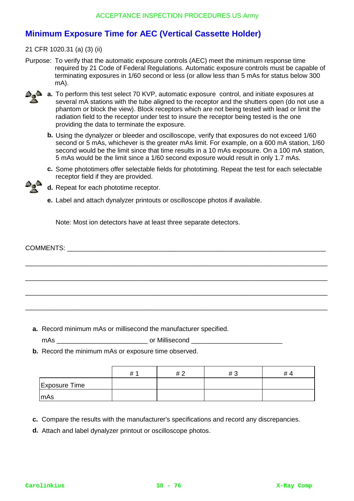# **Minimum Exposure Time for AEC (Vertical Cassette Holder)**

21 CFR 1020.31 (a) (3) (ii)

Purpose: To verify that the automatic exposure controls (AEC) meet the minimum response time required by 21 Code of Federal Regulations. Automatic exposure controls must be capable of terminating exposures in 1/60 second or less (or allow less than 5 mAs for status below 300 mA).



- **a. a.** To perform this test select 70 KVP, automatic exposure control, and initiate exposures at several mA stations with the tube aligned to the receptor and the shutters open (do not use a phantom or block the view). Block receptors which are not being tested with lead or limit the radiation field to the receptor under test to insure the receptor being tested is the one providing the data to terminate the exposure.
	- **b.** Using the dynalyzer or bleeder and oscilloscope, verify that exposures do not exceed 1/60 second or 5 mAs, whichever is the greater mAs limit. For example, on a 600 mA station, 1/60 second would be the limit since that time results in a 10 mAs exposure. On a 100 mA station, 5 mAs would be the limit since a 1/60 second exposure would result in only 1.7 mAs.
	- **c.** Some phototimers offer selectable fields for phototiming. Repeat the test for each selectable receptor field if they are provided.



- **d.** Repeat for each phototime receptor.
- **e.** Label and attach dynalyzer printouts or oscilloscope photos if available.

Note: Most ion detectors have at least three separate detectors.

- **a.** Record minimum mAs or millisecond the manufacturer specified.
- mAs **masure of Millisecond** of Millisecond  $\overline{\phantom{a}}$
- **b.** Record the minimum mAs or exposure time observed.

|                      | # | # 2 | #3 | # 4 |
|----------------------|---|-----|----|-----|
| <b>Exposure Time</b> |   |     |    |     |
| mAs                  |   |     |    |     |

- **c.** Compare the results with the manufacturer's specifications and record any discrepancies.
- **d.** Attach and label dynalyzer printout or oscilloscope photos.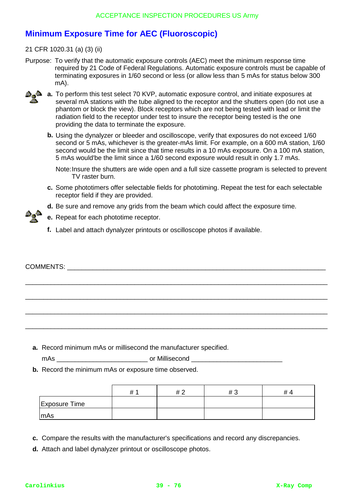# **Minimum Exposure Time for AEC (Fluoroscopic)**

21 CFR 1020.31 (a) (3) (ii)

Purpose: To verify that the automatic exposure controls (AEC) meet the minimum response time required by 21 Code of Federal Regulations. Automatic exposure controls must be capable of terminating exposures in 1/60 second or less (or allow less than 5 mAs for status below 300 mA).



- **a. a.** To perform this test select 70 KVP, automatic exposure control, and initiate exposures at several mA stations with the tube aligned to the receptor and the shutters open (do not use a phantom or block the view). Block receptors which are not being tested with lead or limit the radiation field to the receptor under test to insure the receptor being tested is the one providing the data to terminate the exposure.
	- **b.** Using the dynalyzer or bleeder and oscilloscope, verify that exposures do not exceed 1/60 second or 5 mAs, whichever is the greater-mAs limit. For example, on a 600 mA station, 1/60 second would be the limit since that time results in a 10 mAs exposure. On a 100 mA station, 5 mAs would'be the limit since a 1/60 second exposure would result in only 1.7 mAs.

Note:Insure the shutters are wide open and a full size cassette program is selected to prevent TV raster burn.

- **c.** Some phototimers offer selectable fields for phototiming. Repeat the test for each selectable receptor field if they are provided.
- **d.** Be sure and remove any grids from the beam which could affect the exposure time.



**f.** Label and attach dynalyzer printouts or oscilloscope photos if available.

\_\_\_\_\_\_\_\_\_\_\_\_\_\_\_\_\_\_\_\_\_\_\_\_\_\_\_\_\_\_\_\_\_\_\_\_\_\_\_\_\_\_\_\_\_\_\_\_\_\_\_\_\_\_\_\_\_\_\_\_\_\_\_\_\_\_\_\_\_\_\_\_\_\_\_\_\_\_\_\_\_\_\_

\_\_\_\_\_\_\_\_\_\_\_\_\_\_\_\_\_\_\_\_\_\_\_\_\_\_\_\_\_\_\_\_\_\_\_\_\_\_\_\_\_\_\_\_\_\_\_\_\_\_\_\_\_\_\_\_\_\_\_\_\_\_\_\_\_\_\_\_\_\_\_\_\_\_\_\_\_\_\_\_\_\_\_

**a.** Record minimum mAs or millisecond the manufacturer specified.

mAs \_\_\_\_\_\_\_\_\_\_\_\_\_\_\_\_\_\_\_\_\_\_\_\_\_ or Millisecond \_\_\_\_\_\_\_\_\_\_\_\_\_\_\_\_\_\_\_\_\_\_\_\_\_

**b.** Record the minimum mAs or exposure time observed.

|                      | # | #2 | #3 | $\overline{L}$<br>≖ |
|----------------------|---|----|----|---------------------|
| <b>Exposure Time</b> |   |    |    |                     |
| mAs                  |   |    |    |                     |

- **c.** Compare the results with the manufacturer's specifications and record any discrepancies.
- **d.** Attach and label dynalyzer printout or oscilloscope photos.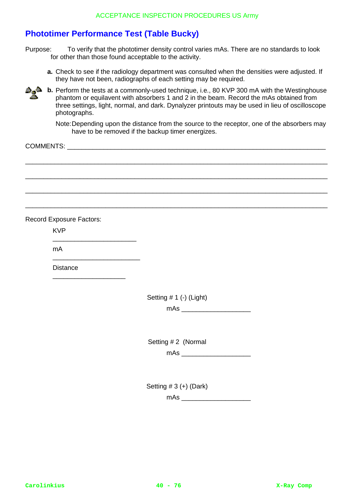# **Phototimer Performance Test (Table Bucky)**

Purpose: To verify that the phototimer density control varies mAs. There are no standards to look for other than those found acceptable to the activity.

**a.** Check to see if the radiology department was consulted when the densities were adjusted. If they have not been, radiographs of each setting may be required.



**b.** Perform the tests at a commonly-used technique, i.e., 80 KVP 300 mA with the Westinghouse phantom or equilavent with absorbers 1 and 2 in the beam. Record the mAs obtained from three settings, light, normal, and dark. Dynalyzer printouts may be used in lieu of oscilloscope photographs.

Note:Depending upon the distance from the source to the receptor, one of the absorbers may have to be removed if the backup timer energizes.

\_\_\_\_\_\_\_\_\_\_\_\_\_\_\_\_\_\_\_\_\_\_\_\_\_\_\_\_\_\_\_\_\_\_\_\_\_\_\_\_\_\_\_\_\_\_\_\_\_\_\_\_\_\_\_\_\_\_\_\_\_\_\_\_\_\_\_\_\_\_\_\_\_\_\_\_\_\_\_\_\_\_\_

\_\_\_\_\_\_\_\_\_\_\_\_\_\_\_\_\_\_\_\_\_\_\_\_\_\_\_\_\_\_\_\_\_\_\_\_\_\_\_\_\_\_\_\_\_\_\_\_\_\_\_\_\_\_\_\_\_\_\_\_\_\_\_\_\_\_\_\_\_\_\_\_\_\_\_\_\_\_\_\_\_\_\_

\_\_\_\_\_\_\_\_\_\_\_\_\_\_\_\_\_\_\_\_\_\_\_\_\_\_\_\_\_\_\_\_\_\_\_\_\_\_\_\_\_\_\_\_\_\_\_\_\_\_\_\_\_\_\_\_\_\_\_\_\_\_\_\_\_\_\_\_\_\_\_\_\_\_\_\_\_\_\_\_\_\_\_

\_\_\_\_\_\_\_\_\_\_\_\_\_\_\_\_\_\_\_\_\_\_\_\_\_\_\_\_\_\_\_\_\_\_\_\_\_\_\_\_\_\_\_\_\_\_\_\_\_\_\_\_\_\_\_\_\_\_\_\_\_\_\_\_\_\_\_\_\_\_\_\_\_\_\_\_\_\_\_\_\_\_\_

COMMENTS: \_\_\_\_\_\_\_\_\_\_\_\_\_\_\_\_\_\_\_\_\_\_\_\_\_\_\_\_\_\_\_\_\_\_\_\_\_\_\_\_\_\_\_\_\_\_\_\_\_\_\_\_\_\_\_\_\_\_\_\_\_\_\_\_\_\_\_\_\_\_\_

Record Exposure Factors:

KVP

mA

**Distance** 

\_\_\_\_\_\_\_\_\_\_\_\_\_\_\_\_\_\_\_\_\_\_\_

\_\_\_\_\_\_\_\_\_\_\_\_\_\_\_\_\_\_\_\_\_\_\_\_

\_\_\_\_\_\_\_\_\_\_\_\_\_\_\_\_\_\_\_\_

Setting # 1 (-) (Light)

 $mAs$ 

Setting # 2 (Normal

 $mAs$ 

Setting  $# 3 (+)$  (Dark)

mAs \_\_\_\_\_\_\_\_\_\_\_\_\_\_\_\_\_\_\_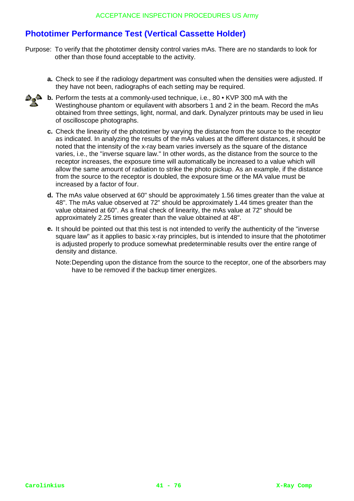# **Phototimer Performance Test (Vertical Cassette Holder)**

- Purpose: To verify that the phototimer density control varies mAs. There are no standards to look for other than those found acceptable to the activity.
	- **a.** Check to see if the radiology department was consulted when the densities were adjusted. If they have not been, radiographs of each setting may be required.



- **b.** Perform the tests at a commonly-used technique, i.e., 80 KVP 300 mA with the Westinghouse phantom or equilavent with absorbers 1 and 2 in the beam. Record the mAs obtained from three settings, light, normal, and dark. Dynalyzer printouts may be used in lieu of oscilloscope photographs.
	- **c.** Check the linearity of the phototimer by varying the distance from the source to the receptor as indicated. In analyzing the results of the mAs values at the different distances, it should be noted that the intensity of the x-ray beam varies inversely as the square of the distance varies, i.e., the "inverse square law." In other words, as the distance from the source to the receptor increases, the exposure time will automatically be increased to a value which will allow the same amount of radiation to strike the photo pickup. As an example, if the distance from the source to the receptor is doubled, the exposure time or the MA value must be increased by a factor of four.
	- **d.** The mAs value observed at 60" should be approximately 1.56 times greater than the value at 48". The mAs value observed at 72" should be approximately 1.44 times greater than the value obtained at 60". As a final check of linearity, the mAs value at 72" should be approximately 2.25 times greater than the value obtained at 48".
	- **e.** It should be pointed out that this test is not intended to verify the authenticity of the "inverse square law" as it applies to basic x-ray principles, but is intended to insure that the phototimer is adjusted properly to produce somewhat predeterminable results over the entire range of density and distance.

Note:Depending upon the distance from the source to the receptor, one of the absorbers may have to be removed if the backup timer energizes.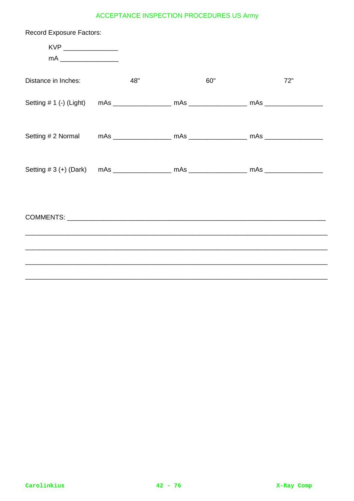| <b>Record Exposure Factors:</b>                                                  |     |     |     |
|----------------------------------------------------------------------------------|-----|-----|-----|
|                                                                                  |     |     |     |
|                                                                                  |     |     |     |
| Distance in Inches:                                                              | 48" | 60" | 72" |
|                                                                                  |     |     |     |
|                                                                                  |     |     |     |
|                                                                                  |     |     |     |
| ,我们也不能在这里的人,我们也不能在这里的人,我们也不能在这里的人,我们也不能在这里的人,我们也不能在这里的人,我们也不能在这里的人,我们也不能在这里的人,我们 |     |     |     |
|                                                                                  |     |     |     |
|                                                                                  |     |     |     |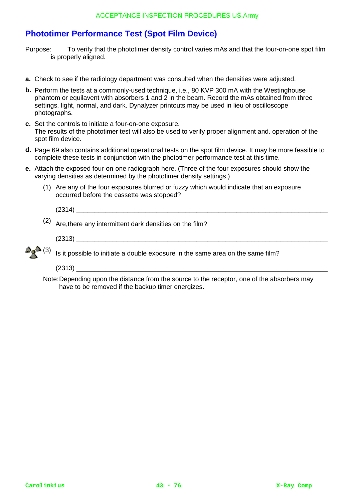# **Phototimer Performance Test (Spot Film Device)**

- Purpose: To verify that the phototimer density control varies mAs and that the four-on-one spot film is properly aligned.
- **a.** Check to see if the radiology department was consulted when the densities were adjusted.
- **b.** Perform the tests at a commoniv-used technique, i.e., 80 KVP 300 mA with the Westinghouse phantom or equilavent with absorbers 1 and 2 in the beam. Record the mAs obtained from three settings, light, normal, and dark. Dynalyzer printouts may be used in lieu of oscilloscope photographs.
- **c.** Set the controls to initiate a four-on-one exposure. The results of the phototimer test will also be used to verify proper alignment and. operation of the spot film device.
- **d.** Page 69 also contains additional operational tests on the spot film device. It may be more feasible to complete these tests in conjunction with the phototimer performance test at this time.
- **e.** Attach the exposed four-on-one radiograph here. (Three of the four exposures should show the varying densities as determined by the phototimer density settings.)
	- (1) Are any of the four exposures blurred or fuzzy which would indicate that an exposure occurred before the cassette was stopped?

 $(2314)$ (2) Are,there any intermittent dark densities on the film?  $(2313)$ 

- $\triangle$  (3) Is it possible to initiate a double exposure in the same area on the same film?
	- $(2313)$
	- Note:Depending upon the distance from the source to the receptor, one of the absorbers may have to be removed if the backup timer energizes.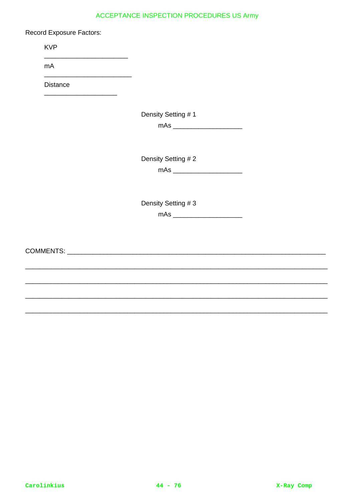**Record Exposure Factors:** 

**KVP** 

mA

Distance

Density Setting #1

Density Setting #2

Density Setting #3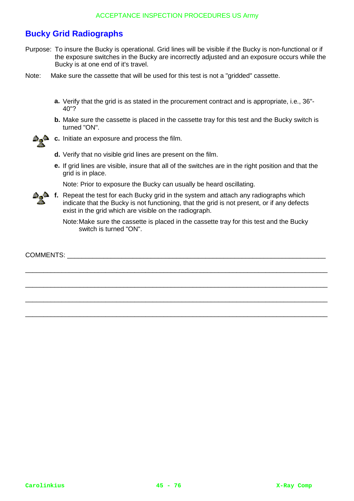# **Bucky Grid Radiographs**

Purpose: To insure the Bucky is operational. Grid lines will be visible if the Bucky is non-functional or if the exposure switches in the Bucky are incorrectly adjusted and an exposure occurs while the Bucky is at one end of it's travel.

Note: Make sure the cassette that will be used for this test is not a "gridded" cassette.

- **a.** Verify that the grid is as stated in the procurement contract and is appropriate, i.e., 36"- 40"?
- **b.** Make sure the cassette is placed in the cassette tray for this test and the Bucky switch is turned "ON".



**c.** Initiate an exposure and process the film.

- **d.** Verify that no visible grid lines are present on the film.
- **e.** If grid lines are visible, insure that all of the switches are in the right position and that the grid is in place.

Note: Prior to exposure the Bucky can usually be heard oscillating.

**f.** Repeat the test for each Bucky grid in the system and attach any radiographs which indicate that the Bucky is not functioning, that the grid is not present, or if any defects exist in the grid which are visible on the radiograph.

\_\_\_\_\_\_\_\_\_\_\_\_\_\_\_\_\_\_\_\_\_\_\_\_\_\_\_\_\_\_\_\_\_\_\_\_\_\_\_\_\_\_\_\_\_\_\_\_\_\_\_\_\_\_\_\_\_\_\_\_\_\_\_\_\_\_\_\_\_\_\_\_\_\_\_\_\_\_\_\_\_\_\_

\_\_\_\_\_\_\_\_\_\_\_\_\_\_\_\_\_\_\_\_\_\_\_\_\_\_\_\_\_\_\_\_\_\_\_\_\_\_\_\_\_\_\_\_\_\_\_\_\_\_\_\_\_\_\_\_\_\_\_\_\_\_\_\_\_\_\_\_\_\_\_\_\_\_\_\_\_\_\_\_\_\_\_

\_\_\_\_\_\_\_\_\_\_\_\_\_\_\_\_\_\_\_\_\_\_\_\_\_\_\_\_\_\_\_\_\_\_\_\_\_\_\_\_\_\_\_\_\_\_\_\_\_\_\_\_\_\_\_\_\_\_\_\_\_\_\_\_\_\_\_\_\_\_\_\_\_\_\_\_\_\_\_\_\_\_\_

\_\_\_\_\_\_\_\_\_\_\_\_\_\_\_\_\_\_\_\_\_\_\_\_\_\_\_\_\_\_\_\_\_\_\_\_\_\_\_\_\_\_\_\_\_\_\_\_\_\_\_\_\_\_\_\_\_\_\_\_\_\_\_\_\_\_\_\_\_\_\_\_\_\_\_\_\_\_\_\_\_\_\_

Note:Make sure the cassette is placed in the cassette tray for this test and the Bucky switch is turned "ON".

COMMENTS: \_\_\_\_\_\_\_\_\_\_\_\_\_\_\_\_\_\_\_\_\_\_\_\_\_\_\_\_\_\_\_\_\_\_\_\_\_\_\_\_\_\_\_\_\_\_\_\_\_\_\_\_\_\_\_\_\_\_\_\_\_\_\_\_\_\_\_\_\_\_\_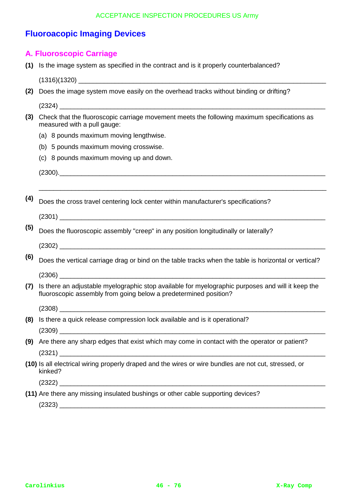# **Fluoroacopic Imaging Devices**

## **A. Fluoroscopic Carriage**

**(1)** Is the image system as specified in the contract and is it properly counterbalanced?

 $(1316)(1320)$ 

- **(2)** Does the image system move easily on the overhead tracks without binding or drifting? (2324) \_\_\_\_\_\_\_\_\_\_\_\_\_\_\_\_\_\_\_\_\_\_\_\_\_\_\_\_\_\_\_\_\_\_\_\_\_\_\_\_\_\_\_\_\_\_\_\_\_\_\_\_\_\_\_\_\_\_\_\_\_\_\_\_\_\_\_\_\_\_\_\_\_
- **(3)** Check that the fluoroscopic carriage movement meets the following maximum specifications as measured with a pull gauge:
	- (a) 8 pounds maximum moving lengthwise.
	- (b) 5 pounds maximum moving crosswise.
	- (c) 8 pounds maximum moving up and down.

 $(2300).$ 

**(4)** Does the cross travel centering lock center within manufacturer's specifications?

 $(2301)$ 

**(5)** Does the fluoroscopic assembly "creep" in any position longitudinally or laterally?

 $(2302)$ 

**(6)** Does the vertical carriage drag or bind on the table tracks when the table is horizontal or vertical?

\_\_\_\_\_\_\_\_\_\_\_\_\_\_\_\_\_\_\_\_\_\_\_\_\_\_\_\_\_\_\_\_\_\_\_\_\_\_\_\_\_\_\_\_\_\_\_\_\_\_\_\_\_\_\_\_\_\_\_\_\_\_\_\_\_\_\_\_\_\_\_\_\_\_\_\_\_\_\_

- (2306) \_\_\_\_\_\_\_\_\_\_\_\_\_\_\_\_\_\_\_\_\_\_\_\_\_\_\_\_\_\_\_\_\_\_\_\_\_\_\_\_\_\_\_\_\_\_\_\_\_\_\_\_\_\_\_\_\_\_\_\_\_\_\_\_\_\_\_\_\_\_\_\_\_
- **(7)** Is there an adjustable myelographic stop available for myelographic purposes and will it keep the fluoroscopic assembly from going below a predetermined position?

 $(2308)$ 

**(8)** Is there a quick release compression lock available and is it operational?

(2309) \_\_\_\_\_\_\_\_\_\_\_\_\_\_\_\_\_\_\_\_\_\_\_\_\_\_\_\_\_\_\_\_\_\_\_\_\_\_\_\_\_\_\_\_\_\_\_\_\_\_\_\_\_\_\_\_\_\_\_\_\_\_\_\_\_\_\_\_\_\_\_\_\_

- **(9)** Are there any sharp edges that exist which may come in contact with the operator or patient?  $(2321)$
- **(10)** Is all electrical wiring properly draped and the wires or wire bundles are not cut, stressed, or kinked?

 $(2322)$ 

**(11)** Are there any missing insulated bushings or other cable supporting devices?

 $(2323)$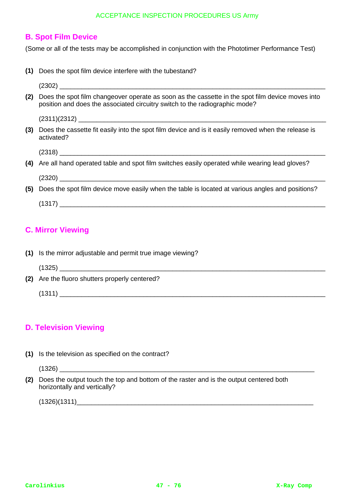## **B. Spot Film Device**

(Some or all of the tests may be accomplished in conjunction with the Phototimer Performance Test)

**(1)** Does the spot film device interfere with the tubestand?

| (2) | Does the spot film changeover operate as soon as the cassette in the spot film device moves into<br>position and does the associated circuitry switch to the radiographic mode? |
|-----|---------------------------------------------------------------------------------------------------------------------------------------------------------------------------------|
|     |                                                                                                                                                                                 |
| (3) | Does the cassette fit easily into the spot film device and is it easily removed when the release is<br>activated?                                                               |
|     |                                                                                                                                                                                 |
|     | (4) Are all hand operated table and spot film switches easily operated while wearing lead gloves?                                                                               |
|     |                                                                                                                                                                                 |
| (5) | Does the spot film device move easily when the table is located at various angles and positions?                                                                                |
|     |                                                                                                                                                                                 |

# **C. Mirror Viewing**

- **(1)** Is the mirror adjustable and permit true image viewing?
	- (1325) \_\_\_\_\_\_\_\_\_\_\_\_\_\_\_\_\_\_\_\_\_\_\_\_\_\_\_\_\_\_\_\_\_\_\_\_\_\_\_\_\_\_\_\_\_\_\_\_\_\_\_\_\_\_\_\_\_\_\_\_\_\_\_\_\_\_\_\_\_\_\_\_\_

**(2)** Are the fluoro shutters properly centered?

 $(1311)$ 

# **D. Television Viewing**

**(1)** Is the television as specified on the contract?

(1326) \_\_\_\_\_\_\_\_\_\_\_\_\_\_\_\_\_\_\_\_\_\_\_\_\_\_\_\_\_\_\_\_\_\_\_\_\_\_\_\_\_\_\_\_\_\_\_\_\_\_\_\_\_\_\_\_\_\_\_\_\_\_\_\_\_\_\_\_\_\_

**(2)** Does the output touch the top and bottom of the raster and is the output centered both horizontally and vertically?

 $(1326)(1311)$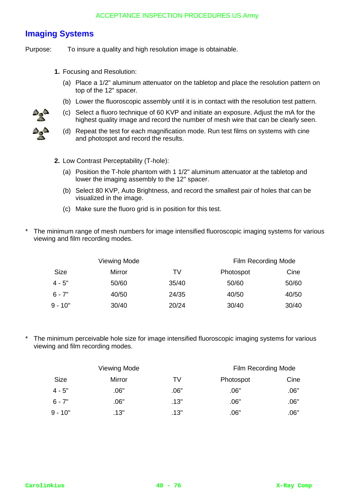# **Imaging Systems**

Purpose: To insure a quality and high resolution image is obtainable.

- **1.** Focusing and Resolution:
	- (a) Place a 1/2" aluminum attenuator on the tabletop and place the resolution pattern on top of the 12" spacer.
	- (b) Lower the fluoroscopic assembly until it is in contact with the resolution test pattern.
	- (c) Select a fluoro technique of 60 KVP and initiate an exposure. Adjust the mA for the highest quality image and record the number of mesh wire that can be clearly seen.
	- (d) Repeat the test for each magnification mode. Run test films on systems with cine and photospot and record the results.
- **2.** Low Contrast Perceptability (T-hole):
	- (a) Position the T-hole phantom with 1 1/2" aluminum attenuator at the tabletop and lower the imaging assembly to the 12" spacer.
	- (b) Select 80 KVP, Auto Brightness, and record the smallest pair of holes that can be visualized in the image.
	- (c) Make sure the fluoro grid is in position for this test.
- The minimum range of mesh numbers for image intensified fluoroscopic imaging systems for various viewing and film recording modes.

|             | Viewing Mode | Film Recording Mode |           |       |
|-------------|--------------|---------------------|-----------|-------|
| <b>Size</b> | Mirror       | TV.                 | Photospot | Cine  |
| $4 - 5"$    | 50/60        | 35/40               | 50/60     | 50/60 |
| $6 - 7"$    | 40/50        | 24/35               | 40/50     | 40/50 |
| $9 - 10"$   | 30/40        | 20/24               | 30/40     | 30/40 |

The minimum perceivable hole size for image intensified fluoroscopic imaging systems for various viewing and film recording modes.

|             | Viewing Mode | Film Recording Mode |           |      |
|-------------|--------------|---------------------|-----------|------|
| <b>Size</b> | Mirror       | TV                  | Photospot | Cine |
| $4 - 5"$    | .06"         | .06"                | .06"      | .06" |
| $6 - 7"$    | .06"         | .13"                | .06"      | .06" |
| $9 - 10"$   | .13"         | .13"                | .06"      | .06" |

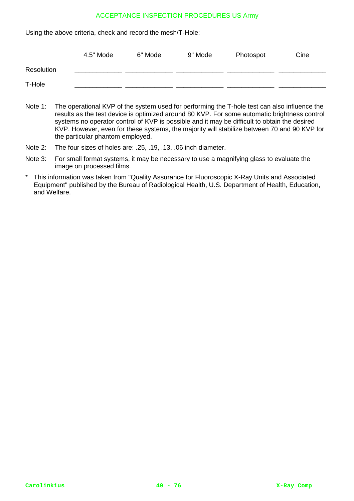Using the above criteria, check and record the mesh/T-Hole:

|            | 4.5" Mode | 6" Mode | 9" Mode | Photospot | Cine |
|------------|-----------|---------|---------|-----------|------|
| Resolution |           |         |         |           |      |
| T-Hole     |           |         |         |           |      |

- Note 1: The operational KVP of the system used for performing the T-hole test can also influence the results as the test device is optimized around 80 KVP. For some automatic brightness control systems no operator control of KVP is possible and it may be difficult to obtain the desired KVP. However, even for these systems, the majority will stabilize between 70 and 90 KVP for the particular phantom employed.
- Note 2: The four sizes of holes are: .25, .19, .13, .06 inch diameter.
- Note 3: For small format systems, it may be necessary to use a magnifying glass to evaluate the image on processed films.
- \* This information was taken from "Quality Assurance for Fluoroscopic X-Ray Units and Associated Equipment" published by the Bureau of Radiological Health, U.S. Department of Health, Education, and Welfare.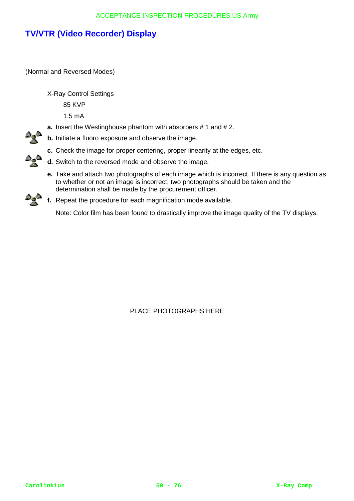# **TV/VTR (Video Recorder) Display**

(Normal and Reversed Modes)

X-Ray Control Settings

85 KVP

1.5 mA

- **a.** Insert the Westinghouse phantom with absorbers # 1 and # 2.
- **b.** Initiate a fluoro exposure and observe the image.
- **c.** Check the image for proper centering, proper linearity at the edges, etc.
- **d.** Switch to the reversed mode and observe the image.
- **e.** Take and attach two photographs of each image which is incorrect. If there is any question as to whether or not an image is incorrect, two photographs should be taken and the determination shall be made by the procurement officer.
- **f.** Repeat the procedure for each magnification mode available.

Note: Color film has been found to drastically improve the image quality of the TV displays.

PLACE PHOTOGRAPHS HERE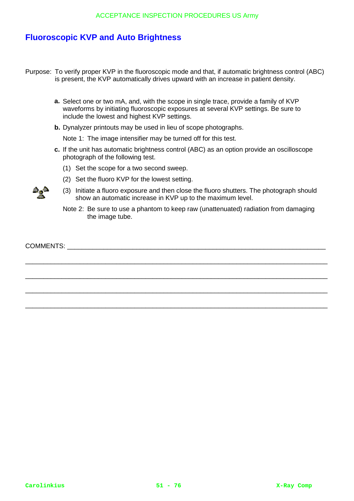# **Fluoroscopic KVP and Auto Brightness**

- Purpose: To verify proper KVP in the fluoroscopic mode and that, if automatic brightness control (ABC) is present, the KVP automatically drives upward with an increase in patient density.
	- **a.** Select one or two mA, and, with the scope in single trace, provide a family of KVP waveforms by initiating fluoroscopic exposures at several KVP settings. Be sure to include the lowest and highest KVP settings.
	- **b.** Dynalyzer printouts may be used in lieu of scope photographs.

Note 1: The image intensifier may be turned off for this test.

- **c.** If the unit has automatic brightness control (ABC) as an option provide an oscilloscope photograph of the following test.
	- (1) Set the scope for a two second sweep.
	- (2) Set the fluoro KVP for the lowest setting.
	- (3) Initiate a fluoro exposure and then close the fluoro shutters. The photograph should show an automatic increase in KVP up to the maximum level.
	- Note 2: Be sure to use a phantom to keep raw (unattenuated) radiation from damaging the image tube.

\_\_\_\_\_\_\_\_\_\_\_\_\_\_\_\_\_\_\_\_\_\_\_\_\_\_\_\_\_\_\_\_\_\_\_\_\_\_\_\_\_\_\_\_\_\_\_\_\_\_\_\_\_\_\_\_\_\_\_\_\_\_\_\_\_\_\_\_\_\_\_\_\_\_\_\_\_\_\_\_\_\_\_

\_\_\_\_\_\_\_\_\_\_\_\_\_\_\_\_\_\_\_\_\_\_\_\_\_\_\_\_\_\_\_\_\_\_\_\_\_\_\_\_\_\_\_\_\_\_\_\_\_\_\_\_\_\_\_\_\_\_\_\_\_\_\_\_\_\_\_\_\_\_\_\_\_\_\_\_\_\_\_\_\_\_\_

\_\_\_\_\_\_\_\_\_\_\_\_\_\_\_\_\_\_\_\_\_\_\_\_\_\_\_\_\_\_\_\_\_\_\_\_\_\_\_\_\_\_\_\_\_\_\_\_\_\_\_\_\_\_\_\_\_\_\_\_\_\_\_\_\_\_\_\_\_\_\_\_\_\_\_\_\_\_\_\_\_\_\_

\_\_\_\_\_\_\_\_\_\_\_\_\_\_\_\_\_\_\_\_\_\_\_\_\_\_\_\_\_\_\_\_\_\_\_\_\_\_\_\_\_\_\_\_\_\_\_\_\_\_\_\_\_\_\_\_\_\_\_\_\_\_\_\_\_\_\_\_\_\_\_\_\_\_\_\_\_\_\_\_\_\_\_

COMMENTS:

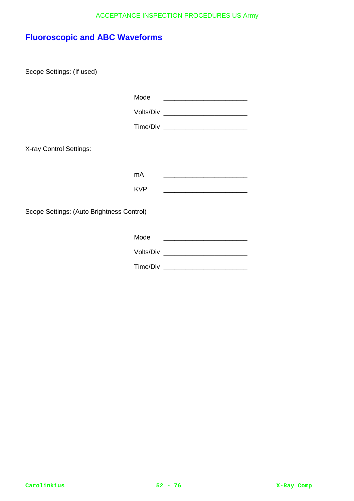# **Fluoroscopic and ABC Waveforms**

Scope Settings: (If used)

|                                           | Mode       | <u> 1989 - John Stein, Amerikaansk politiker (* 1908)</u>                                                             |
|-------------------------------------------|------------|-----------------------------------------------------------------------------------------------------------------------|
|                                           |            |                                                                                                                       |
|                                           |            |                                                                                                                       |
| X-ray Control Settings:                   |            |                                                                                                                       |
|                                           | mA         | <u> 1989 - Johann Harry Harry Harry Harry Harry Harry Harry Harry Harry Harry Harry Harry Harry Harry Harry Harry</u> |
|                                           | <b>KVP</b> |                                                                                                                       |
| Scope Settings: (Auto Brightness Control) |            |                                                                                                                       |
|                                           | Mode       |                                                                                                                       |
|                                           |            |                                                                                                                       |
|                                           |            |                                                                                                                       |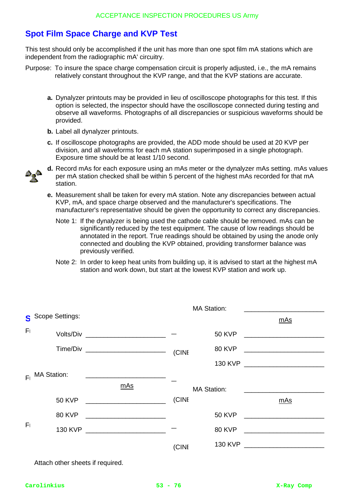# **Spot Film Space Charge and KVP Test**

This test should only be accomplished if the unit has more than one spot film mA stations which are independent from the radiographic mA' circuitry.

- Purpose: To insure the space charge compensation circuit is properly adjusted, i.e., the mA remains relatively constant throughout the KVP range, and that the KVP stations are accurate.
	- **a.** Dynalyzer printouts may be provided in lieu of oscilloscope photographs for this test. If this option is selected, the inspector should have the oscilloscope connected during testing and observe all waveforms. Photographs of all discrepancies or suspicious waveforms should be provided.
	- **b.** Label all dynalyzer printouts.
	- **c.** If oscilloscope photographs are provided, the ADD mode should be used at 20 KVP per division, and all waveforms for each mA station superimposed in a single photograph. Exposure time should be at least 1/10 second.



- **d.** Record mAs for each exposure using an mAs meter or the dynalyzer mAs setting. mAs values per mA station checked shall be within 5 percent of the highest mAs recorded for that mA station.
- **e.** Measurement shall be taken for every mA station. Note any discrepancies between actual KVP, mA, and space charge observed and the manufacturer's specifications. The manufacturer's representative should be given the opportunity to correct any discrepancies.
	- Note 1: If the dynalyzer is being used the cathode cable should be removed. mAs can be significantly reduced by the test equipment. The cause of low readings should be annotated in the report. True readings should be obtained by using the anode only connected and doubling the KVP obtained, providing transformer balance was previously verified.
	- Note 2: In order to keep heat units from building up, it is advised to start at the highest mA station and work down, but start at the lowest KVP station and work up.

|                |                                                                                                                                                  |       | <b>MA Station:</b> |        |
|----------------|--------------------------------------------------------------------------------------------------------------------------------------------------|-------|--------------------|--------|
|                | Scope Settings:                                                                                                                                  |       |                    | mAs    |
| F <sub>1</sub> | Volts/Div _________________________                                                                                                              |       |                    |        |
|                | Time/Div __________________________                                                                                                              | (CINI |                    | 80 KVP |
|                |                                                                                                                                                  |       |                    |        |
|                | $Fl$ MA Station:<br><u> 1980 - Jan Barat, margaret amerikan basar dan berasal dari berasal dalam basar dalam basar dalam basar dalam </u><br>mAs |       | <b>MA Station:</b> |        |
|                | 50 KVP ________________________                                                                                                                  | (CINI |                    | mAs    |
|                | 80 KVP                                                                                                                                           |       | <b>50 KVP</b>      |        |
| F <sub>1</sub> | 130 KVP                                                                                                                                          |       | <b>80 KVP</b>      |        |
|                |                                                                                                                                                  | (CINI |                    |        |

Attach other sheets if required.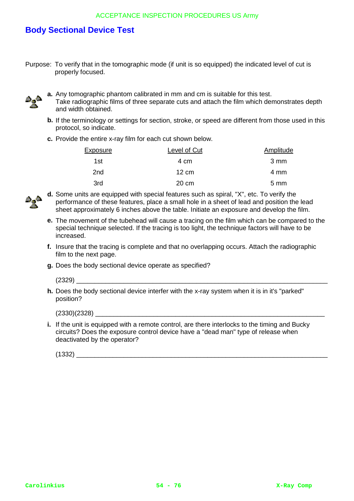# **Body Sectional Device Test**

Purpose: To verify that in the tomographic mode (if unit is so equipped) the indicated level of cut is properly focused.



- **a.** Any tomographic phantom calibrated in mm and cm is suitable for this test.
- Take radiographic films of three separate cuts and attach the film which demonstrates depth and width obtained.
- **b.** If the terminology or settings for section, stroke, or speed are different from those used in this protocol, so indicate.
- **c.** Provide the entire x-ray film for each cut shown below.

| Exposure | Level of Cut    | Amplitude        |
|----------|-----------------|------------------|
| 1st      | 4 cm            | 3 mm             |
| 2nd      | $12 \text{ cm}$ | 4 mm             |
| 3rd      | 20 cm           | $5 \, \text{mm}$ |



**d.** Some units are equipped with special features such as spiral, "X", etc. To verify the performance of these features, place a small hole in a sheet of lead and position the lead sheet approximately 6 inches above the table. Initiate an exposure and develop the film.

- **e.** The movement of the tubehead will cause a tracing on the film which can be compared to the special technique selected. If the tracing is too light, the technique factors will have to be increased.
- **f.** Insure that the tracing is complete and that no overlapping occurs. Attach the radiographic film to the next page.
- **g.** Does the body sectional device operate as specified?

 $(2329)$ 

**h.** Does the body sectional device interfer with the x-ray system when it is in it's "parked" position?

 $(2330)(2328)$ 

**i.** If the unit is equipped with a remote control, are there interlocks to the timing and Bucky circuits? Does the exposure control device have a "dead man" type of release when deactivated by the operator?

(1332) \_\_\_\_\_\_\_\_\_\_\_\_\_\_\_\_\_\_\_\_\_\_\_\_\_\_\_\_\_\_\_\_\_\_\_\_\_\_\_\_\_\_\_\_\_\_\_\_\_\_\_\_\_\_\_\_\_\_\_\_\_\_\_\_\_\_\_\_\_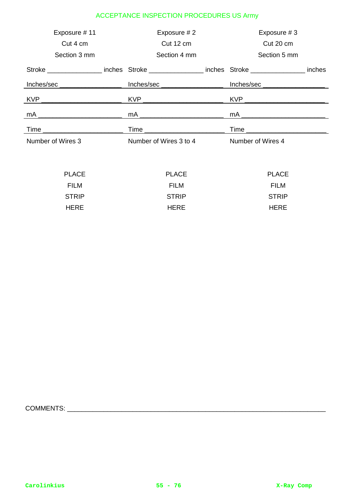| Exposure #11                                                                                                                                                                                                                                                                                                                                            | Exposure #2                                                                      | Exposure #3                                                                             |        |
|---------------------------------------------------------------------------------------------------------------------------------------------------------------------------------------------------------------------------------------------------------------------------------------------------------------------------------------------------------|----------------------------------------------------------------------------------|-----------------------------------------------------------------------------------------|--------|
| Cut 4 cm                                                                                                                                                                                                                                                                                                                                                | Cut 12 cm                                                                        | Cut 20 cm                                                                               |        |
| Section 3 mm                                                                                                                                                                                                                                                                                                                                            | Section 4 mm                                                                     | Section 5 mm                                                                            |        |
|                                                                                                                                                                                                                                                                                                                                                         |                                                                                  | Stroke ____________________inches Stroke __________________inches Stroke ______________ | inches |
|                                                                                                                                                                                                                                                                                                                                                         | Inches/sec ____________________________ Inches/sec _____________________________ |                                                                                         |        |
|                                                                                                                                                                                                                                                                                                                                                         |                                                                                  |                                                                                         |        |
| mA $\overline{\qquad \qquad }$ $\qquad \qquad$ $\qquad$ $\qquad$ $\qquad$ $\qquad$ $\qquad$ $\qquad$ $\qquad$ $\qquad$ $\qquad$ $\qquad$ $\qquad$ $\qquad$ $\qquad$ $\qquad$ $\qquad$ $\qquad$ $\qquad$ $\qquad$ $\qquad$ $\qquad$ $\qquad$ $\qquad$ $\qquad$ $\qquad$ $\qquad$ $\qquad$ $\qquad$ $\qquad$ $\qquad$ $\qquad$ $\qquad$ $\qquad$ $\qquad$ |                                                                                  | mA ________ <del>_________________</del> _                                              |        |
|                                                                                                                                                                                                                                                                                                                                                         |                                                                                  |                                                                                         |        |
| Number of Wires 3                                                                                                                                                                                                                                                                                                                                       | Number of Wires 3 to 4                                                           | Number of Wires 4                                                                       |        |
|                                                                                                                                                                                                                                                                                                                                                         |                                                                                  |                                                                                         |        |

| <b>PLACE</b> | <b>PLACE</b> | <b>PLACE</b> |
|--------------|--------------|--------------|
| <b>FILM</b>  | <b>FILM</b>  | FILM         |
| <b>STRIP</b> | <b>STRIP</b> | <b>STRIP</b> |
| <b>HERE</b>  | <b>HFRF</b>  | <b>HERE</b>  |

COMMENTS: \_\_\_\_\_\_\_\_\_\_\_\_\_\_\_\_\_\_\_\_\_\_\_\_\_\_\_\_\_\_\_\_\_\_\_\_\_\_\_\_\_\_\_\_\_\_\_\_\_\_\_\_\_\_\_\_\_\_\_\_\_\_\_\_\_\_\_\_\_\_\_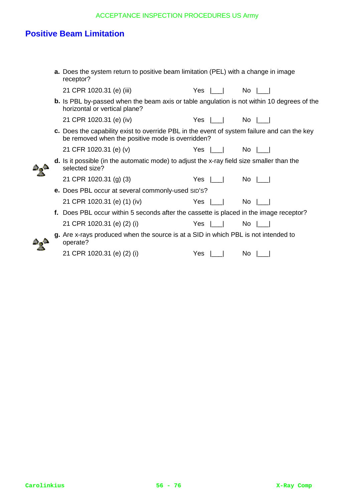# **Positive Beam Limitation**

|  | <b>a.</b> Does the system return to positive beam limitation (PEL) with a change in image<br>receptor?                                          |                                                                                                                                                                                                                                                      |  |
|--|-------------------------------------------------------------------------------------------------------------------------------------------------|------------------------------------------------------------------------------------------------------------------------------------------------------------------------------------------------------------------------------------------------------|--|
|  | 21 CPR 1020.31 (e) (iii)                                                                                                                        | Yes $\begin{array}{ c c c c c } \hline \quad\quad&\quad \text{No} & \begin{array}{ c c c }\hline \ \quad\quad&\quad \text{No} & \begin{array}{ c c c c }\hline \ \text{O}&\text{O} & \text{O} & \text{O} \end{array} \hline \end{array} \end{array}$ |  |
|  | <b>b.</b> Is PBL by-passed when the beam axis or table angulation is not within 10 degrees of the<br>horizontal or vertical plane?              |                                                                                                                                                                                                                                                      |  |
|  | 21 CPR 1020.31 (e) (iv)                                                                                                                         | Yes $\lfloor \rfloor$ No $\lfloor \rfloor$                                                                                                                                                                                                           |  |
|  | c. Does the capability exist to override PBL in the event of system failure and can the key<br>be removed when the positive mode is overridden? |                                                                                                                                                                                                                                                      |  |
|  | 21 CFR 1020.31 (e) (v)                                                                                                                          | Yes $\lfloor \rfloor$ No $\lfloor \rfloor$                                                                                                                                                                                                           |  |
|  | <b>d.</b> Is it possible (in the automatic mode) to adjust the x-ray field size smaller than the<br>selected size?                              |                                                                                                                                                                                                                                                      |  |
|  | 21 CPR 1020.31 (g) (3)                                                                                                                          | $Yes  $ No $ $                                                                                                                                                                                                                                       |  |
|  | e. Does PBL occur at several commonly-used SID'S?                                                                                               |                                                                                                                                                                                                                                                      |  |
|  | 21 CPR 1020.31 (e) (1) (iv)                                                                                                                     | Yes $\lfloor \rfloor$ No $\lfloor \rfloor$                                                                                                                                                                                                           |  |
|  | f. Does PBL occur within 5 seconds after the cassette is placed in the image receptor?                                                          |                                                                                                                                                                                                                                                      |  |
|  | 21 CPR 1020.31 (e) (2) (i)                                                                                                                      | Yes  ___         No  ___                                                                                                                                                                                                                             |  |
|  | g. Are x-rays produced when the source is at a SID in which PBL is not intended to<br>operate?                                                  |                                                                                                                                                                                                                                                      |  |
|  | 21 CPR 1020.31 (e) (2) (i)                                                                                                                      | Yes $\lfloor \_\_\_\_\_\_\_\_\_\_\_\_\_\_\_\_\_\_\_\_\_\_\_\_\_\_\_\_$                                                                                                                                                                               |  |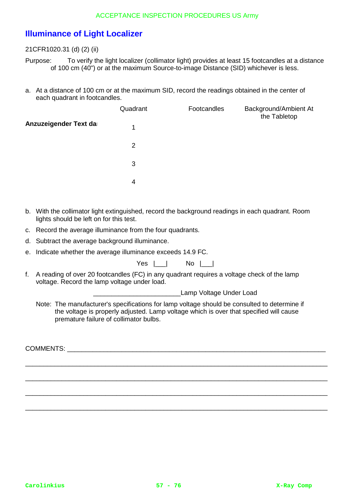# **Illuminance of Light Localizer**

21CFR1020.31 (d) (2) (ii)

Purpose: To verify the light localizer (collimator light) provides at least 15 footcandles at a distance of 100 cm (40") or at the maximum Source-to-image Distance (SID) whichever is less.

a. At a distance of 100 cm or at the maximum SID, record the readings obtained in the center of each quadrant in footcandles.

|                       | Quadrant       | Footcandles | Background/Ambient At<br>the Tabletop |
|-----------------------|----------------|-------------|---------------------------------------|
| Anzuzeigender Text da | 1              |             |                                       |
|                       | $\overline{2}$ |             |                                       |
|                       | 3              |             |                                       |
|                       | 4              |             |                                       |

- b. With the collimator light extinguished, record the background readings in each quadrant. Room lights should be left on for this test.
- c. Record the average illuminance from the four quadrants.
- d. Subtract the average background illuminance.
- e. Indicate whether the average illuminance exceeds 14.9 FC.

| Yes |  | No |  |
|-----|--|----|--|
|-----|--|----|--|

f. A reading of over 20 footcandles (FC) in any quadrant requires a voltage check of the lamp voltage. Record the lamp voltage under load.

Lamp Voltage Under Load

Note: The manufacturer's specifications for lamp voltage should be consulted to determine if the voltage is properly adjusted. Lamp voltage which is over that specified will cause premature failure of collimator bulbs.

\_\_\_\_\_\_\_\_\_\_\_\_\_\_\_\_\_\_\_\_\_\_\_\_\_\_\_\_\_\_\_\_\_\_\_\_\_\_\_\_\_\_\_\_\_\_\_\_\_\_\_\_\_\_\_\_\_\_\_\_\_\_\_\_\_\_\_\_\_\_\_\_\_\_\_\_\_\_\_\_\_\_\_

\_\_\_\_\_\_\_\_\_\_\_\_\_\_\_\_\_\_\_\_\_\_\_\_\_\_\_\_\_\_\_\_\_\_\_\_\_\_\_\_\_\_\_\_\_\_\_\_\_\_\_\_\_\_\_\_\_\_\_\_\_\_\_\_\_\_\_\_\_\_\_\_\_\_\_\_\_\_\_\_\_\_\_

\_\_\_\_\_\_\_\_\_\_\_\_\_\_\_\_\_\_\_\_\_\_\_\_\_\_\_\_\_\_\_\_\_\_\_\_\_\_\_\_\_\_\_\_\_\_\_\_\_\_\_\_\_\_\_\_\_\_\_\_\_\_\_\_\_\_\_\_\_\_\_\_\_\_\_\_\_\_\_\_\_\_\_

\_\_\_\_\_\_\_\_\_\_\_\_\_\_\_\_\_\_\_\_\_\_\_\_\_\_\_\_\_\_\_\_\_\_\_\_\_\_\_\_\_\_\_\_\_\_\_\_\_\_\_\_\_\_\_\_\_\_\_\_\_\_\_\_\_\_\_\_\_\_\_\_\_\_\_\_\_\_\_\_\_\_\_

COMMENTS: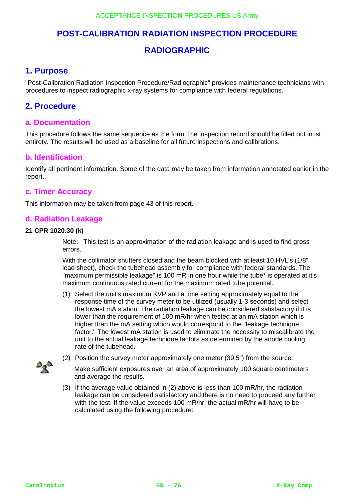# **POST-CALIBRATION RADIATION INSPECTION PROCEDURE**

# **RADIOGRAPHIC**

# **1. Purpose**

"Post-Calibration Radiation Inspection Procedure/Radiographic" provides maintenance technicians with procedures to inspect radiographic x-ray systems for compliance with federal regulations.

## **2. Procedure**

### **a. Documentation**

This procedure follows the same sequence as the form.The inspection record should be filled out in ist entirety. The results will be used as a baseline for all future inspections and calibrations.

### **b. Identification**

Identify all pertinent information. Some of the data may be taken from information annotated earlier in the report.

### **c. Timer Accuracy**

This information may be taken from page 43 of this report.

### **d. Radiation Leakage**

#### **21 CPR 1020.30 (k)**

Note: This test is an approximation of the radiation leakage and is used to find gross errors.

With the collimator shutters closed and the beam blocked with at least 10 HVL's (1/8" lead sheet), check the tubehead assembly for compliance with federal standards. The "maximum permissible leakage" is 100 mR in one hour while the tube\* is operated at it's maximum continuous rated current for the maximum rated tube potential.

(1) Select the unit's maximum KVP and a time setting approximately equal to the response time of the survey meter to be utilized (usually 1-3 seconds) and select the lowest mA station. The radiation leakage can be considered satisfactory if it is lower than the requirement of 100 mR/hr when tested at an mA station which is higher than the mA setting which would correspond to the "leakage technique factor." The lowest mA station is used to eliminate the necessity to miscalibrate the unit to the actual leakage technique factors as determined by the anode cooling rate of the tubehead.



(2) Position the survey meter approximately one meter (39.5") from the source.

Make sufficient exposures over an area of approximately 100 square centimeters and average the results.

(3) If the average value obtained in (2) above is less than 100 mR/hr, the radiation leakage can be considered satisfactory and there is no need to proceed any further with the test. If the value exceeds 100 mR/hr, the actual mR/hr will have to be calculated using the following procedure: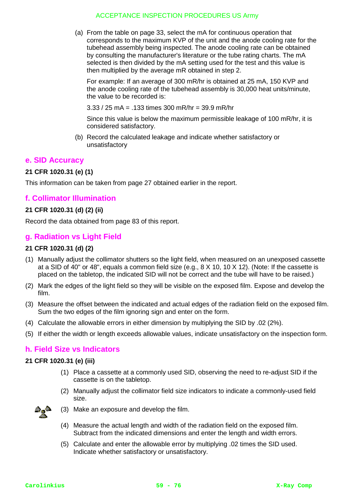(a) From the table on page 33, select the mA for continuous operation that corresponds to the maximum KVP of the unit and the anode cooling rate for the tubehead assembly being inspected. The anode cooling rate can be obtained by consulting the manufacturer's literature or the tube rating charts. The mA selected is then divided by the mA setting used for the test and this value is then multiplied by the average mR obtained in step 2.

For example: If an average of 300 mR/hr is obtained at 25 mA, 150 KVP and the anode cooling rate of the tubehead assembly is 30,000 heat units/minute, the value to be recorded is:

3.33 / 25 mA = .133 times 300 mR/hr = 39.9 mR/hr

Since this value is below the maximum permissible leakage of 100 mR/hr, it is considered satisfactory.

(b) Record the calculated leakage and indicate whether satisfactory or unsatisfactory

### **e. SID Accuracy**

#### **21 CFR 1020.31 (e) (1)**

This information can be taken from page 27 obtained earlier in the report.

### **f. Collimator Illumination**

### **21 CFR 1020.31 (d) (2) (ii)**

Record the data obtained from page 83 of this report.

### **g. Radiation vs Light Field**

#### **21 CFR 1020.31 (d) (2)**

- (1) Manually adjust the collimator shutters so the light field, when measured on an unexposed cassette at a SID of 40" or 48", equals a common field size (e.g., 8 X 10, 10 X 12). (Note: If the cassette is placed on the tabletop, the indicated SID will not be correct and the tube will have to be raised.)
- (2) Mark the edges of the light field so they will be visible on the exposed film. Expose and develop the film.
- (3) Measure the offset between the indicated and actual edges of the radiation field on the exposed film. Sum the two edges of the film ignoring sign and enter on the form.
- (4) Calculate the allowable errors in either dimension by multiplying the SID by .02 (2%).
- (5) If either the width or length exceeds allowable values, indicate unsatisfactory on the inspection form.

#### **h. Field Size vs Indicators**

#### **21 CFR 1020.31 (e) (iii)**

- (1) Place a cassette at a commonly used SID, observing the need to re-adjust SID if the cassette is on the tabletop.
- (2) Manually adjust the collimator field size indicators to indicate a commonly-used field size.



- (3) Make an exposure and develop the film.
- (4) Measure the actual length and width of the radiation field on the exposed film. Subtract from the indicated dimensions and enter the length and width errors.
- (5) Calculate and enter the allowable error by multiplying .02 times the SID used. Indicate whether satisfactory or unsatisfactory.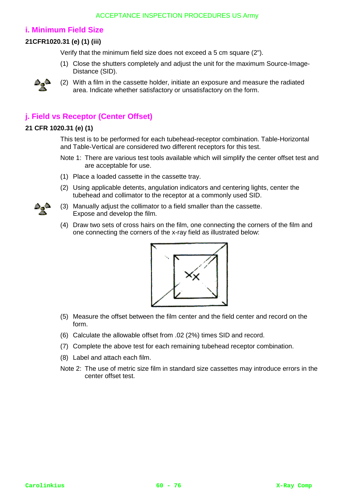## **i. Minimum Field Size**

### **21CFR1020.31 (e) (1) (iii)**

Verify that the minimum field size does not exceed a 5 cm square (2").

(1) Close the shutters completely and adjust the unit for the maximum Source-Image-Distance (SID).



(2) With a film in the cassette holder, initiate an exposure and measure the radiated area. Indicate whether satisfactory or unsatisfactory on the form.

# **j. Field vs Receptor (Center Offset)**

### **21 CFR 1020.31 (e) (1)**

This test is to be performed for each tubehead-receptor combination. Table-Horizontal and Table-Vertical are considered two different receptors for this test.

- Note 1: There are various test tools available which will simplify the center offset test and are acceptable for use.
- (1) Place a loaded cassette in the cassette tray.
- (2) Using applicable detents, angulation indicators and centering lights, center the tubehead and collimator to the receptor at a commonly used SID.
- (3) Manually adjust the collimator to a field smaller than the cassette. Expose and develop the film.
- (4) Draw two sets of cross hairs on the film, one connecting the corners of the film and one connecting the corners of the x-ray field as illustrated below:



- (5) Measure the offset between the film center and the field center and record on the form.
- (6) Calculate the allowable offset from .02 (2%) times SID and record.
- (7) Complete the above test for each remaining tubehead receptor combination.
- (8) Label and attach each film.
- Note 2: The use of metric size film in standard size cassettes may introduce errors in the center offset test.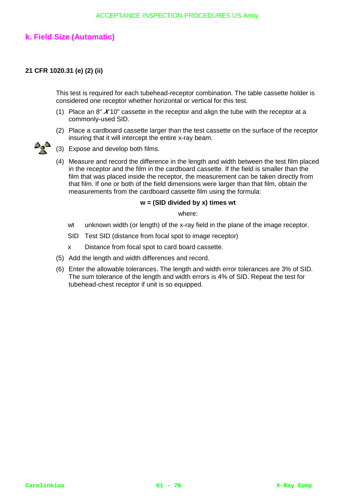## **k. Field Size (Automatic)**

#### **21 CFR 1020.31 (e) (2) (ii)**

This test is required for each tubehead-receptor combination. The table cassette holder is considered one receptor whether horizontal or vertical for this test.

- (1) Place an 8" **X** 10" cassette in the receptor and align the tube with the receptor at a commonly-used SID.
- (2) Place a cardboard cassette larger than the test cassette on the surface of the receptor insuring that it will intercept the entire x-ray beam.



- (3) Expose and develop both films.
- (4) Measure and record the difference in the length and width between the test film placed in the receptor and the film in the cardboard cassette. If the field is smaller than the film that was placed inside the receptor, the measurement can be taken directly from that film. If one or both of the field dimensions were larger than that film, obtain the measurements from the cardboard cassette film using the formula:

#### **w = (SID divided by x) times wt**

where:

- wt unknown width (or length) of the x-ray field in the plane of the image receptor.
- SID Test SID (distance from focal spot to image receptor)
- x Distance from focal spot to card board cassette.
- (5) Add the length and width differences and record.
- (6) Enter the allowable tolerances. The length and width error tolerances are 3% of SID. The sum tolerance of the length and width errors is 4% of SID. Repeat the test for tubehead-chest receptor if unit is so equipped.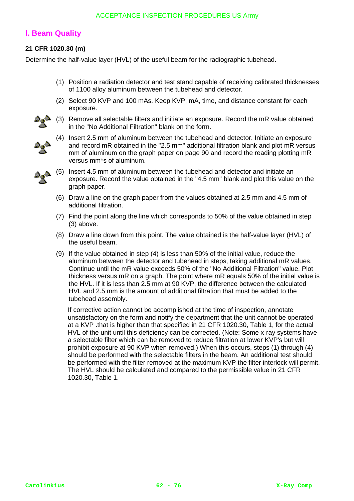## **l. Beam Quality**

### **21 CFR 1020.30 (m)**

Determine the half-value layer (HVL) of the useful beam for the radiographic tubehead.

- (1) Position a radiation detector and test stand capable of receiving calibrated thicknesses of 1100 alloy aluminum between the tubehead and detector.
- (2) Select 90 KVP and 100 mAs. Keep KVP, mA, time, and distance constant for each exposure.



(3) Remove all selectable filters and initiate an exposure. Record the mR value obtained in the "No Additional Filtration" blank on the form.



(4) Insert 2.5 mm of aluminum between the tubehead and detector. Initiate an exposure and record mR obtained in the "2.5 mm" additional filtration blank and plot mR versus mm of aluminum on the graph paper on page 90 and record the reading plotting mR versus mm\*s of aluminum.



 $\triangle$  (5) Insert 4.5 mm of aluminum between the tubehead and detector and initiate an averaging December 2014 exposure. Record the value obtained in the "4.5 mm" blank and plot this value on the graph paper.

- (6) Draw a line on the graph paper from the values obtained at 2.5 mm and 4.5 mm of additional filtration.
- (7) Find the point along the line which corresponds to 50% of the value obtained in step (3) above.
- (8) Draw a line down from this point. The value obtained is the half-value layer (HVL) of the useful beam.
- (9) If the value obtained in step (4) is less than 50% of the initial value, reduce the aluminum between the detector and tubehead in steps, taking additional mR values. Continue until the mR value exceeds 50% of the "No Additional Filtration" value. Plot thickness versus mR on a graph. The point where mR equals 50% of the initial value is the HVL. If it is less than 2.5 mm at 90 KVP, the difference between the calculated HVL and 2.5 mm is the amount of additional filtration that must be added to the tubehead assembly.

If corrective action cannot be accomplished at the time of inspection, annotate unsatisfactory on the form and notify the department that the unit cannot be operated at a KVP .that is higher than that specified in 21 CFR 1020.30, Table 1, for the actual HVL of the unit until this deficiency can be corrected. (Note: Some x-ray systems have a selectable filter which can be removed to reduce filtration at lower KVP's but will prohibit exposure at 90 KVP when removed.) When this occurs, steps (1) through (4) should be performed with the selectable filters in the beam. An additional test should be performed with the filter removed at the maximum KVP the filter interlock will permit. The HVL should be calculated and compared to the permissible value in 21 CFR 1020.30, Table 1.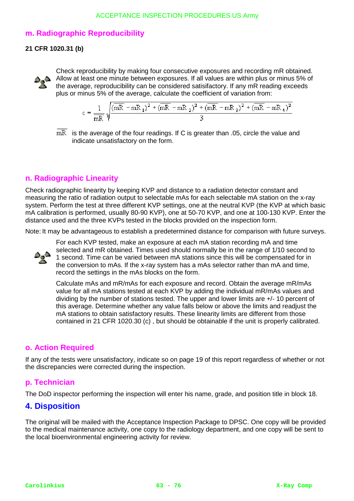## **m. Radiographic Reproducibility**

### **21 CFR 1020.31 (b)**



Check reproducibility by making four consecutive exposures and recording mR obtained. Allow at least one minute between exposures. If all values are within plus or minus 5% of the average, reproducibility can be considered satisifactory. If any mR reading exceeds plus or minus 5% of the average, calculate the coefficient of variation from:

$$
c = \frac{1}{mR} \sqrt{\frac{(mR - mR_1)^2 + (mR - mR_2)^2 + (mR - mR_3)^2 + (mR - mR_4)^2}{3}}
$$

 $mR$  is the average of the four readings. If C is greater than .05, circle the value and indicate unsatisfactory on the form.

## **n. Radiographic Linearity**

Check radiographic linearity by keeping KVP and distance to a radiation detector constant and measuring the ratio of radiation output to selectable mAs for each selectable mA station on the x-ray system. Perform the test at three different KVP settings, one at the neutral KVP (the KVP at which basic mA calibration is performed, usually 80-90 KVP), one at 50-70 KVP, and one at 100-130 KVP. Enter the distance used and the three KVPs tested in the blocks provided on the inspection form.

Note: It may be advantageous to establish a predetermined distance for comparison with future surveys.



For each KVP tested, make an exposure at each mA station recording mA and time selected and mR obtained. Times used should normally be in the range of 1/10 second to 1 second. Time can be varied between mA stations since this will be compensated for in the conversion to mAs. If the x-ray system has a mAs selector rather than mA and time, record the settings in the mAs blocks on the form.

Calculate mAs and mR/mAs for each exposure and record. Obtain the average mR/mAs value for all mA stations tested at each KVP by adding the individual mR/mAs values and dividing by the number of stations tested. The upper and lower limits are +/- 10 percent of this average. Determine whether any value falls below or above the limits and readjust the mA stations to obtain satisfactory results. These linearity limits are different from those contained in 21 CFR 1020.30 (c) , but should be obtainable if the unit is properly calibrated.

## **o. Action Required**

If any of the tests were unsatisfactory, indicate so on page 19 of this report regardless of whether or not the discrepancies were corrected during the inspection.

## **p. Technician**

The DoD inspector performing the inspection will enter his name, grade, and position title in block 18.

## **4. Disposition**

The original will be mailed with the Acceptance Inspection Package to DPSC. One copy will be provided to the medical maintenance activity, one copy to the radiology department, and one copy will be sent to the local bioenvironmental engineering activity for review.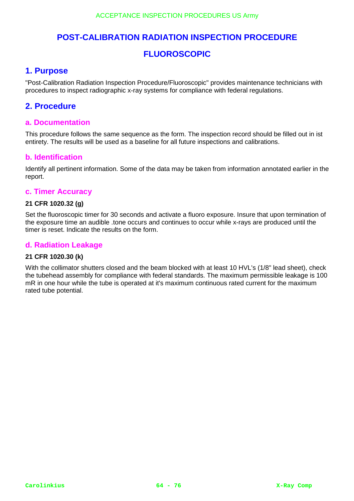# **POST-CALIBRATION RADIATION INSPECTION PROCEDURE**

# **FLUOROSCOPIC**

# **1. Purpose**

"Post-Calibration Radiation Inspection Procedure/Fluoroscopic" provides maintenance technicians with procedures to inspect radiographic x-ray systems for compliance with federal regulations.

## **2. Procedure**

### **a. Documentation**

This procedure follows the same sequence as the form. The inspection record should be filled out in ist entirety. The results will be used as a baseline for all future inspections and calibrations.

### **b. Identification**

Identify all pertinent information. Some of the data may be taken from information annotated earlier in the report.

#### **c. Timer Accuracy**

#### **21 CFR 1020.32 (g)**

Set the fluoroscopic timer for 30 seconds and activate a fluoro exposure. Insure that upon termination of the exposure time an audible .tone occurs and continues to occur while x-rays are produced until the timer is reset. Indicate the results on the form.

### **d. Radiation Leakage**

#### **21 CFR 1020.30 (k)**

With the collimator shutters closed and the beam blocked with at least 10 HVL's (1/8" lead sheet), check the tubehead assembly for compliance with federal standards. The maximum permissible leakage is 100 mR in one hour while the tube is operated at it's maximum continuous rated current for the maximum rated tube potential.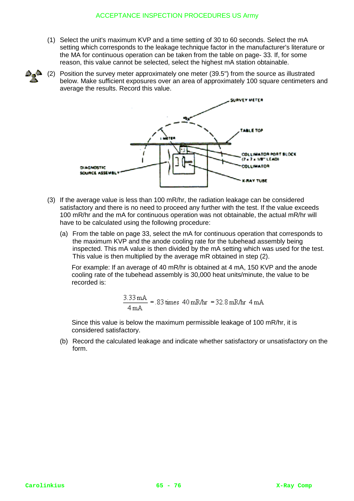- (1) Select the unit's maximum KVP and a time setting of 30 to 60 seconds. Select the mA setting which corresponds to the leakage technique factor in the manufacturer's literature or the MA for continuous operation can be taken from the table on page- 33. If, for some reason, this value cannot be selected, select the highest mA station obtainable.
- (2) Position the survey meter approximately one meter (39.5") from the source as illustrated below. Make sufficient exposures over an area of approximately 100 square centimeters and average the results. Record this value.



- (3) If the average value is less than 100 mR/hr, the radiation leakage can be considered satisfactory and there is no need to proceed any further with the test. If the value exceeds 100 mR/hr and the mA for continuous operation was not obtainable, the actual mR/hr will have to be calculated using the following procedure:
	- (a) From the table on page 33, select the mA for continuous operation that corresponds to the maximum KVP and the anode cooling rate for the tubehead assembly being inspected. This mA value is then divided by the mA setting which was used for the test. This value is then multiplied by the average mR obtained in step (2).

For example: If an average of 40 mR/hr is obtained at 4 mA, 150 KVP and the anode cooling rate of the tubehead assembly is 30,000 heat units/minute, the value to be recorded is:

$$
\frac{3.33 \text{ mA}}{4 \text{ mA}} = 0.83 \text{ times } 40 \text{ mNhr} = 32.8 \text{ mNhr} 4 \text{ mA}
$$

Since this value is below the maximum permissible leakage of 100 mR/hr, it is considered satisfactory.

(b) Record the calculated leakage and indicate whether satisfactory or unsatisfactory on the form.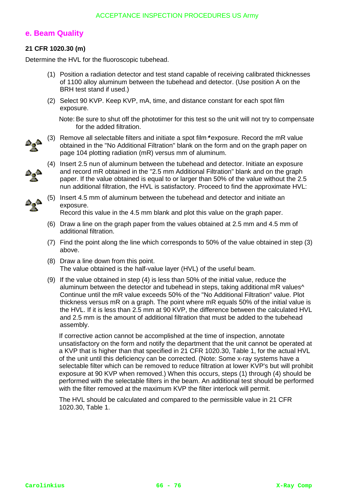## **e. Beam Quality**

### **21 CFR 1020.30 (m)**

Determine the HVL for the fluoroscopic tubehead.

- (1) Position a radiation detector and test stand capable of receiving calibrated thicknesses of 1100 alloy aluminum between the tubehead and detector. (Use position A on the BRH test stand if used.)
- (2) Select 90 KVP. Keep KVP, mA, time, and distance constant for each spot film exposure.

Note: Be sure to shut off the phototimer for this test so the unit will not try to compensate for the added filtration.



- (3) Remove all selectable filters and initiate a spot film**\*** exposure. Record the mR value obtained in the "No Additional Filtration" blank on the form and on the graph paper on page 104 plotting radiation (mR) versus mm of aluminum.
- (4) Insert 2.5 nun of aluminum between the tubehead and detector. Initiate an exposure and record mR obtained in the "2.5 mm Additional Filtration" blank and on the graph paper. If the value obtained is equal to or larger than 50% of the value without the 2.5 nun additional filtration, the HVL is satisfactory. Proceed to find the approximate HVL:



(5) Insert 4.5 mm of aluminum between the tubehead and detector and initiate an exposure.

Record this value in the 4.5 mm blank and plot this value on the graph paper.

- (6) Draw a line on the graph paper from the values obtained at 2.5 mm and 4.5 mm of additional filtration.
- (7) Find the point along the line which corresponds to 50% of the value obtained in step (3) above.
- (8) Draw a line down from this point. The value obtained is the half-value layer (HVL) of the useful beam.
- (9) If the value obtained in step (4) is less than 50% of the initial value, reduce the aluminum between the detector and tubehead in steps, taking additional mR values^ Continue until the mR value exceeds 50% of the "No Additional Filtration" value. Plot thickness versus mR on a graph. The point where mR equals 50% of the initial value is the HVL. If it is less than 2.5 mm at 90 KVP, the difference between the calculated HVL and 2.5 mm is the amount of additional filtration that must be added to the tubehead assembly.

If corrective action cannot be accomplished at the time of inspection, annotate unsatisfactory on the form and notify the department that the unit cannot be operated at a KVP that is higher than that specified in 21 CFR 1020.30, Table 1, for the actual HVL of the unit until this deficiency can be corrected. (Note: Some x-ray systems have a selectable filter which can be removed to reduce filtration at lower KVP's but will prohibit exposure at 90 KVP when removed.) When this occurs, steps (1) through (4) should be performed with the selectable filters in the beam. An additional test should be performed with the filter removed at the maximum KVP the filter interlock will permit.

The HVL should be calculated and compared to the permissible value in 21 CFR 1020.30, Table 1.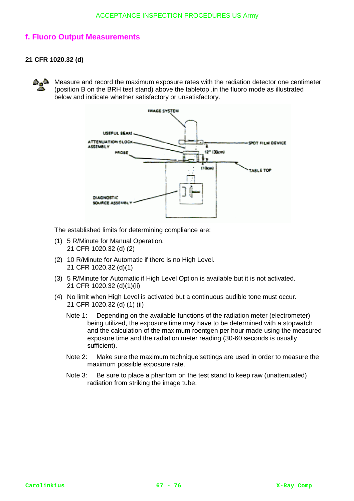## **f. Fluoro Output Measurements**

### **21 CFR 1020.32 (d)**

۵. ه

Measure and record the maximum exposure rates with the radiation detector one centimeter (position B on the BRH test stand) above the tabletop .in the fluoro mode as illustrated below and indicate whether satisfactory or unsatisfactory.



The established limits for determining compliance are:

- (1) 5 R/Minute for Manual Operation. 21 CFR 1020.32 (d) (2)
- (2) 10 R/Minute for Automatic if there is no High Level. 21 CFR 1020.32 (d)(1)
- (3) 5 R/Minute for Automatic if High Level Option is available but it is not activated. 21 CFR 1020.32 (d)(1)(ii)
- (4) No limit when High Level is activated but a continuous audible tone must occur. 21 CFR 1020.32 (d) (1) (ii)
	- Note 1: Depending on the available functions of the radiation meter (electrometer) being utilized, the exposure time may have to be determined with a stopwatch and the calculation of the maximum roentgen per hour made using the measured exposure time and the radiation meter reading (30-60 seconds is usually sufficient).
	- Note 2: Make sure the maximum technique'settings are used in order to measure the maximum possible exposure rate.
	- Note 3: Be sure to place a phantom on the test stand to keep raw (unattenuated) radiation from striking the image tube.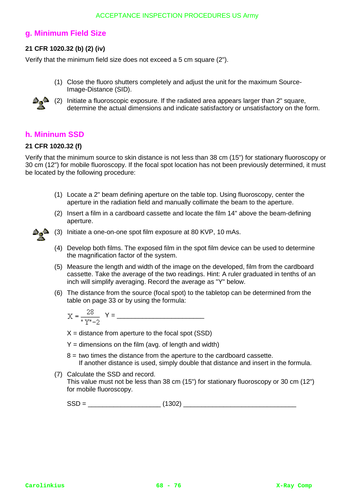### **g. Minimum Field Size**

### **21 CFR 1020.32 (b) (2) (iv)**

Verify that the minimum field size does not exceed a 5 cm square (2").

(1) Close the fluoro shutters completely and adjust the unit for the maximum Source-Image-Distance (SID).



(2) Initiate a fluoroscopic exposure. If the radiated area appears larger than 2" square, determine the actual dimensions and indicate satisfactory or unsatisfactory on the form.

## **h. Mininum SSD**

### **21 CFR 1020.32 (f)**

Verify that the minimum source to skin distance is not less than 38 cm (15") for stationary fluoroscopy or 30 cm (12") for mobile fluoroscopy. If the focal spot location has not been previously determined, it must be located by the following procedure:

- (1) Locate a 2" beam defining aperture on the table top. Using fluoroscopy, center the aperture in the radiation field and manually collimate the beam to the aperture.
- (2) Insert a film in a cardboard cassette and locate the film 14" above the beam-defining aperture.



(3) Initiate a one-on-one spot film exposure at 80 KVP, 10 mAs.

- (4) Develop both films. The exposed film in the spot film device can be used to determine the magnification factor of the system.
- (5) Measure the length and width of the image on the developed, film from the cardboard cassette. Take the average of the two readings. Hint: A ruler graduated in tenths of an inch will simplify averaging. Record the average as "Y" below.
- (6) The distance from the source (focal spot) to the tabletop can be determined from the table on page 33 or by using the formula:

$$
X = \frac{28}{N}
$$
 
$$
Y = \underline{\qquad \qquad }
$$

 $X =$  distance from aperture to the focal spot (SSD)

- $Y =$  dimensions on the film (avg. of length and width)
- $8 =$  two times the distance from the aperture to the cardboard cassette. If another distance is used, simply double that distance and insert in the formula.
- (7) Calculate the SSD and record. This value must not be less than 38 cm (15") for stationary fluoroscopy or 30 cm (12") for mobile fluoroscopy.

 $SSD =$  (1302)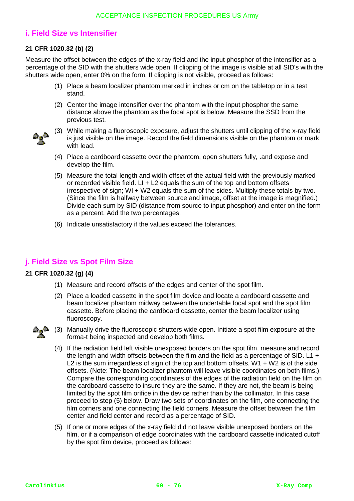## **i. Field Size vs Intensifier**

### **21 CFR 1020.32 (b) (2)**

Measure the offset between the edges of the x-ray field and the input phosphor of the intensifier as a percentage of the SID with the shutters wide open. If clipping of the image is visible at all SID's with the shutters wide open, enter 0% on the form. If clipping is not visible, proceed as follows:

- (1) Place a beam localizer phantom marked in inches or cm on the tabletop or in a test stand.
- (2) Center the image intensifier over the phantom with the input phosphor the same distance above the phantom as the focal spot is below. Measure the SSD from the previous test.



- (3) While making a fluoroscopic exposure, adjust the shutters until clipping of the x-ray field is just visible on the image. Record the field dimensions visible on the phantom or mark with lead.
- (4) Place a cardboard cassette over the phantom, open shutters fully, .and expose and develop the film.
- (5) Measure the total length and width offset of the actual field with the previously marked or recorded visible field.  $LI + L2$  equals the sum of the top and bottom offsets irrespective of sign; Wl + W2 equals the sum of the sides. Multiply these totals by two. (Since the film is halfway between source and image, offset at the image is magnified.) Divide each sum by SID (distance from source to input phosphor) and enter on the form as a percent. Add the two percentages.
- (6) Indicate unsatisfactory if the values exceed the tolerances.

## **j. Field Size vs Spot Film Size**

### **21 CFR 1020.32 (g) (4)**

- (1) Measure and record offsets of the edges and center of the spot film.
- (2) Place a loaded cassette in the spot film device and locate a cardboard cassette and beam localizer phantom midway between the undertable focal spot and the spot film cassette. Before placing the cardboard cassette, center the beam localizer using fluoroscopy.



- (3) Manually drive the fluoroscopic shutters wide open. Initiate a spot film exposure at the forma-t being inspected and develop both films.
	- (4) If the radiation field left visible unexposed borders on the spot film, measure and record the length and width offsets between the film and the field as a percentage of SID. L1  $+$ L2 is the sum irregardless of sign of the top and bottom offsets.  $W1 + W2$  is of the side offsets. (Note: The beam localizer phantom will leave visible coordinates on both films.) Compare the corresponding coordinates of the edges of the radiation field on the film on the cardboard cassette to insure they are the same. If they are not, the beam is being limited by the spot film orifice in the device rather than by the collimator. In this case proceed to step (5) below. Draw two sets of coordinates on the film, one connecting the film corners and one connecting the field corners. Measure the offset between the film center and field center and record as a percentage of SID.
	- (5) If one or more edges of the x-ray field did not leave visible unexposed borders on the film, or if a comparison of edge coordinates with the cardboard cassette indicated cutoff by the spot film device, proceed as follows: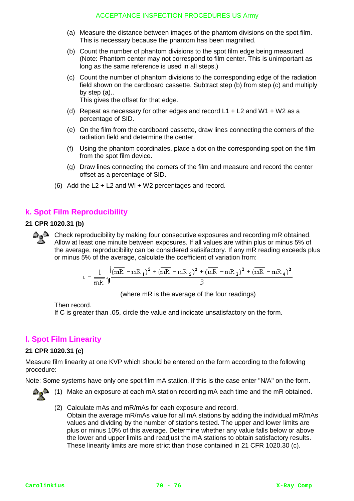- (a) Measure the distance between images of the phantom divisions on the spot film. This is necessary because the phantom has been magnified.
- (b) Count the number of phantom divisions to the spot film edge being measured. (Note: Phantom center may not correspond to film center. This is unimportant as long as the same reference is used in all steps.)
- (c) Count the number of phantom divisions to the corresponding edge of the radiation field shown on the cardboard cassette. Subtract step (b) from step (c) and multiply by step (a).. This gives the offset for that edge.
- (d) Repeat as necessary for other edges and record  $L1 + L2$  and  $W1 + W2$  as a percentage of SID.
- (e) On the film from the cardboard cassette, draw lines connecting the corners of the radiation field and determine the center.
- (f) Using the phantom coordinates, place a dot on the corresponding spot on the film from the spot film device.
- (g) Draw lines connecting the corners of the film and measure and record the center offset as a percentage of SID.
- (6) Add the  $L2 + L2$  and WI + W2 percentages and record.

## **k. Spot Film Reproducibility**

#### **21 CPR 1020.31 (b)**

**A**<sup>2</sup> Check reproducibility by making four consecutive exposures and recording mR obtained. Allow at least one minute between exposures. If all values are within plus or minus 5% of the average, reproducibility can be considered satisifactory. If any mR reading exceeds plus or minus 5% of the average, calculate the coefficient of variation from:

$$
c = \frac{1}{mR} \sqrt{\frac{(mR - mR_1)^2 + (mR - mR_2)^2 + (mR - mR_3)^2 + (mR - mR_4)^2}{3}}
$$

(where mR is the average of the four readings)

Then record.

If C is greater than .05, circle the value and indicate unsatisfactory on the form.

# **l. Spot Film Linearity**

#### **21 CPR 1020.31 (c)**

Measure film linearity at one KVP which should be entered on the form according to the following procedure:

Note: Some systems have only one spot film mA station. If this is the case enter "N/A" on the form.



- (2) Calculate mAs and mR/mAs for each exposure and record.
	- Obtain the average mR/mAs value for all mA stations by adding the individual mR/mAs values and dividing by the number of stations tested. The upper and lower limits are plus or minus 10% of this average. Determine whether any value falls below or above the lower and upper limits and readjust the mA stations to obtain satisfactory results. These linearity limits are more strict than those contained in 21 CFR 1020.30 (c).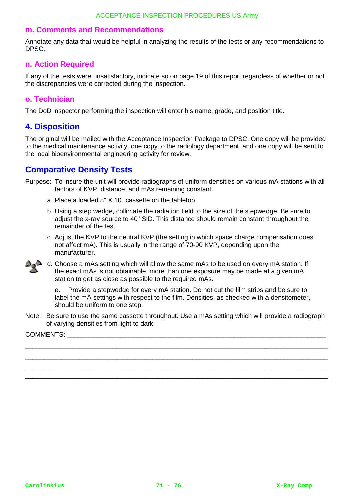### **m. Comments and Recommendations**

Annotate any data that would be helpful in analyzing the results of the tests or any recommendations to DPSC.

### **n. Action Required**

If any of the tests were unsatisfactory, indicate so on page 19 of this report regardless of whether or not the discrepancies were corrected during the inspection.

### **o. Technician**

The DoD inspector performing the inspection will enter his name, grade, and position title.

### **4. Disposition**

The original will be mailed with the Acceptance Inspection Package to DPSC. One copy will be provided to the medical maintenance activity, one copy to the radiology department, and one copy will be sent to the local bioenvironmental engineering activity for review.

# **Comparative Density Tests**

- Purpose: To insure the unit will provide radiographs of uniform densities on various mA stations with all factors of KVP, distance, and mAs remaining constant.
	- a. Place a loaded 8" X 10" cassette on the tabletop.
	- b. Using a step wedge, collimate the radiation field to the size of the stepwedge. Be sure to adjust the x-ray source to 40" SID. This distance should remain constant throughout the remainder of the test.
	- c. Adjust the KVP to the neutral KVP (the setting in which space charge compensation does not affect mA). This is usually in the range of 70-90 KVP, depending upon the manufacturer.



d. Choose a mAs setting which will allow the same mAs to be used on every mA station. If the exact mAs is not obtainable, more than one exposure may be made at a given mA station to get as close as possible to the required mAs.

e. Provide a stepwedge for every mA station. Do not cut the film strips and be sure to label the mA settings with respect to the film. Densities, as checked with a densitometer, should be uniform to one step.

Note: Be sure to use the same cassette throughout. Use a mAs setting which will provide a radiograph of varying densities from light to dark.

\_\_\_\_\_\_\_\_\_\_\_\_\_\_\_\_\_\_\_\_\_\_\_\_\_\_\_\_\_\_\_\_\_\_\_\_\_\_\_\_\_\_\_\_\_\_\_\_\_\_\_\_\_\_\_\_\_\_\_\_\_\_\_\_\_\_\_\_\_\_\_\_\_\_\_\_\_\_\_\_\_\_\_ \_\_\_\_\_\_\_\_\_\_\_\_\_\_\_\_\_\_\_\_\_\_\_\_\_\_\_\_\_\_\_\_\_\_\_\_\_\_\_\_\_\_\_\_\_\_\_\_\_\_\_\_\_\_\_\_\_\_\_\_\_\_\_\_\_\_\_\_\_\_\_\_\_\_\_\_\_\_\_\_\_\_\_ \_\_\_\_\_\_\_\_\_\_\_\_\_\_\_\_\_\_\_\_\_\_\_\_\_\_\_\_\_\_\_\_\_\_\_\_\_\_\_\_\_\_\_\_\_\_\_\_\_\_\_\_\_\_\_\_\_\_\_\_\_\_\_\_\_\_\_\_\_\_\_\_\_\_\_\_\_\_\_\_\_\_\_ \_\_\_\_\_\_\_\_\_\_\_\_\_\_\_\_\_\_\_\_\_\_\_\_\_\_\_\_\_\_\_\_\_\_\_\_\_\_\_\_\_\_\_\_\_\_\_\_\_\_\_\_\_\_\_\_\_\_\_\_\_\_\_\_\_\_\_\_\_\_\_\_\_\_\_\_\_\_\_\_\_\_\_

COMMENTS: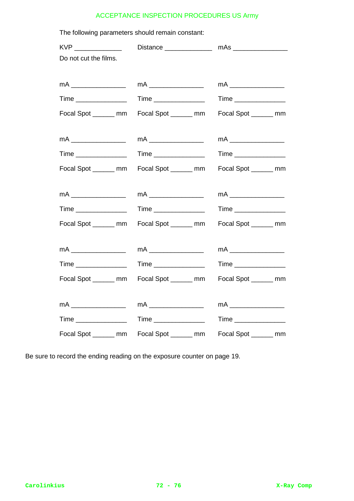| The following parameters should remain constant: |                                                                                   |                             |
|--------------------------------------------------|-----------------------------------------------------------------------------------|-----------------------------|
| KVP _______________                              |                                                                                   |                             |
| Do not cut the films.                            |                                                                                   |                             |
|                                                  |                                                                                   |                             |
|                                                  | mA $\_\_$                                                                         | mA $\_\_\_\_\_\_\_\_\_\_\_$ |
| Time ________________                            | Time ________________                                                             | Time _______________        |
| Focal Spot _______ mm                            | Focal Spot ______ mm                                                              | Focal Spot _______ mm       |
|                                                  |                                                                                   |                             |
|                                                  |                                                                                   |                             |
| Time ________________                            | $Time \begin{tabular}{c} \hline \rule[1mm]{1mm}{6mm} \textbf{Time} \end{tabular}$ |                             |
| Focal Spot _______ mm                            | Focal Spot ______ mm                                                              | Focal Spot _______ mm       |
|                                                  |                                                                                   |                             |
|                                                  |                                                                                   |                             |
|                                                  |                                                                                   |                             |
| Time ________________                            |                                                                                   |                             |
| Focal Spot _______ mm Focal Spot ______ mm       |                                                                                   | Focal Spot _______ mm       |
|                                                  |                                                                                   |                             |
|                                                  |                                                                                   |                             |
|                                                  |                                                                                   | Time _________________      |
|                                                  | Focal Spot _______ mm                                                             |                             |
| Focal Spot _______ mm                            |                                                                                   | Focal Spot ______ mm        |
| mA $\_\_$                                        |                                                                                   |                             |
| Time _________________                           | Time ________________                                                             | Time ________________       |

Be sure to record the ending reading on the exposure counter on page 19.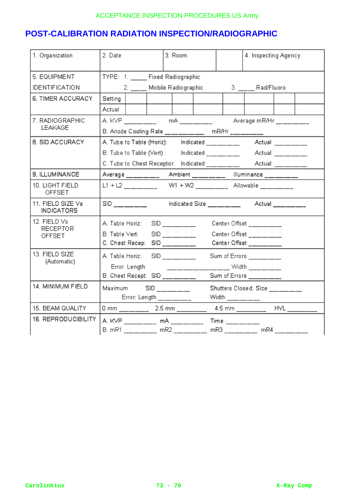## **POST-CALIBRATION RADIATION INSPECTION/RADIOGRAPHIC**

| 1. Organization                           | 2. Date                                                                                                                                                                                                                                               |                           | 3. Room |  |                               | 4. Inspecting Agency   |  |  |  |
|-------------------------------------------|-------------------------------------------------------------------------------------------------------------------------------------------------------------------------------------------------------------------------------------------------------|---------------------------|---------|--|-------------------------------|------------------------|--|--|--|
| 5. EQUIPMENT                              | TYPE: 1. __ Fixed Radiographic                                                                                                                                                                                                                        |                           |         |  |                               |                        |  |  |  |
| <b>IDENTIFICATION</b>                     | 2. Mobile Radiographic                                                                                                                                                                                                                                |                           |         |  | 3. Rad/Fluoro                 |                        |  |  |  |
| 6. TIMER ACCURACY                         | Setting                                                                                                                                                                                                                                               |                           |         |  |                               |                        |  |  |  |
|                                           | Actual                                                                                                                                                                                                                                                |                           |         |  |                               |                        |  |  |  |
| 7. RADIOGRAPHIC                           |                                                                                                                                                                                                                                                       |                           |         |  |                               |                        |  |  |  |
| LEAKAGE                                   | B. Anode Cooling Rate ________ mR/Hr _______                                                                                                                                                                                                          |                           |         |  |                               |                        |  |  |  |
| 8. SID ACCURACY                           |                                                                                                                                                                                                                                                       |                           |         |  |                               |                        |  |  |  |
|                                           |                                                                                                                                                                                                                                                       |                           |         |  |                               |                        |  |  |  |
|                                           | C. Tube to Chest Receptor: Indicated ________ Actual ______                                                                                                                                                                                           |                           |         |  |                               |                        |  |  |  |
| 9. ILLUMINANCE                            | Average _______ Ambient _______ Hluminance _______                                                                                                                                                                                                    |                           |         |  |                               |                        |  |  |  |
| 10. LIGHT FIELD<br><b>OFFSET</b>          |                                                                                                                                                                                                                                                       |                           |         |  |                               |                        |  |  |  |
| 11. FIELD SIZE Vs<br><b>INDICATORS</b>    | SID ________    ndicated Size __ __ __ Actual ___ __ __                                                                                                                                                                                               |                           |         |  |                               |                        |  |  |  |
| 12. FIELD Vs<br><b>RECEPTOR</b><br>OFFSET | A. Table Horiz:                                                                                                                                                                                                                                       | $SID$ ______              |         |  |                               | Center Offset _______  |  |  |  |
|                                           | B. Table Vert:<br>SID                                                                                                                                                                                                                                 |                           |         |  | Center Offset _______         |                        |  |  |  |
|                                           | C. Chest Recep: SID _________                                                                                                                                                                                                                         |                           |         |  |                               | Center Offset ________ |  |  |  |
| 13. FIELD SIZE<br>(Automatic)             | A. Table Horiz:                                                                                                                                                                                                                                       | $SID$ <sub>_____</sub> __ |         |  |                               | Sum of Errors ______   |  |  |  |
|                                           | Error: Length<br><u> 1989 - Jan Jan Jawa Barat, president populari president populari populari populari populari populari populari populari populari populari populari populari populari populari populari populari populari populari populari po</u> |                           |         |  | _____ Width _______           |                        |  |  |  |
|                                           | B. Chest Recept: SID ______                                                                                                                                                                                                                           |                           |         |  |                               | Sum of Errors ________ |  |  |  |
| 14. MINIMUM FIELD                         | Maximum SID ______                                                                                                                                                                                                                                    |                           |         |  | Shutters Closed: Size _______ |                        |  |  |  |
|                                           | Error: Length ________                                                                                                                                                                                                                                |                           |         |  |                               |                        |  |  |  |
| 15. BEAM QUALITY                          | 0 mm __ __ __ 2.5 mm __ _ _ _ 4.5 mm __ _ _ _ HVL _ _ _ _ _ _                                                                                                                                                                                         |                           |         |  |                               |                        |  |  |  |
| <b>16. REPRODUCIBILITY</b>                | A. KVP _________ mA ________ Time ._______                                                                                                                                                                                                            |                           |         |  |                               |                        |  |  |  |
|                                           | B. mR1 __ __ __ mR2 __ __ __ mR3 _ __ __ _ mR4 __ __ __                                                                                                                                                                                               |                           |         |  |                               |                        |  |  |  |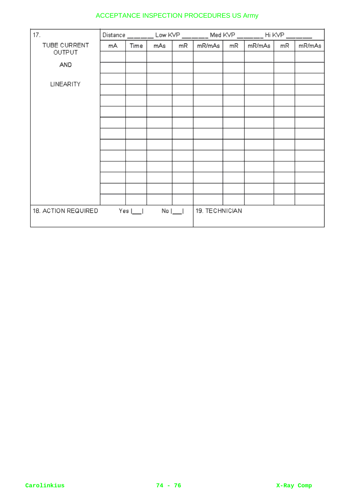| 17.                                         | Distance |      | Low KVP        |    | Med KVP |    | Hi KVP |    |        |
|---------------------------------------------|----------|------|----------------|----|---------|----|--------|----|--------|
| TUBE CURRENT                                | mA       | Time | mAs            | mR | mR/mAs  | mR | mR/mAs | mR | mR/mAs |
| OUTPUT                                      |          |      |                |    |         |    |        |    |        |
| AND                                         |          |      |                |    |         |    |        |    |        |
| <b>LINEARITY</b>                            |          |      |                |    |         |    |        |    |        |
|                                             |          |      |                |    |         |    |        |    |        |
|                                             |          |      |                |    |         |    |        |    |        |
|                                             |          |      |                |    |         |    |        |    |        |
|                                             |          |      |                |    |         |    |        |    |        |
|                                             |          |      |                |    |         |    |        |    |        |
|                                             |          |      |                |    |         |    |        |    |        |
|                                             |          |      |                |    |         |    |        |    |        |
|                                             |          |      |                |    |         |    |        |    |        |
|                                             |          |      |                |    |         |    |        |    |        |
|                                             |          |      |                |    |         |    |        |    |        |
|                                             |          |      |                |    |         |    |        |    |        |
| 18. ACTION REQUIRED<br>Yes  <br>$No$ $\Box$ |          |      | 19. TECHNICIAN |    |         |    |        |    |        |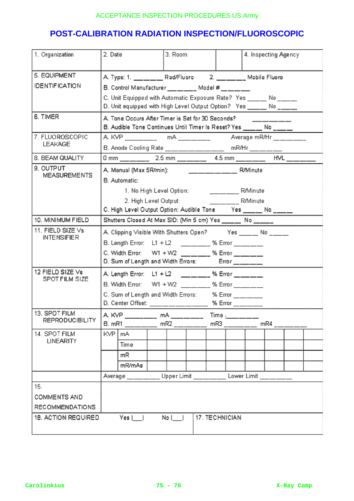# **POST-CALIBRATION RADIATION INSPECTION/FLUOROSCOPIC**

| 1. Organization                                          | 2. Date                                                                                                                             | 3. Room                                                      |                   |             | 4. Inspecting Agency |  |  |  |  |
|----------------------------------------------------------|-------------------------------------------------------------------------------------------------------------------------------------|--------------------------------------------------------------|-------------------|-------------|----------------------|--|--|--|--|
| 5. EQUIPMENT                                             | A. Type: 1. _____________ Rad/Fluoro 2. __________ Mobile Fluoro                                                                    |                                                              |                   |             |                      |  |  |  |  |
| <b>IDENTIFICATION</b>                                    | B. Control Manufacturer ___ _____ Model # __ __ __                                                                                  |                                                              |                   |             |                      |  |  |  |  |
|                                                          | C. Unit Equipped with Automatic Exposure Rate? Yes ____ No ____<br>D. Unit equipped with High Level Output Option? Yes ____ No ____ |                                                              |                   |             |                      |  |  |  |  |
|                                                          |                                                                                                                                     |                                                              |                   |             |                      |  |  |  |  |
| 6. TIMER                                                 | A. Tone Occurs After Timer is Set for 30 Seconds?                                                                                   |                                                              |                   |             |                      |  |  |  |  |
|                                                          | B. Audible Tone Continues Until Timer Is Reset? Yes ______ No _____                                                                 |                                                              |                   |             |                      |  |  |  |  |
| 7. FLUOROSCOPIC                                          |                                                                                                                                     |                                                              |                   |             |                      |  |  |  |  |
| <b>LEAKAGE</b>                                           | B. Anode Cooling Rate _____________ mR/Hr ______                                                                                    |                                                              |                   |             |                      |  |  |  |  |
| 8. BEAM QUALITY                                          |                                                                                                                                     |                                                              |                   |             |                      |  |  |  |  |
| 9. OUTPUT                                                |                                                                                                                                     |                                                              |                   |             |                      |  |  |  |  |
| MEASUREMENTS                                             | B. Automatic:                                                                                                                       |                                                              |                   |             |                      |  |  |  |  |
|                                                          |                                                                                                                                     | 1. No High Level Option: R/Minute                            |                   |             |                      |  |  |  |  |
|                                                          |                                                                                                                                     | 2. High Level Output:                                        |                   | R/Minute    |                      |  |  |  |  |
|                                                          |                                                                                                                                     | C. High Level Output Option: Audible Tone Yes _____ No _____ |                   |             |                      |  |  |  |  |
| 10. MINIMUM FIELD                                        |                                                                                                                                     | Shutters Closed At Max SID: (Min 5 cm) Yes ______ No ______  |                   |             |                      |  |  |  |  |
| 11. FIELD SIZE Vs                                        | A. Clipping Visible With Shutters Open? Yes _____ No ____                                                                           |                                                              |                   |             |                      |  |  |  |  |
| <b>INTENSIFIER</b>                                       | B. Length Error: L1 + L2 _________ % Error ______                                                                                   |                                                              |                   |             |                      |  |  |  |  |
|                                                          | C. Width Error: W1 + W2 ________ % Error ______                                                                                     |                                                              |                   |             |                      |  |  |  |  |
|                                                          |                                                                                                                                     | D. Sum of Length and Width Errors: Frror ______              |                   |             |                      |  |  |  |  |
| 12 FIELD SIZE Vs                                         | A. Length Error: L1 + L2 ________ % Error ______                                                                                    |                                                              |                   |             |                      |  |  |  |  |
| SPOT FILM SIZE                                           | B. Width Error: W1 + W2 ________ % Error ______                                                                                     |                                                              |                   |             |                      |  |  |  |  |
|                                                          | C. Sum of Length and Width Errors: % Error _____                                                                                    |                                                              |                   |             |                      |  |  |  |  |
|                                                          | D. Center Offset: _____________________ % Error _______                                                                             |                                                              |                   |             |                      |  |  |  |  |
| 13. SPOT FILM                                            | A KVP __________ mA _________ Time .___                                                                                             |                                                              |                   |             |                      |  |  |  |  |
| <b>REPRODUCIBILITY</b>                                   | B. mR1<br>mR4<br>mR2<br>mR3                                                                                                         |                                                              |                   |             |                      |  |  |  |  |
| 14. SPOT FILM                                            | KVP.<br>mA                                                                                                                          |                                                              |                   |             |                      |  |  |  |  |
| LINEARITY                                                | Time                                                                                                                                |                                                              |                   |             |                      |  |  |  |  |
|                                                          | mR                                                                                                                                  |                                                              |                   |             |                      |  |  |  |  |
|                                                          | mR/mAs                                                                                                                              |                                                              |                   |             |                      |  |  |  |  |
|                                                          | Average ______                                                                                                                      |                                                              | Upper Limit _____ | Lower Limit |                      |  |  |  |  |
| 15.                                                      |                                                                                                                                     |                                                              |                   |             |                      |  |  |  |  |
| COMMENTS AND                                             |                                                                                                                                     |                                                              |                   |             |                      |  |  |  |  |
| <b>RECOMMENDATIONS</b>                                   |                                                                                                                                     |                                                              |                   |             |                      |  |  |  |  |
| 17. TECHNICIAN<br>18. ACTION REQUIRED<br>Yes    <br>$No$ |                                                                                                                                     |                                                              |                   |             |                      |  |  |  |  |
|                                                          |                                                                                                                                     |                                                              |                   |             |                      |  |  |  |  |